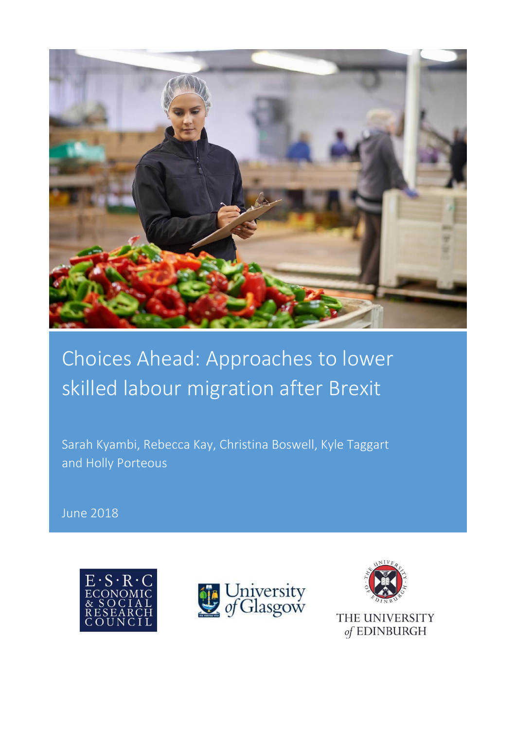

# Choices Ahead: Approaches to lower skilled labour migration after Brexit

Sarah Kyambi, Rebecca Kay, Christina Boswell, Kyle Taggart and Holly Porteous

June 2018





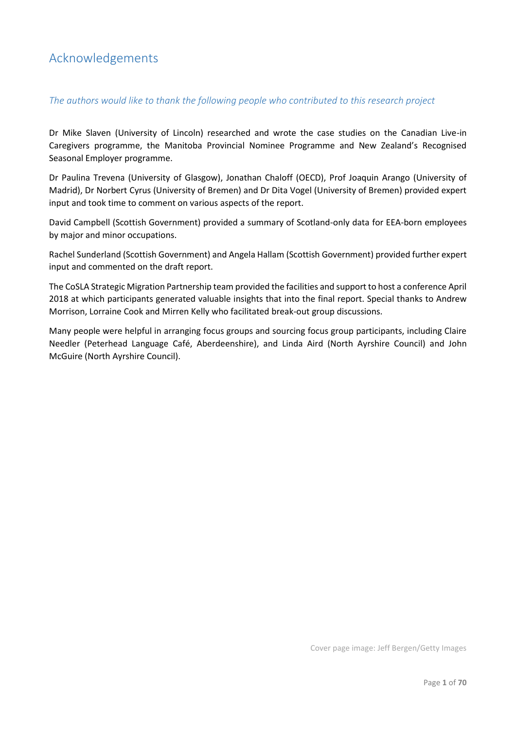# <span id="page-1-0"></span>Acknowledgements

# *The authors would like to thank the following people who contributed to this research project*

Dr Mike Slaven (University of Lincoln) researched and wrote the case studies on the Canadian Live-in Caregivers programme, the Manitoba Provincial Nominee Programme and New Zealand's Recognised Seasonal Employer programme.

Dr Paulina Trevena (University of Glasgow), Jonathan Chaloff (OECD), Prof Joaquin Arango (University of Madrid), Dr Norbert Cyrus (University of Bremen) and Dr Dita Vogel (University of Bremen) provided expert input and took time to comment on various aspects of the report.

David Campbell (Scottish Government) provided a summary of Scotland-only data for EEA-born employees by major and minor occupations.

Rachel Sunderland (Scottish Government) and Angela Hallam (Scottish Government) provided further expert input and commented on the draft report.

The CoSLA Strategic Migration Partnership team provided the facilities and support to host a conference April 2018 at which participants generated valuable insights that into the final report. Special thanks to Andrew Morrison, Lorraine Cook and Mirren Kelly who facilitated break-out group discussions.

Many people were helpful in arranging focus groups and sourcing focus group participants, including Claire Needler (Peterhead Language Café, Aberdeenshire), and Linda Aird (North Ayrshire Council) and John McGuire (North Ayrshire Council).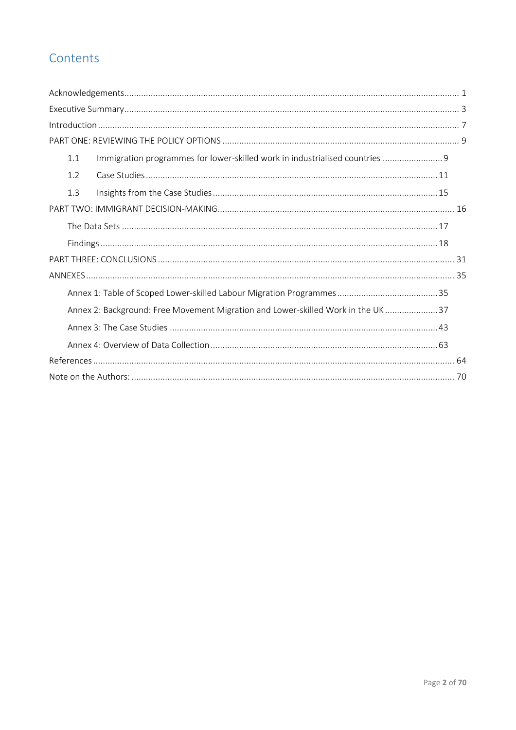# Contents

| Immigration programmes for lower-skilled work in industrialised countries  9<br>1.1 |  |
|-------------------------------------------------------------------------------------|--|
| 1.2                                                                                 |  |
| 1.3                                                                                 |  |
|                                                                                     |  |
|                                                                                     |  |
|                                                                                     |  |
|                                                                                     |  |
|                                                                                     |  |
|                                                                                     |  |
| Annex 2: Background: Free Movement Migration and Lower-skilled Work in the UK37     |  |
|                                                                                     |  |
|                                                                                     |  |
|                                                                                     |  |
|                                                                                     |  |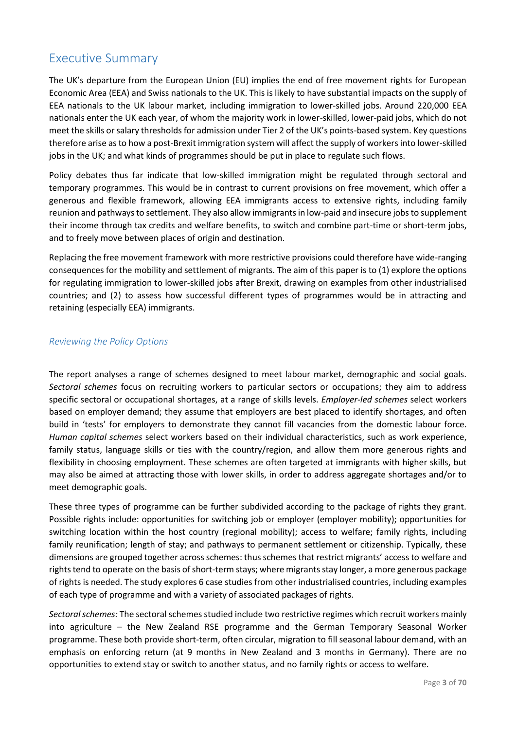# <span id="page-3-0"></span>Executive Summary

The UK's departure from the European Union (EU) implies the end of free movement rights for European Economic Area (EEA) and Swiss nationals to the UK. This is likely to have substantial impacts on the supply of EEA nationals to the UK labour market, including immigration to lower-skilled jobs. Around 220,000 EEA nationals enter the UK each year, of whom the majority work in lower-skilled, lower-paid jobs, which do not meet the skills or salary thresholds for admission under Tier 2 of the UK's points-based system. Key questions therefore arise as to how a post-Brexit immigration system will affect the supply of workers into lower-skilled jobs in the UK; and what kinds of programmes should be put in place to regulate such flows.

Policy debates thus far indicate that low-skilled immigration might be regulated through sectoral and temporary programmes. This would be in contrast to current provisions on free movement, which offer a generous and flexible framework, allowing EEA immigrants access to extensive rights, including family reunion and pathways to settlement. They also allow immigrants in low-paid and insecure jobs to supplement their income through tax credits and welfare benefits, to switch and combine part-time or short-term jobs, and to freely move between places of origin and destination.

Replacing the free movement framework with more restrictive provisions could therefore have wide-ranging consequences for the mobility and settlement of migrants. The aim of this paper is to (1) explore the options for regulating immigration to lower-skilled jobs after Brexit, drawing on examples from other industrialised countries; and (2) to assess how successful different types of programmes would be in attracting and retaining (especially EEA) immigrants.

# *Reviewing the Policy Options*

The report analyses a range of schemes designed to meet labour market, demographic and social goals. *Sectoral schemes* focus on recruiting workers to particular sectors or occupations; they aim to address specific sectoral or occupational shortages, at a range of skills levels. *Employer-led schemes* select workers based on employer demand; they assume that employers are best placed to identify shortages, and often build in 'tests' for employers to demonstrate they cannot fill vacancies from the domestic labour force. *Human capital schemes* select workers based on their individual characteristics, such as work experience, family status, language skills or ties with the country/region, and allow them more generous rights and flexibility in choosing employment. These schemes are often targeted at immigrants with higher skills, but may also be aimed at attracting those with lower skills, in order to address aggregate shortages and/or to meet demographic goals.

These three types of programme can be further subdivided according to the package of rights they grant. Possible rights include: opportunities for switching job or employer (employer mobility); opportunities for switching location within the host country (regional mobility); access to welfare; family rights, including family reunification; length of stay; and pathways to permanent settlement or citizenship. Typically, these dimensions are grouped together across schemes: thus schemes that restrict migrants' access to welfare and rights tend to operate on the basis of short-term stays; where migrants stay longer, a more generous package of rights is needed. The study explores 6 case studies from other industrialised countries, including examples of each type of programme and with a variety of associated packages of rights.

*Sectoral schemes:* The sectoral schemes studied include two restrictive regimes which recruit workers mainly into agriculture – the New Zealand RSE programme and the German Temporary Seasonal Worker programme. These both provide short-term, often circular, migration to fill seasonal labour demand, with an emphasis on enforcing return (at 9 months in New Zealand and 3 months in Germany). There are no opportunities to extend stay or switch to another status, and no family rights or access to welfare.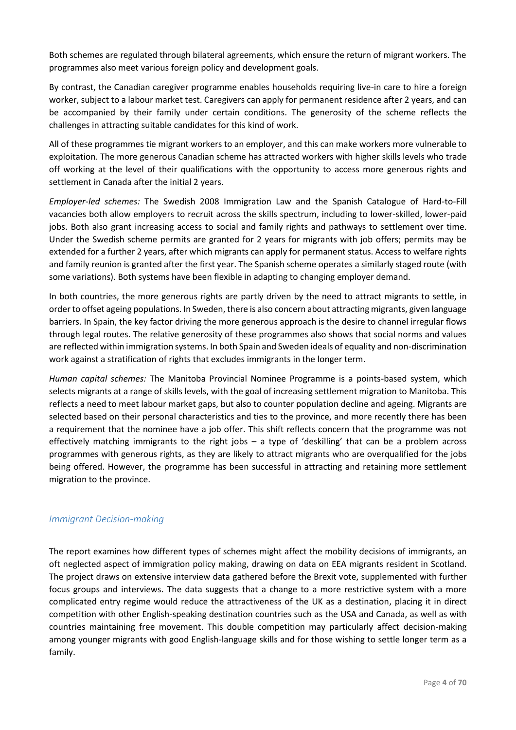Both schemes are regulated through bilateral agreements, which ensure the return of migrant workers. The programmes also meet various foreign policy and development goals.

By contrast, the Canadian caregiver programme enables households requiring live-in care to hire a foreign worker, subject to a labour market test. Caregivers can apply for permanent residence after 2 years, and can be accompanied by their family under certain conditions. The generosity of the scheme reflects the challenges in attracting suitable candidates for this kind of work.

All of these programmes tie migrant workers to an employer, and this can make workers more vulnerable to exploitation. The more generous Canadian scheme has attracted workers with higher skills levels who trade off working at the level of their qualifications with the opportunity to access more generous rights and settlement in Canada after the initial 2 years.

*Employer-led schemes:* The Swedish 2008 Immigration Law and the Spanish Catalogue of Hard-to-Fill vacancies both allow employers to recruit across the skills spectrum, including to lower-skilled, lower-paid jobs. Both also grant increasing access to social and family rights and pathways to settlement over time. Under the Swedish scheme permits are granted for 2 years for migrants with job offers; permits may be extended for a further 2 years, after which migrants can apply for permanent status. Access to welfare rights and family reunion is granted after the first year. The Spanish scheme operates a similarly staged route (with some variations). Both systems have been flexible in adapting to changing employer demand.

In both countries, the more generous rights are partly driven by the need to attract migrants to settle, in order to offset ageing populations. In Sweden, there is also concern about attracting migrants, given language barriers. In Spain, the key factor driving the more generous approach is the desire to channel irregular flows through legal routes. The relative generosity of these programmes also shows that social norms and values are reflected within immigration systems. In both Spain and Sweden ideals of equality and non-discrimination work against a stratification of rights that excludes immigrants in the longer term.

*Human capital schemes:* The Manitoba Provincial Nominee Programme is a points-based system, which selects migrants at a range of skills levels, with the goal of increasing settlement migration to Manitoba. This reflects a need to meet labour market gaps, but also to counter population decline and ageing. Migrants are selected based on their personal characteristics and ties to the province, and more recently there has been a requirement that the nominee have a job offer. This shift reflects concern that the programme was not effectively matching immigrants to the right jobs – a type of 'deskilling' that can be a problem across programmes with generous rights, as they are likely to attract migrants who are overqualified for the jobs being offered. However, the programme has been successful in attracting and retaining more settlement migration to the province.

# *Immigrant Decision-making*

The report examines how different types of schemes might affect the mobility decisions of immigrants, an oft neglected aspect of immigration policy making, drawing on data on EEA migrants resident in Scotland. The project draws on extensive interview data gathered before the Brexit vote, supplemented with further focus groups and interviews. The data suggests that a change to a more restrictive system with a more complicated entry regime would reduce the attractiveness of the UK as a destination, placing it in direct competition with other English-speaking destination countries such as the USA and Canada, as well as with countries maintaining free movement. This double competition may particularly affect decision-making among younger migrants with good English-language skills and for those wishing to settle longer term as a family.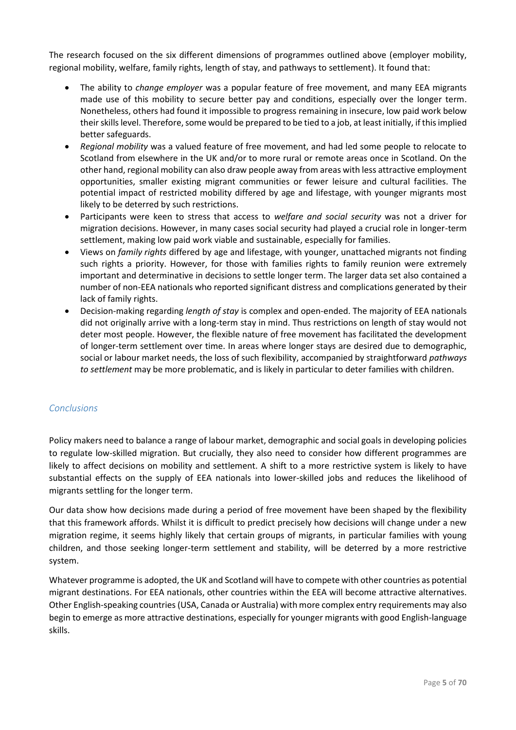The research focused on the six different dimensions of programmes outlined above (employer mobility, regional mobility, welfare, family rights, length of stay, and pathways to settlement). It found that:

- The ability to *change employer* was a popular feature of free movement, and many EEA migrants made use of this mobility to secure better pay and conditions, especially over the longer term. Nonetheless, others had found it impossible to progress remaining in insecure, low paid work below their skills level. Therefore, some would be prepared to be tied to a job, at least initially, if this implied better safeguards.
- *Regional mobility* was a valued feature of free movement, and had led some people to relocate to Scotland from elsewhere in the UK and/or to more rural or remote areas once in Scotland. On the other hand, regional mobility can also draw people away from areas with less attractive employment opportunities, smaller existing migrant communities or fewer leisure and cultural facilities. The potential impact of restricted mobility differed by age and lifestage, with younger migrants most likely to be deterred by such restrictions.
- Participants were keen to stress that access to *welfare and social security* was not a driver for migration decisions. However, in many cases social security had played a crucial role in longer-term settlement, making low paid work viable and sustainable, especially for families.
- Views on *family rights* differed by age and lifestage, with younger, unattached migrants not finding such rights a priority. However, for those with families rights to family reunion were extremely important and determinative in decisions to settle longer term. The larger data set also contained a number of non-EEA nationals who reported significant distress and complications generated by their lack of family rights.
- Decision-making regarding *length of stay* is complex and open-ended. The majority of EEA nationals did not originally arrive with a long-term stay in mind. Thus restrictions on length of stay would not deter most people. However, the flexible nature of free movement has facilitated the development of longer-term settlement over time. In areas where longer stays are desired due to demographic, social or labour market needs, the loss of such flexibility, accompanied by straightforward *pathways to settlement* may be more problematic, and is likely in particular to deter families with children.

# *Conclusions*

Policy makers need to balance a range of labour market, demographic and social goals in developing policies to regulate low-skilled migration. But crucially, they also need to consider how different programmes are likely to affect decisions on mobility and settlement. A shift to a more restrictive system is likely to have substantial effects on the supply of EEA nationals into lower-skilled jobs and reduces the likelihood of migrants settling for the longer term.

Our data show how decisions made during a period of free movement have been shaped by the flexibility that this framework affords. Whilst it is difficult to predict precisely how decisions will change under a new migration regime, it seems highly likely that certain groups of migrants, in particular families with young children, and those seeking longer-term settlement and stability, will be deterred by a more restrictive system.

Whatever programme is adopted, the UK and Scotland will have to compete with other countries as potential migrant destinations. For EEA nationals, other countries within the EEA will become attractive alternatives. Other English-speaking countries (USA, Canada or Australia) with more complex entry requirements may also begin to emerge as more attractive destinations, especially for younger migrants with good English-language skills.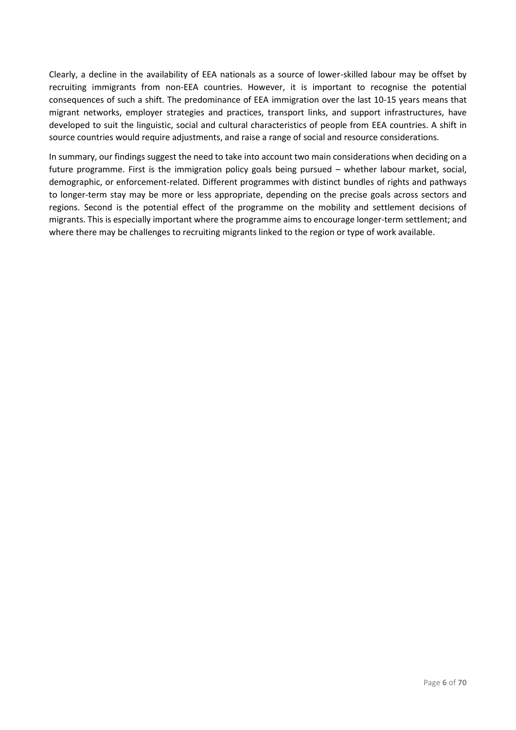Clearly, a decline in the availability of EEA nationals as a source of lower-skilled labour may be offset by recruiting immigrants from non-EEA countries. However, it is important to recognise the potential consequences of such a shift. The predominance of EEA immigration over the last 10-15 years means that migrant networks, employer strategies and practices, transport links, and support infrastructures, have developed to suit the linguistic, social and cultural characteristics of people from EEA countries. A shift in source countries would require adjustments, and raise a range of social and resource considerations.

In summary, our findings suggest the need to take into account two main considerations when deciding on a future programme. First is the immigration policy goals being pursued – whether labour market, social, demographic, or enforcement-related. Different programmes with distinct bundles of rights and pathways to longer-term stay may be more or less appropriate, depending on the precise goals across sectors and regions. Second is the potential effect of the programme on the mobility and settlement decisions of migrants. This is especially important where the programme aims to encourage longer-term settlement; and where there may be challenges to recruiting migrants linked to the region or type of work available.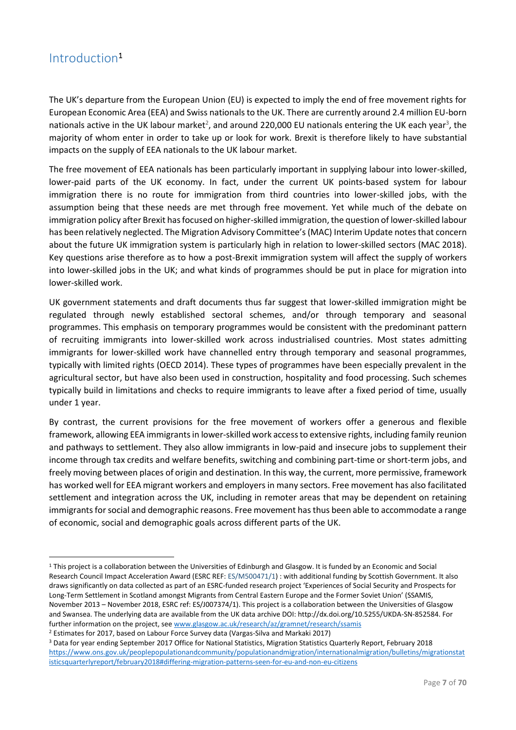# <span id="page-7-0"></span>Introduction<sup>1</sup>

**.** 

The UK's departure from the European Union (EU) is expected to imply the end of free movement rights for European Economic Area (EEA) and Swiss nationals to the UK. There are currently around 2.4 million EU-born nationals active in the UK labour market<sup>2</sup>, and around 220,000 EU nationals entering the UK each year<sup>3</sup>, the majority of whom enter in order to take up or look for work. Brexit is therefore likely to have substantial impacts on the supply of EEA nationals to the UK labour market.

The free movement of EEA nationals has been particularly important in supplying labour into lower-skilled, lower-paid parts of the UK economy. In fact, under the current UK points-based system for labour immigration there is no route for immigration from third countries into lower-skilled jobs, with the assumption being that these needs are met through free movement. Yet while much of the debate on immigration policy after Brexit has focused on higher-skilled immigration, the question of lower-skilled labour has been relatively neglected. The Migration Advisory Committee's (MAC) Interim Update notes that concern about the future UK immigration system is particularly high in relation to lower-skilled sectors (MAC 2018). Key questions arise therefore as to how a post-Brexit immigration system will affect the supply of workers into lower-skilled jobs in the UK; and what kinds of programmes should be put in place for migration into lower-skilled work.

UK government statements and draft documents thus far suggest that lower-skilled immigration might be regulated through newly established sectoral schemes, and/or through temporary and seasonal programmes. This emphasis on temporary programmes would be consistent with the predominant pattern of recruiting immigrants into lower-skilled work across industrialised countries. Most states admitting immigrants for lower-skilled work have channelled entry through temporary and seasonal programmes, typically with limited rights (OECD 2014). These types of programmes have been especially prevalent in the agricultural sector, but have also been used in construction, hospitality and food processing. Such schemes typically build in limitations and checks to require immigrants to leave after a fixed period of time, usually under 1 year.

By contrast, the current provisions for the free movement of workers offer a generous and flexible framework, allowing EEA immigrants in lower-skilled work access to extensive rights, including family reunion and pathways to settlement. They also allow immigrants in low-paid and insecure jobs to supplement their income through tax credits and welfare benefits, switching and combining part-time or short-term jobs, and freely moving between places of origin and destination. In this way, the current, more permissive, framework has worked well for EEA migrant workers and employers in many sectors. Free movement has also facilitated settlement and integration across the UK, including in remoter areas that may be dependent on retaining immigrants for social and demographic reasons. Free movement has thus been able to accommodate a range of economic, social and demographic goals across different parts of the UK.

<sup>1</sup> This project is a collaboration between the Universities of Edinburgh and Glasgow. It is funded by an Economic and Social Research Council Impact Acceleration Award (ESRC REF: ES/M500471/1) : with additional funding by Scottish Government. It also draws significantly on data collected as part of an ESRC-funded research project 'Experiences of Social Security and Prospects for Long-Term Settlement in Scotland amongst Migrants from Central Eastern Europe and the Former Soviet Union' (SSAMIS, November 2013 – November 2018, ESRC ref: ES/J007374/1). This project is a collaboration between the Universities of Glasgow and Swansea. The underlying data are available from the UK data archive DOI: http://dx.doi.org/10.5255/UKDA-SN-852584. For further information on the project, see [www.glasgow.ac.uk/research/az/gramnet/research/ssamis](file:///C:/Users/sarah/AppData/Local/Packages/microsoft.windowscommunicationsapps_8wekyb3d8bbwe/LocalState/Files/S0/2295/www.glasgow.ac.uk/research/az/gramnet/research/ssamis)

<sup>2</sup> Estimates for 2017, based on Labour Force Survey data (Vargas-Silva and Markaki 2017)

<sup>3</sup> Data for year ending September 2017 Office for National Statistics, Migration Statistics Quarterly Report, February 2018 [https://www.ons.gov.uk/peoplepopulationandcommunity/populationandmigration/internationalmigration/bulletins/migrationstat](https://www.ons.gov.uk/peoplepopulationandcommunity/populationandmigration/internationalmigration/bulletins/migrationstatisticsquarterlyreport/february2018#differing-migration-patterns-seen-for-eu-and-non-eu-citizens) [isticsquarterlyreport/february2018#differing-migration-patterns-seen-for-eu-and-non-eu-citizens](https://www.ons.gov.uk/peoplepopulationandcommunity/populationandmigration/internationalmigration/bulletins/migrationstatisticsquarterlyreport/february2018#differing-migration-patterns-seen-for-eu-and-non-eu-citizens)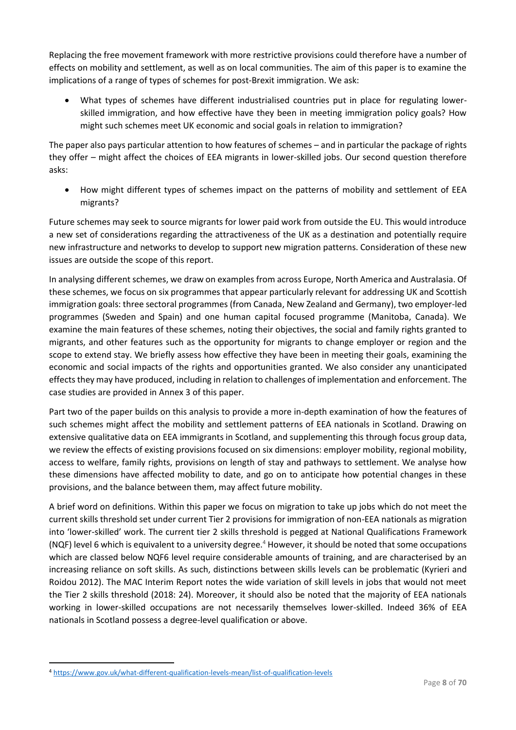Replacing the free movement framework with more restrictive provisions could therefore have a number of effects on mobility and settlement, as well as on local communities. The aim of this paper is to examine the implications of a range of types of schemes for post-Brexit immigration. We ask:

• What types of schemes have different industrialised countries put in place for regulating lowerskilled immigration, and how effective have they been in meeting immigration policy goals? How might such schemes meet UK economic and social goals in relation to immigration?

The paper also pays particular attention to how features of schemes – and in particular the package of rights they offer – might affect the choices of EEA migrants in lower-skilled jobs. Our second question therefore asks:

• How might different types of schemes impact on the patterns of mobility and settlement of EEA migrants?

Future schemes may seek to source migrants for lower paid work from outside the EU. This would introduce a new set of considerations regarding the attractiveness of the UK as a destination and potentially require new infrastructure and networks to develop to support new migration patterns. Consideration of these new issues are outside the scope of this report.

In analysing different schemes, we draw on examples from across Europe, North America and Australasia. Of these schemes, we focus on six programmes that appear particularly relevant for addressing UK and Scottish immigration goals: three sectoral programmes (from Canada, New Zealand and Germany), two employer-led programmes (Sweden and Spain) and one human capital focused programme (Manitoba, Canada). We examine the main features of these schemes, noting their objectives, the social and family rights granted to migrants, and other features such as the opportunity for migrants to change employer or region and the scope to extend stay. We briefly assess how effective they have been in meeting their goals, examining the economic and social impacts of the rights and opportunities granted. We also consider any unanticipated effects they may have produced, including in relation to challenges of implementation and enforcement. The case studies are provided in Annex 3 of this paper.

Part two of the paper builds on this analysis to provide a more in-depth examination of how the features of such schemes might affect the mobility and settlement patterns of EEA nationals in Scotland. Drawing on extensive qualitative data on EEA immigrants in Scotland, and supplementing this through focus group data, we review the effects of existing provisions focused on six dimensions: employer mobility, regional mobility, access to welfare, family rights, provisions on length of stay and pathways to settlement. We analyse how these dimensions have affected mobility to date, and go on to anticipate how potential changes in these provisions, and the balance between them, may affect future mobility.

A brief word on definitions. Within this paper we focus on migration to take up jobs which do not meet the current skills threshold set under current Tier 2 provisions for immigration of non-EEA nationals as migration into 'lower-skilled' work. The current tier 2 skills threshold is pegged at National Qualifications Framework (NQF) level 6 which is equivalent to a university degree.<sup>4</sup> However, it should be noted that some occupations which are classed below NQF6 level require considerable amounts of training, and are characterised by an increasing reliance on soft skills. As such, distinctions between skills levels can be problematic (Kyrieri and Roidou 2012). The MAC Interim Report notes the wide variation of skill levels in jobs that would not meet the Tier 2 skills threshold (2018: 24). Moreover, it should also be noted that the majority of EEA nationals working in lower-skilled occupations are not necessarily themselves lower-skilled. Indeed 36% of EEA nationals in Scotland possess a degree-level qualification or above.

1

<sup>4</sup> <https://www.gov.uk/what-different-qualification-levels-mean/list-of-qualification-levels>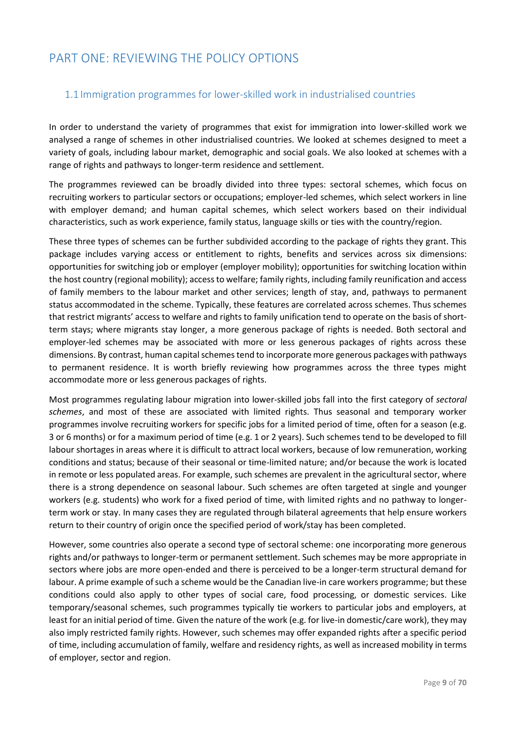# <span id="page-9-0"></span>PART ONE: REVIEWING THE POLICY OPTIONS

# <span id="page-9-1"></span>1.1 Immigration programmes for lower-skilled work in industrialised countries

In order to understand the variety of programmes that exist for immigration into lower-skilled work we analysed a range of schemes in other industrialised countries. We looked at schemes designed to meet a variety of goals, including labour market, demographic and social goals. We also looked at schemes with a range of rights and pathways to longer-term residence and settlement.

The programmes reviewed can be broadly divided into three types: sectoral schemes, which focus on recruiting workers to particular sectors or occupations; employer-led schemes, which select workers in line with employer demand; and human capital schemes, which select workers based on their individual characteristics, such as work experience, family status, language skills or ties with the country/region.

These three types of schemes can be further subdivided according to the package of rights they grant. This package includes varying access or entitlement to rights, benefits and services across six dimensions: opportunities for switching job or employer (employer mobility); opportunities for switching location within the host country (regional mobility); access to welfare; family rights, including family reunification and access of family members to the labour market and other services; length of stay, and, pathways to permanent status accommodated in the scheme. Typically, these features are correlated across schemes. Thus schemes that restrict migrants' access to welfare and rights to family unification tend to operate on the basis of shortterm stays; where migrants stay longer, a more generous package of rights is needed. Both sectoral and employer-led schemes may be associated with more or less generous packages of rights across these dimensions. By contrast, human capital schemes tend to incorporate more generous packages with pathways to permanent residence. It is worth briefly reviewing how programmes across the three types might accommodate more or less generous packages of rights.

Most programmes regulating labour migration into lower-skilled jobs fall into the first category of *sectoral schemes*, and most of these are associated with limited rights. Thus seasonal and temporary worker programmes involve recruiting workers for specific jobs for a limited period of time, often for a season (e.g. 3 or 6 months) or for a maximum period of time (e.g. 1 or 2 years). Such schemes tend to be developed to fill labour shortages in areas where it is difficult to attract local workers, because of low remuneration, working conditions and status; because of their seasonal or time-limited nature; and/or because the work is located in remote or less populated areas. For example, such schemes are prevalent in the agricultural sector, where there is a strong dependence on seasonal labour. Such schemes are often targeted at single and younger workers (e.g. students) who work for a fixed period of time, with limited rights and no pathway to longerterm work or stay. In many cases they are regulated through bilateral agreements that help ensure workers return to their country of origin once the specified period of work/stay has been completed.

However, some countries also operate a second type of sectoral scheme: one incorporating more generous rights and/or pathways to longer-term or permanent settlement. Such schemes may be more appropriate in sectors where jobs are more open-ended and there is perceived to be a longer-term structural demand for labour. A prime example of such a scheme would be the Canadian live-in care workers programme; but these conditions could also apply to other types of social care, food processing, or domestic services. Like temporary/seasonal schemes, such programmes typically tie workers to particular jobs and employers, at least for an initial period of time. Given the nature of the work (e.g. for live-in domestic/care work), they may also imply restricted family rights. However, such schemes may offer expanded rights after a specific period of time, including accumulation of family, welfare and residency rights, as well as increased mobility in terms of employer, sector and region.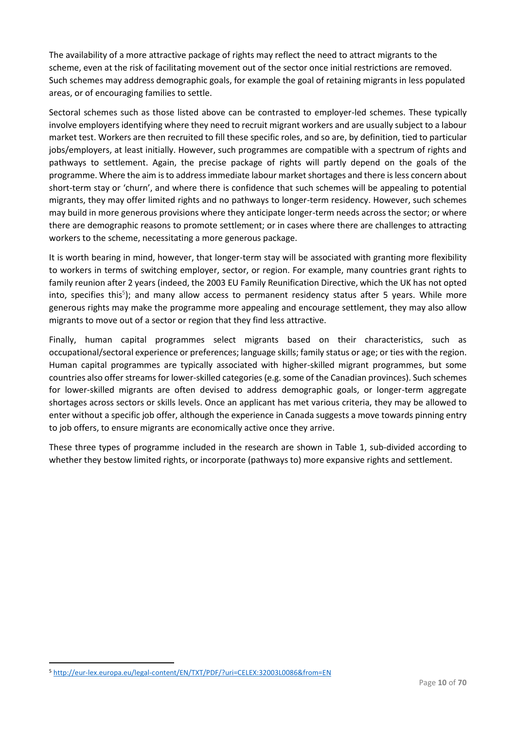The availability of a more attractive package of rights may reflect the need to attract migrants to the scheme, even at the risk of facilitating movement out of the sector once initial restrictions are removed. Such schemes may address demographic goals, for example the goal of retaining migrants in less populated areas, or of encouraging families to settle.

Sectoral schemes such as those listed above can be contrasted to employer-led schemes. These typically involve employers identifying where they need to recruit migrant workers and are usually subject to a labour market test. Workers are then recruited to fill these specific roles, and so are, by definition, tied to particular jobs/employers, at least initially. However, such programmes are compatible with a spectrum of rights and pathways to settlement. Again, the precise package of rights will partly depend on the goals of the programme. Where the aim is to address immediate labour market shortages and there is less concern about short-term stay or 'churn', and where there is confidence that such schemes will be appealing to potential migrants, they may offer limited rights and no pathways to longer-term residency. However, such schemes may build in more generous provisions where they anticipate longer-term needs across the sector; or where there are demographic reasons to promote settlement; or in cases where there are challenges to attracting workers to the scheme, necessitating a more generous package.

It is worth bearing in mind, however, that longer-term stay will be associated with granting more flexibility to workers in terms of switching employer, sector, or region. For example, many countries grant rights to family reunion after 2 years (indeed, the 2003 EU Family Reunification Directive, which the UK has not opted into, specifies this<sup>5</sup>); and many allow access to permanent residency status after 5 years. While more generous rights may make the programme more appealing and encourage settlement, they may also allow migrants to move out of a sector or region that they find less attractive.

Finally, human capital programmes select migrants based on their characteristics, such as occupational/sectoral experience or preferences; language skills; family status or age; or ties with the region. Human capital programmes are typically associated with higher-skilled migrant programmes, but some countries also offer streams for lower-skilled categories (e.g. some of the Canadian provinces). Such schemes for lower-skilled migrants are often devised to address demographic goals, or longer-term aggregate shortages across sectors or skills levels. Once an applicant has met various criteria, they may be allowed to enter without a specific job offer, although the experience in Canada suggests a move towards pinning entry to job offers, to ensure migrants are economically active once they arrive.

These three types of programme included in the research are shown in Table 1, sub-divided according to whether they bestow limited rights, or incorporate (pathways to) more expansive rights and settlement.

<sup>1</sup> <sup>5</sup> <http://eur-lex.europa.eu/legal-content/EN/TXT/PDF/?uri=CELEX:32003L0086&from=EN>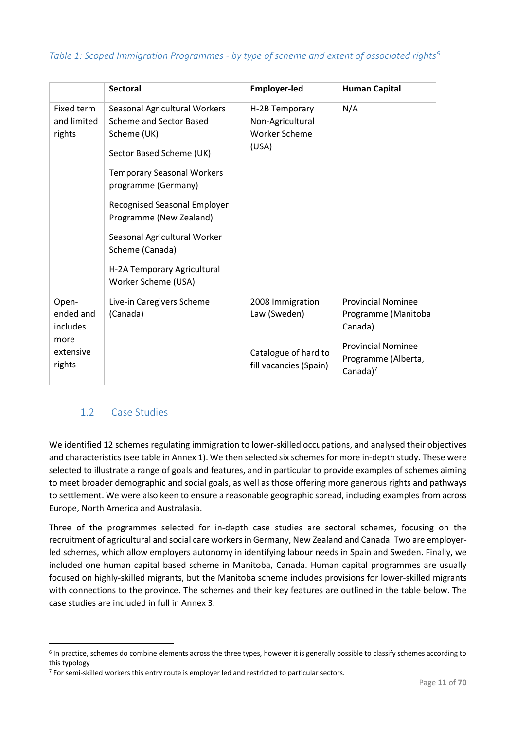# *Table 1: Scoped Immigration Programmes - by type of scheme and extent of associated rights<sup>6</sup>*

|                                     | <b>Sectoral</b>                                                                                                                                                                                                                                                                                                                                   | <b>Employer-led</b>                                                 | <b>Human Capital</b>                                             |
|-------------------------------------|---------------------------------------------------------------------------------------------------------------------------------------------------------------------------------------------------------------------------------------------------------------------------------------------------------------------------------------------------|---------------------------------------------------------------------|------------------------------------------------------------------|
| Fixed term<br>and limited<br>rights | Seasonal Agricultural Workers<br><b>Scheme and Sector Based</b><br>Scheme (UK)<br>Sector Based Scheme (UK)<br><b>Temporary Seasonal Workers</b><br>programme (Germany)<br><b>Recognised Seasonal Employer</b><br>Programme (New Zealand)<br>Seasonal Agricultural Worker<br>Scheme (Canada)<br>H-2A Temporary Agricultural<br>Worker Scheme (USA) | H-2B Temporary<br>Non-Agricultural<br><b>Worker Scheme</b><br>(USA) | N/A                                                              |
| Open-<br>ended and<br>includes      | Live-in Caregivers Scheme<br>(Canada)                                                                                                                                                                                                                                                                                                             | 2008 Immigration<br>Law (Sweden)                                    | <b>Provincial Nominee</b><br>Programme (Manitoba<br>Canada)      |
| more<br>extensive<br>rights         |                                                                                                                                                                                                                                                                                                                                                   | Catalogue of hard to<br>fill vacancies (Spain)                      | <b>Provincial Nominee</b><br>Programme (Alberta,<br>Canada $)^7$ |

# <span id="page-11-0"></span>1.2 Case Studies

**.** 

We identified 12 schemes regulating immigration to lower-skilled occupations, and analysed their objectives and characteristics (see table in Annex 1). We then selected six schemes for more in-depth study. These were selected to illustrate a range of goals and features, and in particular to provide examples of schemes aiming to meet broader demographic and social goals, as well as those offering more generous rights and pathways to settlement. We were also keen to ensure a reasonable geographic spread, including examples from across Europe, North America and Australasia.

Three of the programmes selected for in-depth case studies are sectoral schemes, focusing on the recruitment of agricultural and social care workers in Germany, New Zealand and Canada. Two are employerled schemes, which allow employers autonomy in identifying labour needs in Spain and Sweden. Finally, we included one human capital based scheme in Manitoba, Canada. Human capital programmes are usually focused on highly-skilled migrants, but the Manitoba scheme includes provisions for lower-skilled migrants with connections to the province. The schemes and their key features are outlined in the table below. The case studies are included in full in Annex 3.

<sup>6</sup> In practice, schemes do combine elements across the three types, however it is generally possible to classify schemes according to this typology

<sup>&</sup>lt;sup>7</sup> For semi-skilled workers this entry route is employer led and restricted to particular sectors.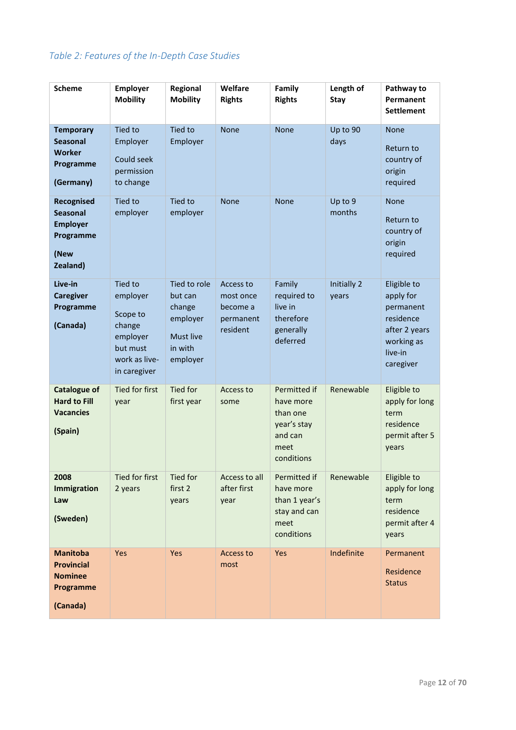# *Table 2: Features of the In-Depth Case Studies*

| <b>Scheme</b>                                                                     | Employer<br><b>Mobility</b>                                                                               | Regional<br><b>Mobility</b>                                                              | Welfare<br><b>Rights</b>                                    | Family<br><b>Rights</b>                                                               | Length of<br><b>Stay</b> | Pathway to<br>Permanent<br><b>Settlement</b>                                                              |
|-----------------------------------------------------------------------------------|-----------------------------------------------------------------------------------------------------------|------------------------------------------------------------------------------------------|-------------------------------------------------------------|---------------------------------------------------------------------------------------|--------------------------|-----------------------------------------------------------------------------------------------------------|
| <b>Temporary</b><br><b>Seasonal</b><br><b>Worker</b><br>Programme<br>(Germany)    | <b>Tied to</b><br>Employer<br>Could seek<br>permission<br>to change                                       | Tied to<br>Employer                                                                      | <b>None</b>                                                 | None                                                                                  | Up to 90<br>days         | <b>None</b><br>Return to<br>country of<br>origin<br>required                                              |
| Recognised<br><b>Seasonal</b><br><b>Employer</b><br>Programme<br>(New<br>Zealand) | Tied to<br>employer                                                                                       | Tied to<br>employer                                                                      | <b>None</b>                                                 | <b>None</b>                                                                           | Up to 9<br>months        | <b>None</b><br>Return to<br>country of<br>origin<br>required                                              |
| Live-in<br><b>Caregiver</b><br>Programme<br>(Canada)                              | <b>Tied to</b><br>employer<br>Scope to<br>change<br>employer<br>but must<br>work as live-<br>in caregiver | Tied to role<br>but can<br>change<br>employer<br><b>Must live</b><br>in with<br>employer | Access to<br>most once<br>become a<br>permanent<br>resident | Family<br>required to<br>live in<br>therefore<br>generally<br>deferred                | Initially 2<br>years     | Eligible to<br>apply for<br>permanent<br>residence<br>after 2 years<br>working as<br>live-in<br>caregiver |
| <b>Catalogue of</b><br><b>Hard to Fill</b><br><b>Vacancies</b><br>(Spain)         | <b>Tied for first</b><br>year                                                                             | Tied for<br>first year                                                                   | Access to<br>some                                           | Permitted if<br>have more<br>than one<br>year's stay<br>and can<br>meet<br>conditions | Renewable                | Eligible to<br>apply for long<br>term<br>residence<br>permit after 5<br>years                             |
| 2008<br>Immigration<br>Law<br>(Sweden)                                            | Tied for first<br>2 years                                                                                 | Tied for<br>first 2<br>years                                                             | Access to all<br>after first<br>year                        | Permitted if<br>have more<br>than 1 year's<br>stay and can<br>meet<br>conditions      | Renewable                | Eligible to<br>apply for long<br>term<br>residence<br>permit after 4<br>years                             |
| <b>Manitoba</b><br><b>Provincial</b><br><b>Nominee</b><br>Programme<br>(Canada)   | Yes                                                                                                       | Yes                                                                                      | Access to<br>most                                           | Yes                                                                                   | Indefinite               | Permanent<br>Residence<br><b>Status</b>                                                                   |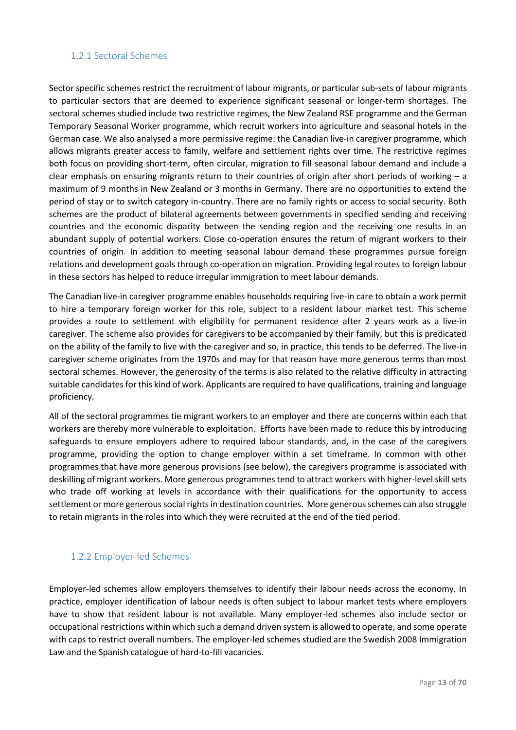# 1.2.1 Sectoral Schemes

Sector specific schemes restrict the recruitment of labour migrants, or particular sub-sets of labour migrants to particular sectors that are deemed to experience significant seasonal or longer-term shortages. The sectoral schemes studied include two restrictive regimes, the New Zealand RSE programme and the German Temporary Seasonal Worker programme, which recruit workers into agriculture and seasonal hotels in the German case. We also analysed a more permissive regime: the Canadian live-in caregiver programme, which allows migrants greater access to family, welfare and settlement rights over time. The restrictive regimes both focus on providing short-term, often circular, migration to fill seasonal labour demand and include a clear emphasis on ensuring migrants return to their countries of origin after short periods of working – a maximum of 9 months in New Zealand or 3 months in Germany. There are no opportunities to extend the period of stay or to switch category in-country. There are no family rights or access to social security. Both schemes are the product of bilateral agreements between governments in specified sending and receiving countries and the economic disparity between the sending region and the receiving one results in an abundant supply of potential workers. Close co-operation ensures the return of migrant workers to their countries of origin. In addition to meeting seasonal labour demand these programmes pursue foreign relations and development goals through co-operation on migration. Providing legal routes to foreign labour in these sectors has helped to reduce irregular immigration to meet labour demands.

The Canadian live-in caregiver programme enables households requiring live-in care to obtain a work permit to hire a temporary foreign worker for this role, subject to a resident labour market test. This scheme provides a route to settlement with eligibility for permanent residence after 2 years work as a live-in caregiver. The scheme also provides for caregivers to be accompanied by their family, but this is predicated on the ability of the family to live with the caregiver and so, in practice, this tends to be deferred. The live-in caregiver scheme originates from the 1970s and may for that reason have more generous terms than most sectoral schemes. However, the generosity of the terms is also related to the relative difficulty in attracting suitable candidates for this kind of work. Applicants are required to have qualifications, training and language proficiency.

All of the sectoral programmes tie migrant workers to an employer and there are concerns within each that workers are thereby more vulnerable to exploitation. Efforts have been made to reduce this by introducing safeguards to ensure employers adhere to required labour standards, and, in the case of the caregivers programme, providing the option to change employer within a set timeframe. In common with other programmes that have more generous provisions (see below), the caregivers programme is associated with deskilling of migrant workers. More generous programmes tend to attract workers with higher-level skill sets who trade off working at levels in accordance with their qualifications for the opportunity to access settlement or more generous social rights in destination countries. More generous schemes can also struggle to retain migrants in the roles into which they were recruited at the end of the tied period.

# 1.2.2 Employer-led Schemes

Employer-led schemes allow employers themselves to identify their labour needs across the economy. In practice, employer identification of labour needs is often subject to labour market tests where employers have to show that resident labour is not available. Many employer-led schemes also include sector or occupational restrictions within which such a demand driven system is allowed to operate, and some operate with caps to restrict overall numbers. The employer-led schemes studied are the Swedish 2008 Immigration Law and the Spanish catalogue of hard-to-fill vacancies.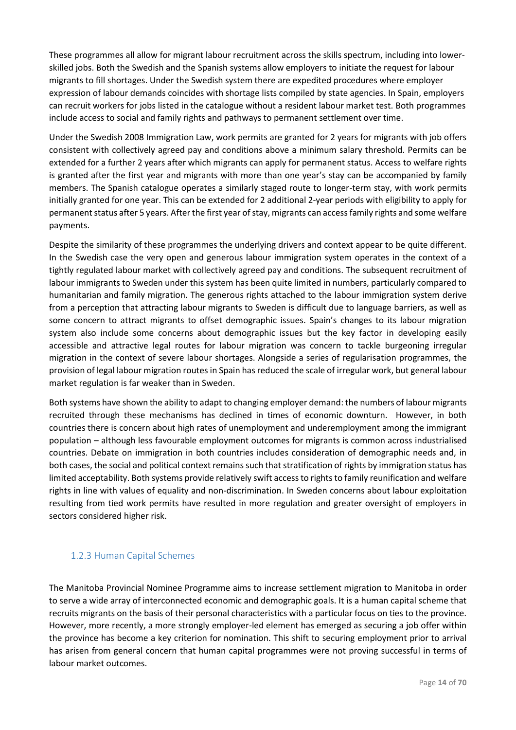These programmes all allow for migrant labour recruitment across the skills spectrum, including into lowerskilled jobs. Both the Swedish and the Spanish systems allow employers to initiate the request for labour migrants to fill shortages. Under the Swedish system there are expedited procedures where employer expression of labour demands coincides with shortage lists compiled by state agencies. In Spain, employers can recruit workers for jobs listed in the catalogue without a resident labour market test. Both programmes include access to social and family rights and pathways to permanent settlement over time.

Under the Swedish 2008 Immigration Law, work permits are granted for 2 years for migrants with job offers consistent with collectively agreed pay and conditions above a minimum salary threshold. Permits can be extended for a further 2 years after which migrants can apply for permanent status. Access to welfare rights is granted after the first year and migrants with more than one year's stay can be accompanied by family members. The Spanish catalogue operates a similarly staged route to longer-term stay, with work permits initially granted for one year. This can be extended for 2 additional 2-year periods with eligibility to apply for permanent status after 5 years. After the first year of stay, migrants can access family rights and some welfare payments.

Despite the similarity of these programmes the underlying drivers and context appear to be quite different. In the Swedish case the very open and generous labour immigration system operates in the context of a tightly regulated labour market with collectively agreed pay and conditions. The subsequent recruitment of labour immigrants to Sweden under this system has been quite limited in numbers, particularly compared to humanitarian and family migration. The generous rights attached to the labour immigration system derive from a perception that attracting labour migrants to Sweden is difficult due to language barriers, as well as some concern to attract migrants to offset demographic issues. Spain's changes to its labour migration system also include some concerns about demographic issues but the key factor in developing easily accessible and attractive legal routes for labour migration was concern to tackle burgeoning irregular migration in the context of severe labour shortages. Alongside a series of regularisation programmes, the provision of legal labour migration routes in Spain has reduced the scale of irregular work, but general labour market regulation is far weaker than in Sweden.

Both systems have shown the ability to adapt to changing employer demand: the numbers of labour migrants recruited through these mechanisms has declined in times of economic downturn. However, in both countries there is concern about high rates of unemployment and underemployment among the immigrant population – although less favourable employment outcomes for migrants is common across industrialised countries. Debate on immigration in both countries includes consideration of demographic needs and, in both cases, the social and political context remains such that stratification of rights by immigration status has limited acceptability. Both systems provide relatively swift access to rights to family reunification and welfare rights in line with values of equality and non-discrimination. In Sweden concerns about labour exploitation resulting from tied work permits have resulted in more regulation and greater oversight of employers in sectors considered higher risk.

# 1.2.3 Human Capital Schemes

The Manitoba Provincial Nominee Programme aims to increase settlement migration to Manitoba in order to serve a wide array of interconnected economic and demographic goals. It is a human capital scheme that recruits migrants on the basis of their personal characteristics with a particular focus on ties to the province. However, more recently, a more strongly employer-led element has emerged as securing a job offer within the province has become a key criterion for nomination. This shift to securing employment prior to arrival has arisen from general concern that human capital programmes were not proving successful in terms of labour market outcomes.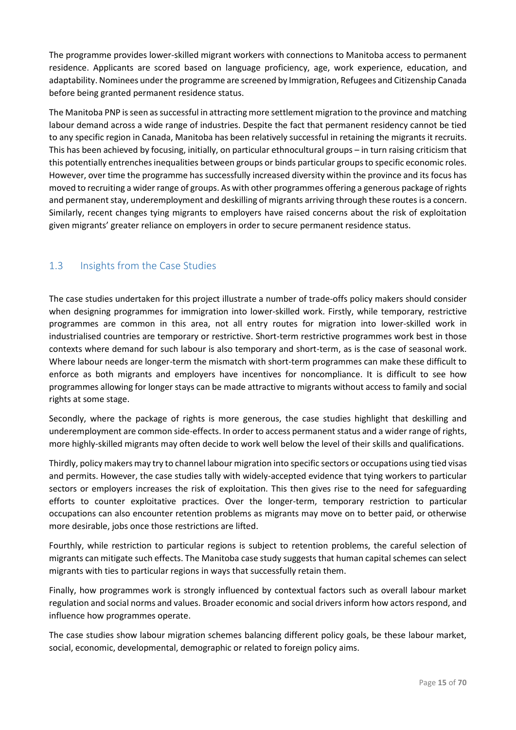The programme provides lower-skilled migrant workers with connections to Manitoba access to permanent residence. Applicants are scored based on language proficiency, age, work experience, education, and adaptability. Nominees under the programme are screened by Immigration, Refugees and Citizenship Canada before being granted permanent residence status.

The Manitoba PNP is seen as successful in attracting more settlement migration to the province and matching labour demand across a wide range of industries. Despite the fact that permanent residency cannot be tied to any specific region in Canada, Manitoba has been relatively successful in retaining the migrants it recruits. This has been achieved by focusing, initially, on particular ethnocultural groups – in turn raising criticism that this potentially entrenchesinequalities between groups or binds particular groups to specific economic roles. However, over time the programme has successfully increased diversity within the province and its focus has moved to recruiting a wider range of groups. As with other programmes offering a generous package of rights and permanent stay, underemployment and deskilling of migrants arriving through these routes is a concern. Similarly, recent changes tying migrants to employers have raised concerns about the risk of exploitation given migrants' greater reliance on employers in order to secure permanent residence status.

# <span id="page-15-0"></span>1.3 Insights from the Case Studies

The case studies undertaken for this project illustrate a number of trade-offs policy makers should consider when designing programmes for immigration into lower-skilled work. Firstly, while temporary, restrictive programmes are common in this area, not all entry routes for migration into lower-skilled work in industrialised countries are temporary or restrictive. Short-term restrictive programmes work best in those contexts where demand for such labour is also temporary and short-term, as is the case of seasonal work. Where labour needs are longer-term the mismatch with short-term programmes can make these difficult to enforce as both migrants and employers have incentives for noncompliance. It is difficult to see how programmes allowing for longer stays can be made attractive to migrants without access to family and social rights at some stage.

Secondly, where the package of rights is more generous, the case studies highlight that deskilling and underemployment are common side-effects. In order to access permanent status and a wider range of rights, more highly-skilled migrants may often decide to work well below the level of their skills and qualifications.

Thirdly, policy makers may try to channel labour migration into specific sectors or occupations using tied visas and permits. However, the case studies tally with widely-accepted evidence that tying workers to particular sectors or employers increases the risk of exploitation. This then gives rise to the need for safeguarding efforts to counter exploitative practices. Over the longer-term, temporary restriction to particular occupations can also encounter retention problems as migrants may move on to better paid, or otherwise more desirable, jobs once those restrictions are lifted.

Fourthly, while restriction to particular regions is subject to retention problems, the careful selection of migrants can mitigate such effects. The Manitoba case study suggests that human capital schemes can select migrants with ties to particular regions in ways that successfully retain them.

Finally, how programmes work is strongly influenced by contextual factors such as overall labour market regulation and social norms and values. Broader economic and social drivers inform how actors respond, and influence how programmes operate.

The case studies show labour migration schemes balancing different policy goals, be these labour market, social, economic, developmental, demographic or related to foreign policy aims.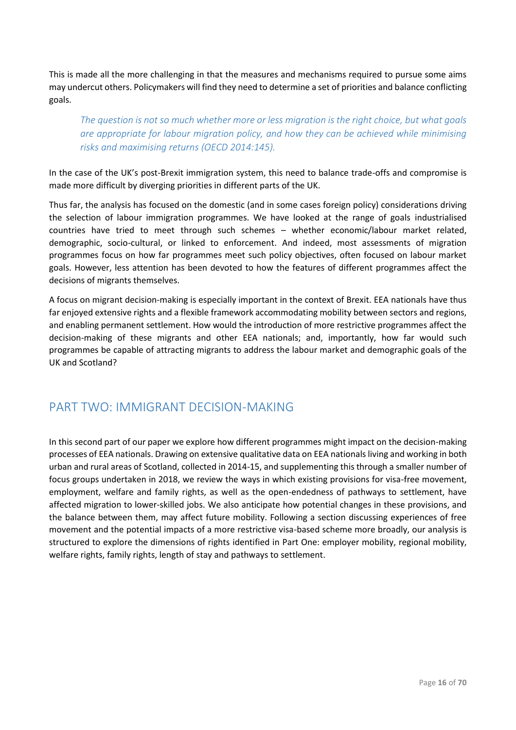This is made all the more challenging in that the measures and mechanisms required to pursue some aims may undercut others. Policymakers will find they need to determine a set of priorities and balance conflicting goals.

*The question is not so much whether more or less migration is the right choice, but what goals are appropriate for labour migration policy, and how they can be achieved while minimising risks and maximising returns (OECD 2014:145).* 

In the case of the UK's post-Brexit immigration system, this need to balance trade-offs and compromise is made more difficult by diverging priorities in different parts of the UK.

Thus far, the analysis has focused on the domestic (and in some cases foreign policy) considerations driving the selection of labour immigration programmes. We have looked at the range of goals industrialised countries have tried to meet through such schemes – whether economic/labour market related, demographic, socio-cultural, or linked to enforcement. And indeed, most assessments of migration programmes focus on how far programmes meet such policy objectives, often focused on labour market goals. However, less attention has been devoted to how the features of different programmes affect the decisions of migrants themselves.

A focus on migrant decision-making is especially important in the context of Brexit. EEA nationals have thus far enjoyed extensive rights and a flexible framework accommodating mobility between sectors and regions, and enabling permanent settlement. How would the introduction of more restrictive programmes affect the decision-making of these migrants and other EEA nationals; and, importantly, how far would such programmes be capable of attracting migrants to address the labour market and demographic goals of the UK and Scotland?

# <span id="page-16-0"></span>PART TWO: IMMIGRANT DECISION-MAKING

In this second part of our paper we explore how different programmes might impact on the decision-making processes of EEA nationals. Drawing on extensive qualitative data on EEA nationals living and working in both urban and rural areas of Scotland, collected in 2014-15, and supplementing this through a smaller number of focus groups undertaken in 2018, we review the ways in which existing provisions for visa-free movement, employment, welfare and family rights, as well as the open-endedness of pathways to settlement, have affected migration to lower-skilled jobs. We also anticipate how potential changes in these provisions, and the balance between them, may affect future mobility. Following a section discussing experiences of free movement and the potential impacts of a more restrictive visa-based scheme more broadly, our analysis is structured to explore the dimensions of rights identified in Part One: employer mobility, regional mobility, welfare rights, family rights, length of stay and pathways to settlement.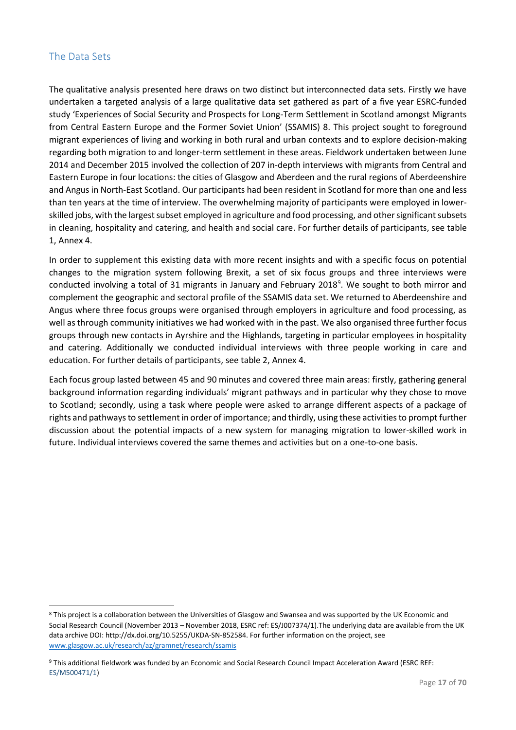# <span id="page-17-0"></span>The Data Sets

1

The qualitative analysis presented here draws on two distinct but interconnected data sets. Firstly we have undertaken a targeted analysis of a large qualitative data set gathered as part of a five year ESRC-funded study 'Experiences of Social Security and Prospects for Long-Term Settlement in Scotland amongst Migrants from Central Eastern Europe and the Former Soviet Union' (SSAMIS) 8. This project sought to foreground migrant experiences of living and working in both rural and urban contexts and to explore decision-making regarding both migration to and longer-term settlement in these areas. Fieldwork undertaken between June 2014 and December 2015 involved the collection of 207 in-depth interviews with migrants from Central and Eastern Europe in four locations: the cities of Glasgow and Aberdeen and the rural regions of Aberdeenshire and Angus in North-East Scotland. Our participants had been resident in Scotland for more than one and less than ten years at the time of interview. The overwhelming majority of participants were employed in lowerskilled jobs, with the largest subset employed in agriculture and food processing, and other significant subsets in cleaning, hospitality and catering, and health and social care. For further details of participants, see table 1, Annex 4.

In order to supplement this existing data with more recent insights and with a specific focus on potential changes to the migration system following Brexit, a set of six focus groups and three interviews were conducted involving a total of 31 migrants in January and February 2018<sup>9</sup>. We sought to both mirror and complement the geographic and sectoral profile of the SSAMIS data set. We returned to Aberdeenshire and Angus where three focus groups were organised through employers in agriculture and food processing, as well as through community initiatives we had worked with in the past. We also organised three further focus groups through new contacts in Ayrshire and the Highlands, targeting in particular employees in hospitality and catering. Additionally we conducted individual interviews with three people working in care and education. For further details of participants, see table 2, Annex 4.

Each focus group lasted between 45 and 90 minutes and covered three main areas: firstly, gathering general background information regarding individuals' migrant pathways and in particular why they chose to move to Scotland; secondly, using a task where people were asked to arrange different aspects of a package of rights and pathways to settlement in order of importance; and thirdly, using these activities to prompt further discussion about the potential impacts of a new system for managing migration to lower-skilled work in future. Individual interviews covered the same themes and activities but on a one-to-one basis.

<sup>8</sup> This project is a collaboration between the Universities of Glasgow and Swansea and was supported by the UK Economic and Social Research Council (November 2013 – November 2018, ESRC ref: ES/J007374/1).The underlying data are available from the UK data archive DOI: http://dx.doi.org/10.5255/UKDA-SN-852584. For further information on the project, see [www.glasgow.ac.uk/research/az/gramnet/research/ssamis](http://www.glasgow.ac.uk/research/az/gramnet/research/ssamis)

<sup>9</sup> This additional fieldwork was funded by an Economic and Social Research Council Impact Acceleration Award (ESRC REF: ES/M500471/1)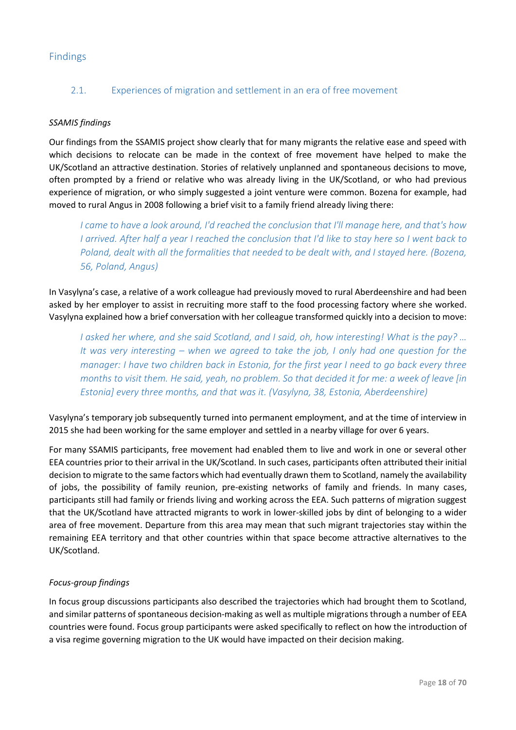# <span id="page-18-0"></span>Findings

# 2.1. Experiences of migration and settlement in an era of free movement

# *SSAMIS findings*

Our findings from the SSAMIS project show clearly that for many migrants the relative ease and speed with which decisions to relocate can be made in the context of free movement have helped to make the UK/Scotland an attractive destination. Stories of relatively unplanned and spontaneous decisions to move, often prompted by a friend or relative who was already living in the UK/Scotland, or who had previous experience of migration, or who simply suggested a joint venture were common. Bozena for example, had moved to rural Angus in 2008 following a brief visit to a family friend already living there:

*I came to have a look around, I'd reached the conclusion that I'll manage here, and that's how I arrived. After half a year I reached the conclusion that I'd like to stay here so I went back to Poland, dealt with all the formalities that needed to be dealt with, and I stayed here. (Bozena, 56, Poland, Angus)*

In Vasylyna's case, a relative of a work colleague had previously moved to rural Aberdeenshire and had been asked by her employer to assist in recruiting more staff to the food processing factory where she worked. Vasylyna explained how a brief conversation with her colleague transformed quickly into a decision to move:

*I asked her where, and she said Scotland, and I said, oh, how interesting! What is the pay? … It was very interesting – when we agreed to take the job, I only had one question for the manager: I have two children back in Estonia, for the first year I need to go back every three months to visit them. He said, yeah, no problem. So that decided it for me: a week of leave [in Estonia] every three months, and that was it. (Vasylyna, 38, Estonia, Aberdeenshire)*

Vasylyna's temporary job subsequently turned into permanent employment, and at the time of interview in 2015 she had been working for the same employer and settled in a nearby village for over 6 years.

For many SSAMIS participants, free movement had enabled them to live and work in one or several other EEA countries prior to their arrival in the UK/Scotland. In such cases, participants often attributed their initial decision to migrate to the same factors which had eventually drawn them to Scotland, namely the availability of jobs, the possibility of family reunion, pre-existing networks of family and friends. In many cases, participants still had family or friends living and working across the EEA. Such patterns of migration suggest that the UK/Scotland have attracted migrants to work in lower-skilled jobs by dint of belonging to a wider area of free movement. Departure from this area may mean that such migrant trajectories stay within the remaining EEA territory and that other countries within that space become attractive alternatives to the UK/Scotland.

### *Focus-group findings*

In focus group discussions participants also described the trajectories which had brought them to Scotland, and similar patterns of spontaneous decision-making as well as multiple migrations through a number of EEA countries were found. Focus group participants were asked specifically to reflect on how the introduction of a visa regime governing migration to the UK would have impacted on their decision making.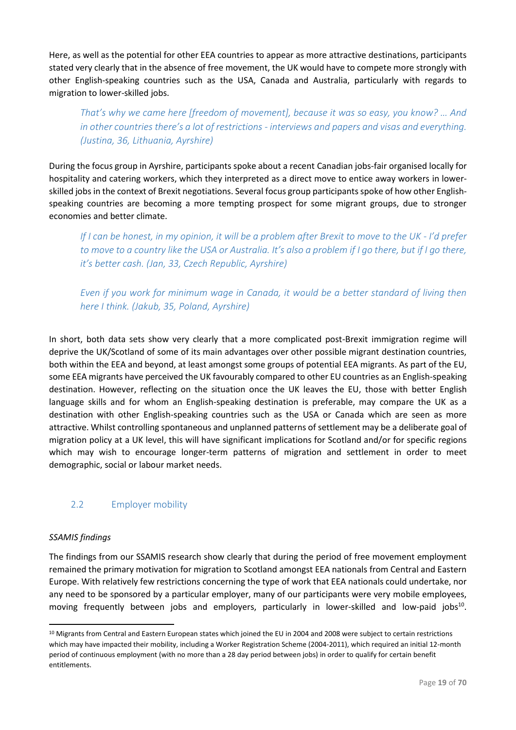Here, as well as the potential for other EEA countries to appear as more attractive destinations, participants stated very clearly that in the absence of free movement, the UK would have to compete more strongly with other English-speaking countries such as the USA, Canada and Australia, particularly with regards to migration to lower-skilled jobs.

*That's why we came here [freedom of movement], because it was so easy, you know? … And in other countries there's a lot of restrictions - interviews and papers and visas and everything. (Justina, 36, Lithuania, Ayrshire)*

During the focus group in Ayrshire, participants spoke about a recent Canadian jobs-fair organised locally for hospitality and catering workers, which they interpreted as a direct move to entice away workers in lowerskilled jobs in the context of Brexit negotiations. Several focus group participants spoke of how other Englishspeaking countries are becoming a more tempting prospect for some migrant groups, due to stronger economies and better climate.

*If I can be honest, in my opinion, it will be a problem after Brexit to move to the UK - I'd prefer to move to a country like the USA or Australia. It's also a problem if I go there, but if I go there, it's better cash. (Jan, 33, Czech Republic, Ayrshire)*

*Even if you work for minimum wage in Canada, it would be a better standard of living then here I think. (Jakub, 35, Poland, Ayrshire)*

In short, both data sets show very clearly that a more complicated post-Brexit immigration regime will deprive the UK/Scotland of some of its main advantages over other possible migrant destination countries, both within the EEA and beyond, at least amongst some groups of potential EEA migrants. As part of the EU, some EEA migrants have perceived the UK favourably compared to other EU countries as an English-speaking destination. However, reflecting on the situation once the UK leaves the EU, those with better English language skills and for whom an English-speaking destination is preferable, may compare the UK as a destination with other English-speaking countries such as the USA or Canada which are seen as more attractive. Whilst controlling spontaneous and unplanned patterns of settlement may be a deliberate goal of migration policy at a UK level, this will have significant implications for Scotland and/or for specific regions which may wish to encourage longer-term patterns of migration and settlement in order to meet demographic, social or labour market needs.

# 2.2 Employer mobility

# *SSAMIS findings*

**.** 

The findings from our SSAMIS research show clearly that during the period of free movement employment remained the primary motivation for migration to Scotland amongst EEA nationals from Central and Eastern Europe. With relatively few restrictions concerning the type of work that EEA nationals could undertake, nor any need to be sponsored by a particular employer, many of our participants were very mobile employees, moving frequently between jobs and employers, particularly in lower-skilled and low-paid jobs<sup>10</sup>.

<sup>&</sup>lt;sup>10</sup> Migrants from Central and Eastern European states which joined the EU in 2004 and 2008 were subject to certain restrictions which may have impacted their mobility, including a Worker Registration Scheme (2004-2011), which required an initial 12-month period of continuous employment (with no more than a 28 day period between jobs) in order to qualify for certain benefit entitlements.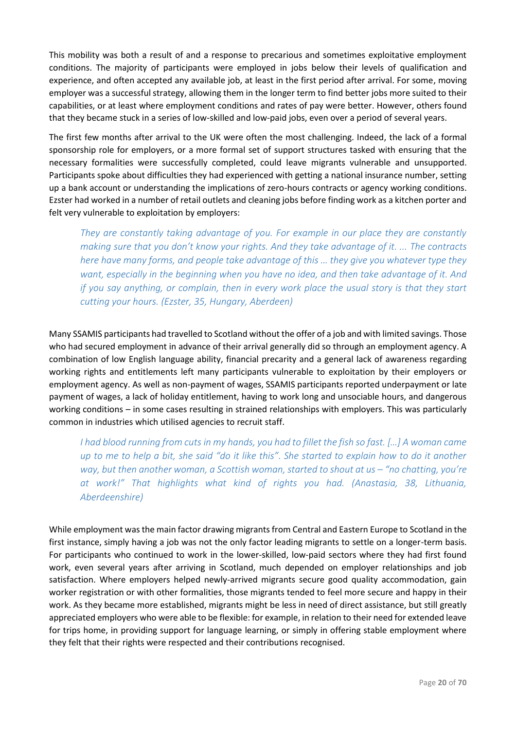This mobility was both a result of and a response to precarious and sometimes exploitative employment conditions. The majority of participants were employed in jobs below their levels of qualification and experience, and often accepted any available job, at least in the first period after arrival. For some, moving employer was a successful strategy, allowing them in the longer term to find better jobs more suited to their capabilities, or at least where employment conditions and rates of pay were better. However, others found that they became stuck in a series of low-skilled and low-paid jobs, even over a period of several years.

The first few months after arrival to the UK were often the most challenging. Indeed, the lack of a formal sponsorship role for employers, or a more formal set of support structures tasked with ensuring that the necessary formalities were successfully completed, could leave migrants vulnerable and unsupported. Participants spoke about difficulties they had experienced with getting a national insurance number, setting up a bank account or understanding the implications of zero-hours contracts or agency working conditions. Ezster had worked in a number of retail outlets and cleaning jobs before finding work as a kitchen porter and felt very vulnerable to exploitation by employers:

*They are constantly taking advantage of you. For example in our place they are constantly making sure that you don't know your rights. And they take advantage of it. ... The contracts here have many forms, and people take advantage of this … they give you whatever type they want, especially in the beginning when you have no idea, and then take advantage of it. And if you say anything, or complain, then in every work place the usual story is that they start cutting your hours. (Ezster, 35, Hungary, Aberdeen)*

Many SSAMIS participants had travelled to Scotland without the offer of a job and with limited savings. Those who had secured employment in advance of their arrival generally did so through an employment agency. A combination of low English language ability, financial precarity and a general lack of awareness regarding working rights and entitlements left many participants vulnerable to exploitation by their employers or employment agency. As well as non-payment of wages, SSAMIS participants reported underpayment or late payment of wages, a lack of holiday entitlement, having to work long and unsociable hours, and dangerous working conditions – in some cases resulting in strained relationships with employers. This was particularly common in industries which utilised agencies to recruit staff.

*I had blood running from cuts in my hands, you had to fillet the fish so fast. […] A woman came up to me to help a bit, she said "do it like this". She started to explain how to do it another way, but then another woman, a Scottish woman, started to shout at us – "no chatting, you're at work!" That highlights what kind of rights you had. (Anastasia, 38, Lithuania, Aberdeenshire)*

While employment was the main factor drawing migrants from Central and Eastern Europe to Scotland in the first instance, simply having a job was not the only factor leading migrants to settle on a longer-term basis. For participants who continued to work in the lower-skilled, low-paid sectors where they had first found work, even several years after arriving in Scotland, much depended on employer relationships and job satisfaction. Where employers helped newly-arrived migrants secure good quality accommodation, gain worker registration or with other formalities, those migrants tended to feel more secure and happy in their work. As they became more established, migrants might be less in need of direct assistance, but still greatly appreciated employers who were able to be flexible: for example, in relation to their need for extended leave for trips home, in providing support for language learning, or simply in offering stable employment where they felt that their rights were respected and their contributions recognised.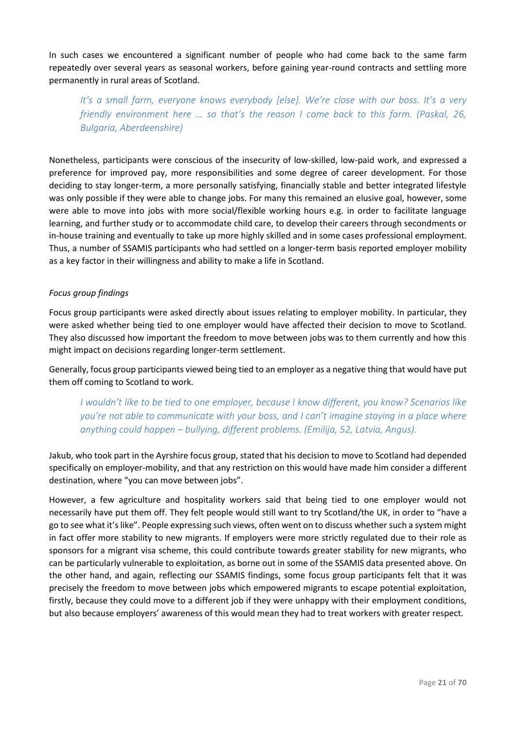In such cases we encountered a significant number of people who had come back to the same farm repeatedly over several years as seasonal workers, before gaining year-round contracts and settling more permanently in rural areas of Scotland.

*It's a small farm, everyone knows everybody [else]. We're close with our boss. It's a very friendly environment here … so that's the reason I come back to this farm. (Paskal, 26, Bulgaria, Aberdeenshire)*

Nonetheless, participants were conscious of the insecurity of low-skilled, low-paid work, and expressed a preference for improved pay, more responsibilities and some degree of career development. For those deciding to stay longer-term, a more personally satisfying, financially stable and better integrated lifestyle was only possible if they were able to change jobs. For many this remained an elusive goal, however, some were able to move into jobs with more social/flexible working hours e.g. in order to facilitate language learning, and further study or to accommodate child care, to develop their careers through secondments or in-house training and eventually to take up more highly skilled and in some cases professional employment. Thus, a number of SSAMIS participants who had settled on a longer-term basis reported employer mobility as a key factor in their willingness and ability to make a life in Scotland.

### *Focus group findings*

Focus group participants were asked directly about issues relating to employer mobility. In particular, they were asked whether being tied to one employer would have affected their decision to move to Scotland. They also discussed how important the freedom to move between jobs was to them currently and how this might impact on decisions regarding longer-term settlement.

Generally, focus group participants viewed being tied to an employer as a negative thing that would have put them off coming to Scotland to work.

*I wouldn't like to be tied to one employer, because I know different, you know? Scenarios like you're not able to communicate with your boss, and I can't imagine staying in a place where anything could happen – bullying, different problems. (Emilija, 52, Latvia, Angus).*

Jakub, who took part in the Ayrshire focus group, stated that his decision to move to Scotland had depended specifically on employer-mobility, and that any restriction on this would have made him consider a different destination, where "you can move between jobs".

However, a few agriculture and hospitality workers said that being tied to one employer would not necessarily have put them off. They felt people would still want to try Scotland/the UK, in order to "have a go to see what it's like". People expressing such views, often went on to discuss whether such a system might in fact offer more stability to new migrants. If employers were more strictly regulated due to their role as sponsors for a migrant visa scheme, this could contribute towards greater stability for new migrants, who can be particularly vulnerable to exploitation, as borne out in some of the SSAMIS data presented above. On the other hand, and again, reflecting our SSAMIS findings, some focus group participants felt that it was precisely the freedom to move between jobs which empowered migrants to escape potential exploitation, firstly, because they could move to a different job if they were unhappy with their employment conditions, but also because employers' awareness of this would mean they had to treat workers with greater respect.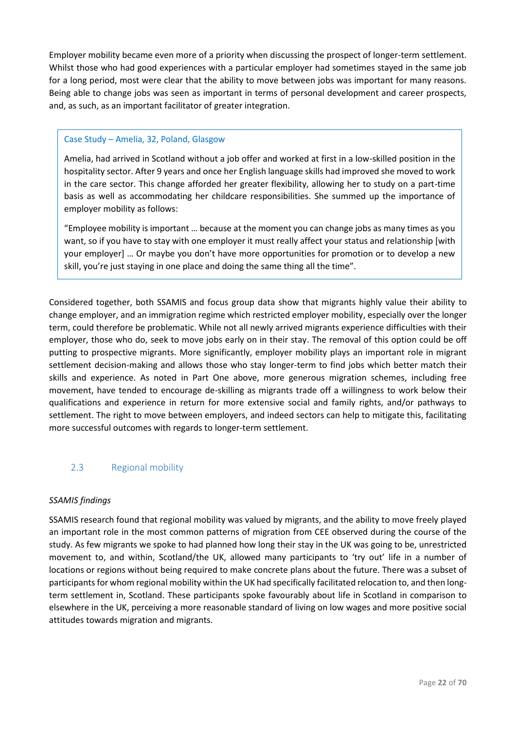Employer mobility became even more of a priority when discussing the prospect of longer-term settlement. Whilst those who had good experiences with a particular employer had sometimes stayed in the same job for a long period, most were clear that the ability to move between jobs was important for many reasons. Being able to change jobs was seen as important in terms of personal development and career prospects, and, as such, as an important facilitator of greater integration.

# Case Study – Amelia, 32, Poland, Glasgow

Amelia, had arrived in Scotland without a job offer and worked at first in a low-skilled position in the hospitality sector. After 9 years and once her English language skills had improved she moved to work in the care sector. This change afforded her greater flexibility, allowing her to study on a part-time basis as well as accommodating her childcare responsibilities. She summed up the importance of employer mobility as follows:

"Employee mobility is important … because at the moment you can change jobs as many times as you want, so if you have to stay with one employer it must really affect your status and relationship [with your employer] … Or maybe you don't have more opportunities for promotion or to develop a new skill, you're just staying in one place and doing the same thing all the time".

Considered together, both SSAMIS and focus group data show that migrants highly value their ability to change employer, and an immigration regime which restricted employer mobility, especially over the longer term, could therefore be problematic. While not all newly arrived migrants experience difficulties with their employer, those who do, seek to move jobs early on in their stay. The removal of this option could be off putting to prospective migrants. More significantly, employer mobility plays an important role in migrant settlement decision-making and allows those who stay longer-term to find jobs which better match their skills and experience. As noted in Part One above, more generous migration schemes, including free movement, have tended to encourage de-skilling as migrants trade off a willingness to work below their qualifications and experience in return for more extensive social and family rights, and/or pathways to settlement. The right to move between employers, and indeed sectors can help to mitigate this, facilitating more successful outcomes with regards to longer-term settlement.

# 2.3 Regional mobility

### *SSAMIS findings*

SSAMIS research found that regional mobility was valued by migrants, and the ability to move freely played an important role in the most common patterns of migration from CEE observed during the course of the study. As few migrants we spoke to had planned how long their stay in the UK was going to be, unrestricted movement to, and within, Scotland/the UK, allowed many participants to 'try out' life in a number of locations or regions without being required to make concrete plans about the future. There was a subset of participants for whom regional mobility within the UK had specifically facilitated relocation to, and then longterm settlement in, Scotland. These participants spoke favourably about life in Scotland in comparison to elsewhere in the UK, perceiving a more reasonable standard of living on low wages and more positive social attitudes towards migration and migrants.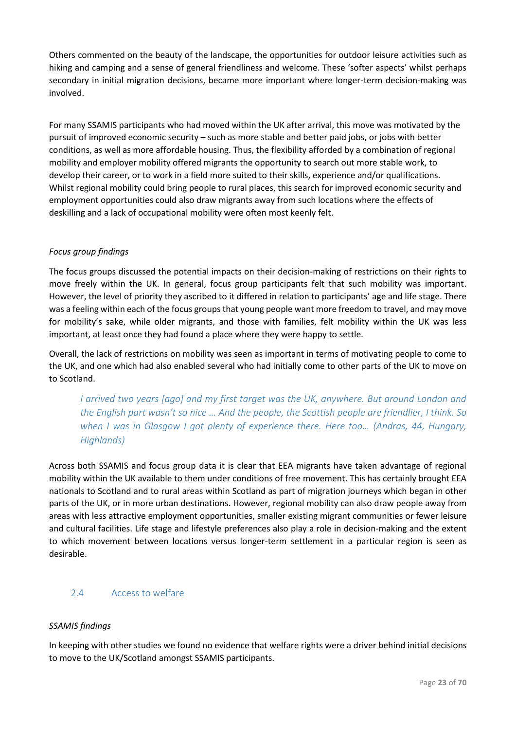Others commented on the beauty of the landscape, the opportunities for outdoor leisure activities such as hiking and camping and a sense of general friendliness and welcome. These 'softer aspects' whilst perhaps secondary in initial migration decisions, became more important where longer-term decision-making was involved.

For many SSAMIS participants who had moved within the UK after arrival, this move was motivated by the pursuit of improved economic security – such as more stable and better paid jobs, or jobs with better conditions, as well as more affordable housing. Thus, the flexibility afforded by a combination of regional mobility and employer mobility offered migrants the opportunity to search out more stable work, to develop their career, or to work in a field more suited to their skills, experience and/or qualifications. Whilst regional mobility could bring people to rural places, this search for improved economic security and employment opportunities could also draw migrants away from such locations where the effects of deskilling and a lack of occupational mobility were often most keenly felt.

# *Focus group findings*

The focus groups discussed the potential impacts on their decision-making of restrictions on their rights to move freely within the UK. In general, focus group participants felt that such mobility was important. However, the level of priority they ascribed to it differed in relation to participants' age and life stage. There was a feeling within each of the focus groups that young people want more freedom to travel, and may move for mobility's sake, while older migrants, and those with families, felt mobility within the UK was less important, at least once they had found a place where they were happy to settle.

Overall, the lack of restrictions on mobility was seen as important in terms of motivating people to come to the UK, and one which had also enabled several who had initially come to other parts of the UK to move on to Scotland.

*I arrived two years [ago] and my first target was the UK, anywhere. But around London and the English part wasn't so nice … And the people, the Scottish people are friendlier, I think. So when I was in Glasgow I got plenty of experience there. Here too… (Andras, 44, Hungary, Highlands)*

Across both SSAMIS and focus group data it is clear that EEA migrants have taken advantage of regional mobility within the UK available to them under conditions of free movement. This has certainly brought EEA nationals to Scotland and to rural areas within Scotland as part of migration journeys which began in other parts of the UK, or in more urban destinations. However, regional mobility can also draw people away from areas with less attractive employment opportunities, smaller existing migrant communities or fewer leisure and cultural facilities. Life stage and lifestyle preferences also play a role in decision-making and the extent to which movement between locations versus longer-term settlement in a particular region is seen as desirable.

# 2.4 Access to welfare

# *SSAMIS findings*

In keeping with other studies we found no evidence that welfare rights were a driver behind initial decisions to move to the UK/Scotland amongst SSAMIS participants.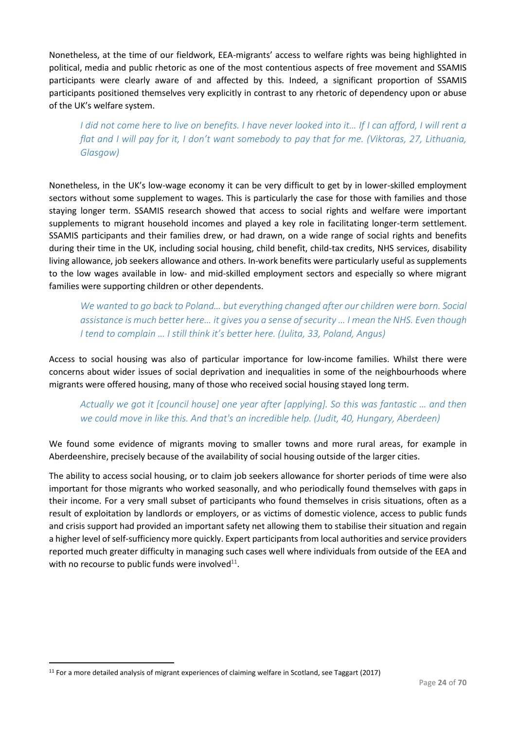Nonetheless, at the time of our fieldwork, EEA-migrants' access to welfare rights was being highlighted in political, media and public rhetoric as one of the most contentious aspects of free movement and SSAMIS participants were clearly aware of and affected by this. Indeed, a significant proportion of SSAMIS participants positioned themselves very explicitly in contrast to any rhetoric of dependency upon or abuse of the UK's welfare system.

*I did not come here to live on benefits. I have never looked into it… If I can afford, I will rent a flat and I will pay for it, I don't want somebody to pay that for me. (Viktoras, 27, Lithuania, Glasgow)*

Nonetheless, in the UK's low-wage economy it can be very difficult to get by in lower-skilled employment sectors without some supplement to wages. This is particularly the case for those with families and those staying longer term. SSAMIS research showed that access to social rights and welfare were important supplements to migrant household incomes and played a key role in facilitating longer-term settlement. SSAMIS participants and their families drew, or had drawn, on a wide range of social rights and benefits during their time in the UK, including social housing, child benefit, child-tax credits, NHS services, disability living allowance, job seekers allowance and others. In-work benefits were particularly useful as supplements to the low wages available in low- and mid-skilled employment sectors and especially so where migrant families were supporting children or other dependents.

*We wanted to go back to Poland... but everything changed after our children were born. Social assistance is much better here… it gives you a sense of security … I mean the NHS. Even though I tend to complain … I still think it's better here. (Julita, 33, Poland, Angus)*

Access to social housing was also of particular importance for low-income families. Whilst there were concerns about wider issues of social deprivation and inequalities in some of the neighbourhoods where migrants were offered housing, many of those who received social housing stayed long term.

*Actually we got it [council house] one year after [applying]. So this was fantastic … and then we could move in like this. And that's an incredible help. (Judit, 40, Hungary, Aberdeen)* 

We found some evidence of migrants moving to smaller towns and more rural areas, for example in Aberdeenshire, precisely because of the availability of social housing outside of the larger cities.

The ability to access social housing, or to claim job seekers allowance for shorter periods of time were also important for those migrants who worked seasonally, and who periodically found themselves with gaps in their income. For a very small subset of participants who found themselves in crisis situations, often as a result of exploitation by landlords or employers, or as victims of domestic violence, access to public funds and crisis support had provided an important safety net allowing them to stabilise their situation and regain a higher level of self-sufficiency more quickly. Expert participants from local authorities and service providers reported much greater difficulty in managing such cases well where individuals from outside of the EEA and with no recourse to public funds were involved $^{11}$ .

1

<sup>11</sup> For a more detailed analysis of migrant experiences of claiming welfare in Scotland, see Taggart (2017)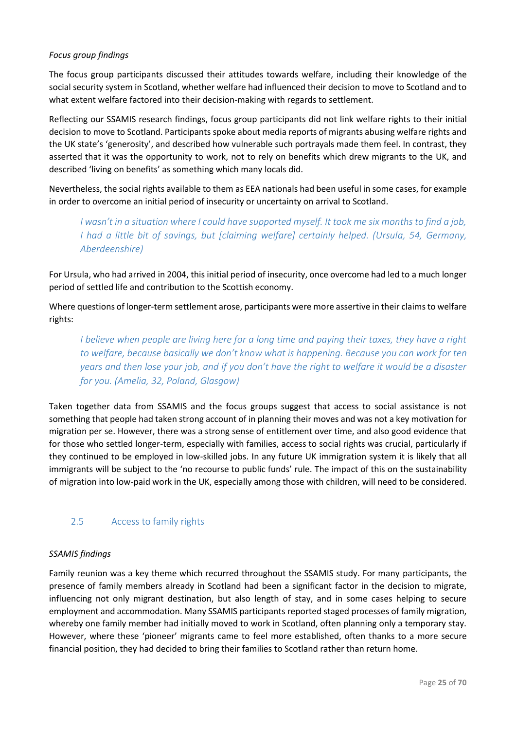# *Focus group findings*

The focus group participants discussed their attitudes towards welfare, including their knowledge of the social security system in Scotland, whether welfare had influenced their decision to move to Scotland and to what extent welfare factored into their decision-making with regards to settlement.

Reflecting our SSAMIS research findings, focus group participants did not link welfare rights to their initial decision to move to Scotland. Participants spoke about media reports of migrants abusing welfare rights and the UK state's 'generosity', and described how vulnerable such portrayals made them feel. In contrast, they asserted that it was the opportunity to work, not to rely on benefits which drew migrants to the UK, and described 'living on benefits' as something which many locals did.

Nevertheless, the social rights available to them as EEA nationals had been useful in some cases, for example in order to overcome an initial period of insecurity or uncertainty on arrival to Scotland.

*I wasn't in a situation where I could have supported myself. It took me six months to find a job, I had a little bit of savings, but [claiming welfare] certainly helped. (Ursula, 54, Germany, Aberdeenshire)*

For Ursula, who had arrived in 2004, this initial period of insecurity, once overcome had led to a much longer period of settled life and contribution to the Scottish economy.

Where questions of longer-term settlement arose, participants were more assertive in their claims to welfare rights:

*I believe when people are living here for a long time and paying their taxes, they have a right to welfare, because basically we don't know what is happening. Because you can work for ten years and then lose your job, and if you don't have the right to welfare it would be a disaster for you. (Amelia, 32, Poland, Glasgow)*

Taken together data from SSAMIS and the focus groups suggest that access to social assistance is not something that people had taken strong account of in planning their moves and was not a key motivation for migration per se. However, there was a strong sense of entitlement over time, and also good evidence that for those who settled longer-term, especially with families, access to social rights was crucial, particularly if they continued to be employed in low-skilled jobs. In any future UK immigration system it is likely that all immigrants will be subject to the 'no recourse to public funds' rule. The impact of this on the sustainability of migration into low-paid work in the UK, especially among those with children, will need to be considered.

# 2.5 Access to family rights

### *SSAMIS findings*

Family reunion was a key theme which recurred throughout the SSAMIS study. For many participants, the presence of family members already in Scotland had been a significant factor in the decision to migrate, influencing not only migrant destination, but also length of stay, and in some cases helping to secure employment and accommodation. Many SSAMIS participants reported staged processes of family migration, whereby one family member had initially moved to work in Scotland, often planning only a temporary stay. However, where these 'pioneer' migrants came to feel more established, often thanks to a more secure financial position, they had decided to bring their families to Scotland rather than return home.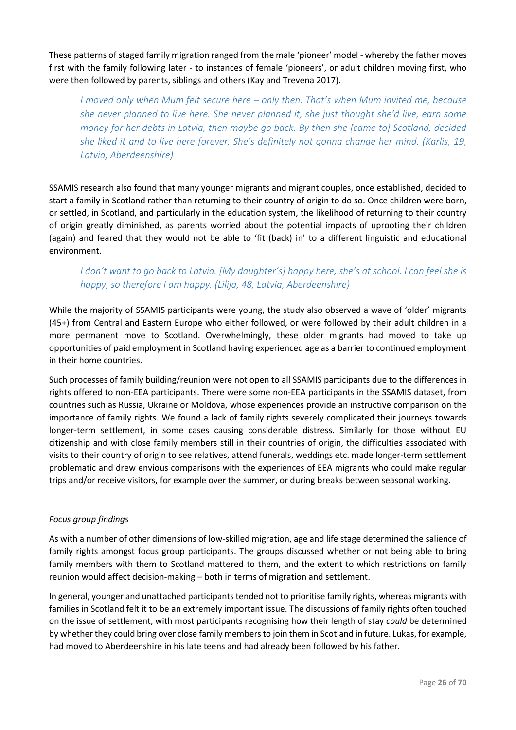These patterns of staged family migration ranged from the male 'pioneer' model - whereby the father moves first with the family following later - to instances of female 'pioneers', or adult children moving first, who were then followed by parents, siblings and others (Kay and Trevena 2017).

*I moved only when Mum felt secure here – only then. That's when Mum invited me, because she never planned to live here. She never planned it, she just thought she'd live, earn some money for her debts in Latvia, then maybe go back. By then she [came to] Scotland, decided she liked it and to live here forever. She's definitely not gonna change her mind. (Karlis, 19, Latvia, Aberdeenshire)*

SSAMIS research also found that many younger migrants and migrant couples, once established, decided to start a family in Scotland rather than returning to their country of origin to do so. Once children were born, or settled, in Scotland, and particularly in the education system, the likelihood of returning to their country of origin greatly diminished, as parents worried about the potential impacts of uprooting their children (again) and feared that they would not be able to 'fit (back) in' to a different linguistic and educational environment.

# *I don't want to go back to Latvia. [My daughter's] happy here, she's at school. I can feel she is happy, so therefore I am happy. (Lilija, 48, Latvia, Aberdeenshire)*

While the majority of SSAMIS participants were young, the study also observed a wave of 'older' migrants (45+) from Central and Eastern Europe who either followed, or were followed by their adult children in a more permanent move to Scotland. Overwhelmingly, these older migrants had moved to take up opportunities of paid employment in Scotland having experienced age as a barrier to continued employment in their home countries.

Such processes of family building/reunion were not open to all SSAMIS participants due to the differences in rights offered to non-EEA participants. There were some non-EEA participants in the SSAMIS dataset, from countries such as Russia, Ukraine or Moldova, whose experiences provide an instructive comparison on the importance of family rights. We found a lack of family rights severely complicated their journeys towards longer-term settlement, in some cases causing considerable distress. Similarly for those without EU citizenship and with close family members still in their countries of origin, the difficulties associated with visits to their country of origin to see relatives, attend funerals, weddings etc. made longer-term settlement problematic and drew envious comparisons with the experiences of EEA migrants who could make regular trips and/or receive visitors, for example over the summer, or during breaks between seasonal working.

# *Focus group findings*

As with a number of other dimensions of low-skilled migration, age and life stage determined the salience of family rights amongst focus group participants. The groups discussed whether or not being able to bring family members with them to Scotland mattered to them, and the extent to which restrictions on family reunion would affect decision-making – both in terms of migration and settlement.

In general, younger and unattached participants tended not to prioritise family rights, whereas migrants with families in Scotland felt it to be an extremely important issue. The discussions of family rights often touched on the issue of settlement, with most participants recognising how their length of stay *could* be determined by whether they could bring over close family members to join them in Scotland in future. Lukas, for example, had moved to Aberdeenshire in his late teens and had already been followed by his father.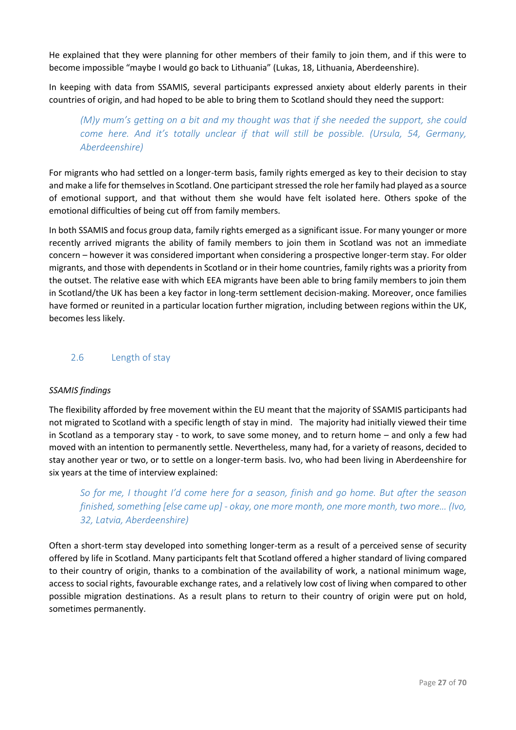He explained that they were planning for other members of their family to join them, and if this were to become impossible "maybe I would go back to Lithuania" (Lukas, 18, Lithuania, Aberdeenshire).

In keeping with data from SSAMIS, several participants expressed anxiety about elderly parents in their countries of origin, and had hoped to be able to bring them to Scotland should they need the support:

*(M)y mum's getting on a bit and my thought was that if she needed the support, she could come here. And it's totally unclear if that will still be possible. (Ursula, 54, Germany, Aberdeenshire)*

For migrants who had settled on a longer-term basis, family rights emerged as key to their decision to stay and make a life for themselves in Scotland. One participant stressed the role her family had played as a source of emotional support, and that without them she would have felt isolated here. Others spoke of the emotional difficulties of being cut off from family members.

In both SSAMIS and focus group data, family rights emerged as a significant issue. For many younger or more recently arrived migrants the ability of family members to join them in Scotland was not an immediate concern – however it was considered important when considering a prospective longer-term stay. For older migrants, and those with dependents in Scotland or in their home countries, family rights was a priority from the outset. The relative ease with which EEA migrants have been able to bring family members to join them in Scotland/the UK has been a key factor in long-term settlement decision-making. Moreover, once families have formed or reunited in a particular location further migration, including between regions within the UK, becomes less likely.

# 2.6 Length of stay

### *SSAMIS findings*

The flexibility afforded by free movement within the EU meant that the majority of SSAMIS participants had not migrated to Scotland with a specific length of stay in mind. The majority had initially viewed their time in Scotland as a temporary stay - to work, to save some money, and to return home – and only a few had moved with an intention to permanently settle. Nevertheless, many had, for a variety of reasons, decided to stay another year or two, or to settle on a longer-term basis. Ivo, who had been living in Aberdeenshire for six years at the time of interview explained:

*So for me, I thought I'd come here for a season, finish and go home. But after the season finished, something [else came up] - okay, one more month, one more month, two more… (Ivo, 32, Latvia, Aberdeenshire)*

Often a short-term stay developed into something longer-term as a result of a perceived sense of security offered by life in Scotland. Many participants felt that Scotland offered a higher standard of living compared to their country of origin, thanks to a combination of the availability of work, a national minimum wage, access to social rights, favourable exchange rates, and a relatively low cost of living when compared to other possible migration destinations. As a result plans to return to their country of origin were put on hold, sometimes permanently.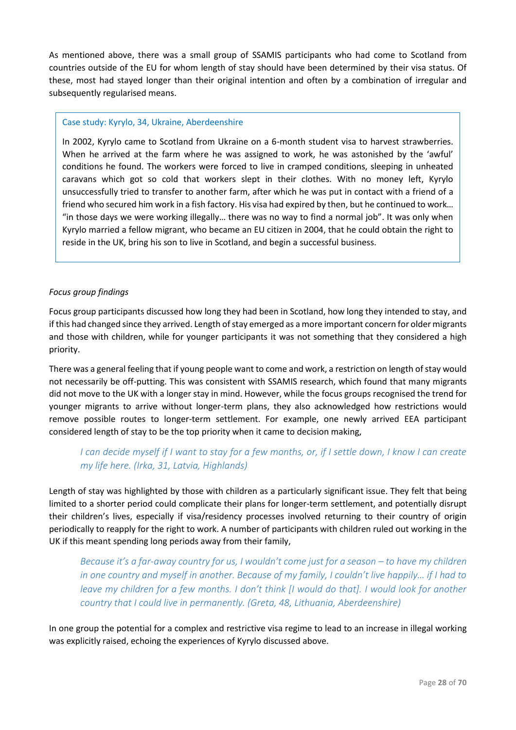As mentioned above, there was a small group of SSAMIS participants who had come to Scotland from countries outside of the EU for whom length of stay should have been determined by their visa status. Of these, most had stayed longer than their original intention and often by a combination of irregular and subsequently regularised means.

### Case study: Kyrylo, 34, Ukraine, Aberdeenshire

In 2002, Kyrylo came to Scotland from Ukraine on a 6-month student visa to harvest strawberries. When he arrived at the farm where he was assigned to work, he was astonished by the 'awful' conditions he found. The workers were forced to live in cramped conditions, sleeping in unheated caravans which got so cold that workers slept in their clothes. With no money left, Kyrylo unsuccessfully tried to transfer to another farm, after which he was put in contact with a friend of a friend who secured him work in a fish factory. His visa had expired by then, but he continued to work… "in those days we were working illegally… there was no way to find a normal job". It was only when Kyrylo married a fellow migrant, who became an EU citizen in 2004, that he could obtain the right to reside in the UK, bring his son to live in Scotland, and begin a successful business.

# *Focus group findings*

Focus group participants discussed how long they had been in Scotland, how long they intended to stay, and if this had changed since they arrived. Length of stay emerged as a more important concern for older migrants and those with children, while for younger participants it was not something that they considered a high priority.

There was a general feeling that if young people want to come and work, a restriction on length of stay would not necessarily be off-putting. This was consistent with SSAMIS research, which found that many migrants did not move to the UK with a longer stay in mind. However, while the focus groups recognised the trend for younger migrants to arrive without longer-term plans, they also acknowledged how restrictions would remove possible routes to longer-term settlement. For example, one newly arrived EEA participant considered length of stay to be the top priority when it came to decision making,

# *I can decide myself if I want to stay for a few months, or, if I settle down, I know I can create my life here. (Irka, 31, Latvia, Highlands)*

Length of stay was highlighted by those with children as a particularly significant issue. They felt that being limited to a shorter period could complicate their plans for longer-term settlement, and potentially disrupt their children's lives, especially if visa/residency processes involved returning to their country of origin periodically to reapply for the right to work. A number of participants with children ruled out working in the UK if this meant spending long periods away from their family,

*Because it's a far-away country for us, I wouldn't come just for a season – to have my children in one country and myself in another. Because of my family, I couldn't live happily… if I had to leave my children for a few months. I don't think [I would do that]. I would look for another country that I could live in permanently. (Greta, 48, Lithuania, Aberdeenshire)*

In one group the potential for a complex and restrictive visa regime to lead to an increase in illegal working was explicitly raised, echoing the experiences of Kyrylo discussed above.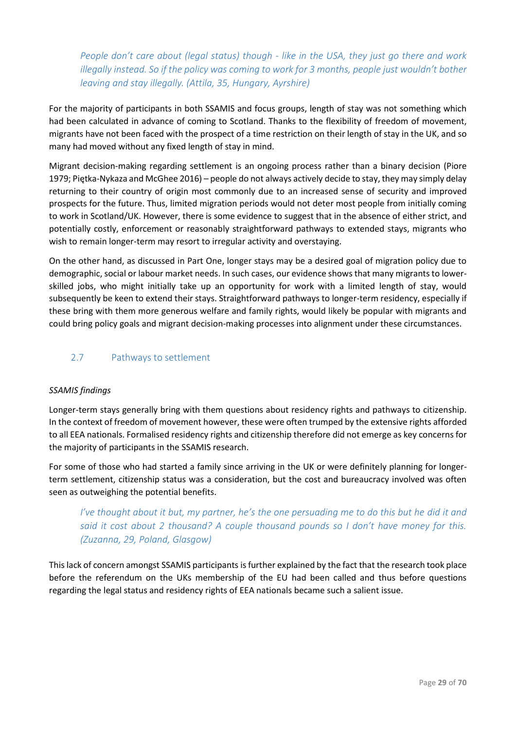*People don't care about (legal status) though - like in the USA, they just go there and work illegally instead. So if the policy was coming to work for 3 months, people just wouldn't bother leaving and stay illegally. (Attila, 35, Hungary, Ayrshire)*

For the majority of participants in both SSAMIS and focus groups, length of stay was not something which had been calculated in advance of coming to Scotland. Thanks to the flexibility of freedom of movement, migrants have not been faced with the prospect of a time restriction on their length of stay in the UK, and so many had moved without any fixed length of stay in mind.

Migrant decision-making regarding settlement is an ongoing process rather than a binary decision (Piore 1979; Piętka-Nykaza and McGhee 2016) – people do not always actively decide to stay, they may simply delay returning to their country of origin most commonly due to an increased sense of security and improved prospects for the future. Thus, limited migration periods would not deter most people from initially coming to work in Scotland/UK. However, there is some evidence to suggest that in the absence of either strict, and potentially costly, enforcement or reasonably straightforward pathways to extended stays, migrants who wish to remain longer-term may resort to irregular activity and overstaying.

On the other hand, as discussed in Part One, longer stays may be a desired goal of migration policy due to demographic, social or labour market needs. In such cases, our evidence shows that many migrants to lowerskilled jobs, who might initially take up an opportunity for work with a limited length of stay, would subsequently be keen to extend their stays. Straightforward pathways to longer-term residency, especially if these bring with them more generous welfare and family rights, would likely be popular with migrants and could bring policy goals and migrant decision-making processes into alignment under these circumstances.

# 2.7 Pathways to settlement

### *SSAMIS findings*

Longer-term stays generally bring with them questions about residency rights and pathways to citizenship. In the context of freedom of movement however, these were often trumped by the extensive rights afforded to all EEA nationals. Formalised residency rights and citizenship therefore did not emerge as key concerns for the majority of participants in the SSAMIS research.

For some of those who had started a family since arriving in the UK or were definitely planning for longerterm settlement, citizenship status was a consideration, but the cost and bureaucracy involved was often seen as outweighing the potential benefits.

*I've thought about it but, my partner, he's the one persuading me to do this but he did it and said it cost about 2 thousand? A couple thousand pounds so I don't have money for this. (Zuzanna, 29, Poland, Glasgow)*

This lack of concern amongst SSAMIS participants is further explained by the fact that the research took place before the referendum on the UKs membership of the EU had been called and thus before questions regarding the legal status and residency rights of EEA nationals became such a salient issue.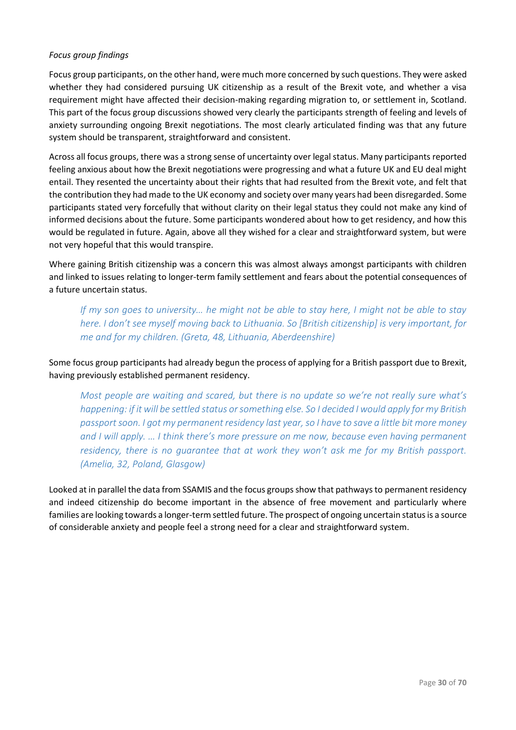# *Focus group findings*

Focus group participants, on the other hand, were much more concerned by such questions. They were asked whether they had considered pursuing UK citizenship as a result of the Brexit vote, and whether a visa requirement might have affected their decision-making regarding migration to, or settlement in, Scotland. This part of the focus group discussions showed very clearly the participants strength of feeling and levels of anxiety surrounding ongoing Brexit negotiations. The most clearly articulated finding was that any future system should be transparent, straightforward and consistent.

Across all focus groups, there was a strong sense of uncertainty over legal status. Many participants reported feeling anxious about how the Brexit negotiations were progressing and what a future UK and EU deal might entail. They resented the uncertainty about their rights that had resulted from the Brexit vote, and felt that the contribution they had made to the UK economy and society over many years had been disregarded. Some participants stated very forcefully that without clarity on their legal status they could not make any kind of informed decisions about the future. Some participants wondered about how to get residency, and how this would be regulated in future. Again, above all they wished for a clear and straightforward system, but were not very hopeful that this would transpire.

Where gaining British citizenship was a concern this was almost always amongst participants with children and linked to issues relating to longer-term family settlement and fears about the potential consequences of a future uncertain status.

*If my son goes to university… he might not be able to stay here, I might not be able to stay here. I don't see myself moving back to Lithuania. So [British citizenship] is very important, for me and for my children. (Greta, 48, Lithuania, Aberdeenshire)*

Some focus group participants had already begun the process of applying for a British passport due to Brexit, having previously established permanent residency.

*Most people are waiting and scared, but there is no update so we're not really sure what's happening: if it will be settled status or something else. So I decided I would apply for my British passport soon. I got my permanent residency last year, so I have to save a little bit more money and I will apply. … I think there's more pressure on me now, because even having permanent residency, there is no guarantee that at work they won't ask me for my British passport. (Amelia, 32, Poland, Glasgow)*

Looked at in parallel the data from SSAMIS and the focus groups show that pathways to permanent residency and indeed citizenship do become important in the absence of free movement and particularly where families are looking towards a longer-term settled future. The prospect of ongoing uncertain status is a source of considerable anxiety and people feel a strong need for a clear and straightforward system.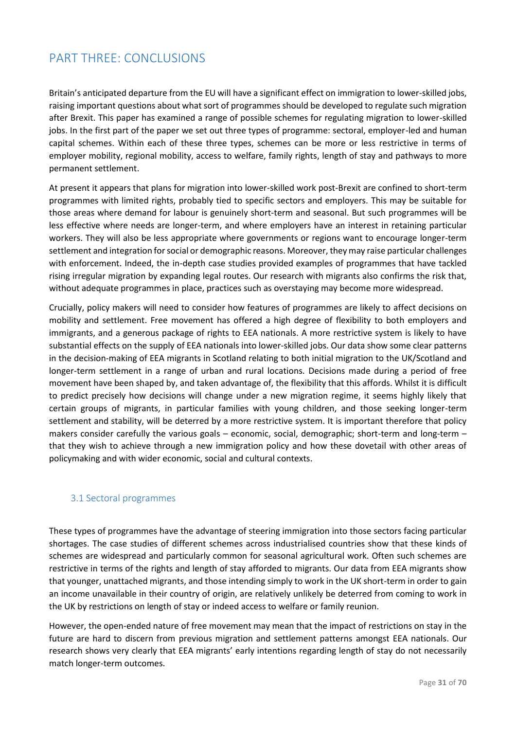# <span id="page-31-0"></span>PART THRFF: CONCLUSIONS

Britain's anticipated departure from the EU will have a significant effect on immigration to lower-skilled jobs, raising important questions about what sort of programmes should be developed to regulate such migration after Brexit. This paper has examined a range of possible schemes for regulating migration to lower-skilled jobs. In the first part of the paper we set out three types of programme: sectoral, employer-led and human capital schemes. Within each of these three types, schemes can be more or less restrictive in terms of employer mobility, regional mobility, access to welfare, family rights, length of stay and pathways to more permanent settlement.

At present it appears that plans for migration into lower-skilled work post-Brexit are confined to short-term programmes with limited rights, probably tied to specific sectors and employers. This may be suitable for those areas where demand for labour is genuinely short-term and seasonal. But such programmes will be less effective where needs are longer-term, and where employers have an interest in retaining particular workers. They will also be less appropriate where governments or regions want to encourage longer-term settlement and integration for social or demographic reasons. Moreover, they may raise particular challenges with enforcement. Indeed, the in-depth case studies provided examples of programmes that have tackled rising irregular migration by expanding legal routes. Our research with migrants also confirms the risk that, without adequate programmes in place, practices such as overstaying may become more widespread.

Crucially, policy makers will need to consider how features of programmes are likely to affect decisions on mobility and settlement. Free movement has offered a high degree of flexibility to both employers and immigrants, and a generous package of rights to EEA nationals. A more restrictive system is likely to have substantial effects on the supply of EEA nationals into lower-skilled jobs. Our data show some clear patterns in the decision-making of EEA migrants in Scotland relating to both initial migration to the UK/Scotland and longer-term settlement in a range of urban and rural locations. Decisions made during a period of free movement have been shaped by, and taken advantage of, the flexibility that this affords. Whilst it is difficult to predict precisely how decisions will change under a new migration regime, it seems highly likely that certain groups of migrants, in particular families with young children, and those seeking longer-term settlement and stability, will be deterred by a more restrictive system. It is important therefore that policy makers consider carefully the various goals – economic, social, demographic; short-term and long-term – that they wish to achieve through a new immigration policy and how these dovetail with other areas of policymaking and with wider economic, social and cultural contexts.

# 3.1 Sectoral programmes

These types of programmes have the advantage of steering immigration into those sectors facing particular shortages. The case studies of different schemes across industrialised countries show that these kinds of schemes are widespread and particularly common for seasonal agricultural work. Often such schemes are restrictive in terms of the rights and length of stay afforded to migrants. Our data from EEA migrants show that younger, unattached migrants, and those intending simply to work in the UK short-term in order to gain an income unavailable in their country of origin, are relatively unlikely be deterred from coming to work in the UK by restrictions on length of stay or indeed access to welfare or family reunion.

However, the open-ended nature of free movement may mean that the impact of restrictions on stay in the future are hard to discern from previous migration and settlement patterns amongst EEA nationals. Our research shows very clearly that EEA migrants' early intentions regarding length of stay do not necessarily match longer-term outcomes.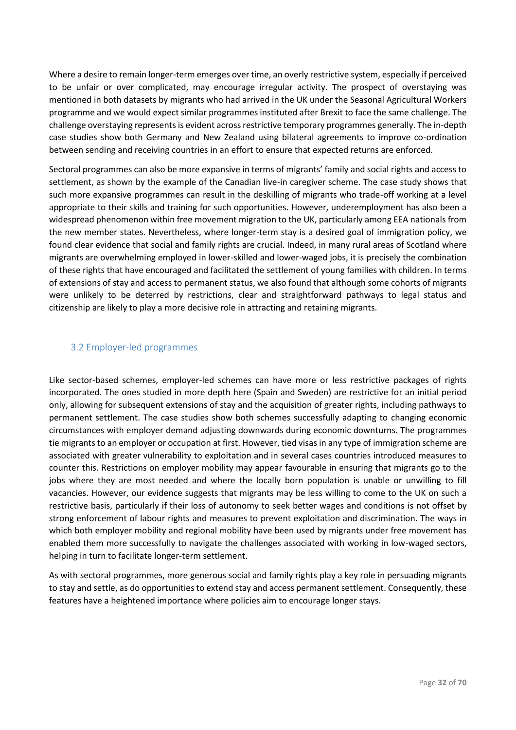Where a desire to remain longer-term emerges over time, an overly restrictive system, especially if perceived to be unfair or over complicated, may encourage irregular activity. The prospect of overstaying was mentioned in both datasets by migrants who had arrived in the UK under the Seasonal Agricultural Workers programme and we would expect similar programmes instituted after Brexit to face the same challenge. The challenge overstaying represents is evident across restrictive temporary programmes generally. The in-depth case studies show both Germany and New Zealand using bilateral agreements to improve co-ordination between sending and receiving countries in an effort to ensure that expected returns are enforced.

Sectoral programmes can also be more expansive in terms of migrants' family and social rights and access to settlement, as shown by the example of the Canadian live-in caregiver scheme. The case study shows that such more expansive programmes can result in the deskilling of migrants who trade-off working at a level appropriate to their skills and training for such opportunities. However, underemployment has also been a widespread phenomenon within free movement migration to the UK, particularly among EEA nationals from the new member states. Nevertheless, where longer-term stay is a desired goal of immigration policy, we found clear evidence that social and family rights are crucial. Indeed, in many rural areas of Scotland where migrants are overwhelming employed in lower-skilled and lower-waged jobs, it is precisely the combination of these rights that have encouraged and facilitated the settlement of young families with children. In terms of extensions of stay and access to permanent status, we also found that although some cohorts of migrants were unlikely to be deterred by restrictions, clear and straightforward pathways to legal status and citizenship are likely to play a more decisive role in attracting and retaining migrants.

# 3.2 Employer-led programmes

Like sector-based schemes, employer-led schemes can have more or less restrictive packages of rights incorporated. The ones studied in more depth here (Spain and Sweden) are restrictive for an initial period only, allowing for subsequent extensions of stay and the acquisition of greater rights, including pathways to permanent settlement. The case studies show both schemes successfully adapting to changing economic circumstances with employer demand adjusting downwards during economic downturns. The programmes tie migrants to an employer or occupation at first. However, tied visas in any type of immigration scheme are associated with greater vulnerability to exploitation and in several cases countries introduced measures to counter this. Restrictions on employer mobility may appear favourable in ensuring that migrants go to the jobs where they are most needed and where the locally born population is unable or unwilling to fill vacancies. However, our evidence suggests that migrants may be less willing to come to the UK on such a restrictive basis, particularly if their loss of autonomy to seek better wages and conditions is not offset by strong enforcement of labour rights and measures to prevent exploitation and discrimination. The ways in which both employer mobility and regional mobility have been used by migrants under free movement has enabled them more successfully to navigate the challenges associated with working in low-waged sectors, helping in turn to facilitate longer-term settlement.

As with sectoral programmes, more generous social and family rights play a key role in persuading migrants to stay and settle, as do opportunities to extend stay and access permanent settlement. Consequently, these features have a heightened importance where policies aim to encourage longer stays.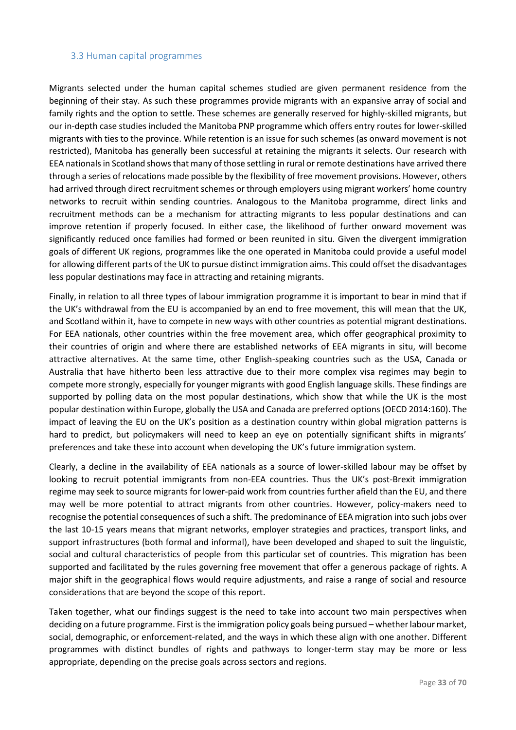### 3.3 Human capital programmes

Migrants selected under the human capital schemes studied are given permanent residence from the beginning of their stay. As such these programmes provide migrants with an expansive array of social and family rights and the option to settle. These schemes are generally reserved for highly-skilled migrants, but our in-depth case studies included the Manitoba PNP programme which offers entry routes for lower-skilled migrants with ties to the province. While retention is an issue for such schemes (as onward movement is not restricted), Manitoba has generally been successful at retaining the migrants it selects. Our research with EEA nationals in Scotland shows that many of those settling in rural or remote destinations have arrived there through a series of relocations made possible by the flexibility of free movement provisions. However, others had arrived through direct recruitment schemes or through employers using migrant workers' home country networks to recruit within sending countries. Analogous to the Manitoba programme, direct links and recruitment methods can be a mechanism for attracting migrants to less popular destinations and can improve retention if properly focused. In either case, the likelihood of further onward movement was significantly reduced once families had formed or been reunited in situ. Given the divergent immigration goals of different UK regions, programmes like the one operated in Manitoba could provide a useful model for allowing different parts of the UK to pursue distinct immigration aims. This could offset the disadvantages less popular destinations may face in attracting and retaining migrants.

Finally, in relation to all three types of labour immigration programme it is important to bear in mind that if the UK's withdrawal from the EU is accompanied by an end to free movement, this will mean that the UK, and Scotland within it, have to compete in new ways with other countries as potential migrant destinations. For EEA nationals, other countries within the free movement area, which offer geographical proximity to their countries of origin and where there are established networks of EEA migrants in situ, will become attractive alternatives. At the same time, other English-speaking countries such as the USA, Canada or Australia that have hitherto been less attractive due to their more complex visa regimes may begin to compete more strongly, especially for younger migrants with good English language skills. These findings are supported by polling data on the most popular destinations, which show that while the UK is the most popular destination within Europe, globally the USA and Canada are preferred options (OECD 2014:160). The impact of leaving the EU on the UK's position as a destination country within global migration patterns is hard to predict, but policymakers will need to keep an eye on potentially significant shifts in migrants' preferences and take these into account when developing the UK's future immigration system.

Clearly, a decline in the availability of EEA nationals as a source of lower-skilled labour may be offset by looking to recruit potential immigrants from non-EEA countries. Thus the UK's post-Brexit immigration regime may seek to source migrants for lower-paid work from countries further afield than the EU, and there may well be more potential to attract migrants from other countries. However, policy-makers need to recognise the potential consequences of such a shift. The predominance of EEA migration into such jobs over the last 10-15 years means that migrant networks, employer strategies and practices, transport links, and support infrastructures (both formal and informal), have been developed and shaped to suit the linguistic, social and cultural characteristics of people from this particular set of countries. This migration has been supported and facilitated by the rules governing free movement that offer a generous package of rights. A major shift in the geographical flows would require adjustments, and raise a range of social and resource considerations that are beyond the scope of this report.

Taken together, what our findings suggest is the need to take into account two main perspectives when deciding on a future programme. First is the immigration policy goals being pursued – whether labour market, social, demographic, or enforcement-related, and the ways in which these align with one another. Different programmes with distinct bundles of rights and pathways to longer-term stay may be more or less appropriate, depending on the precise goals across sectors and regions.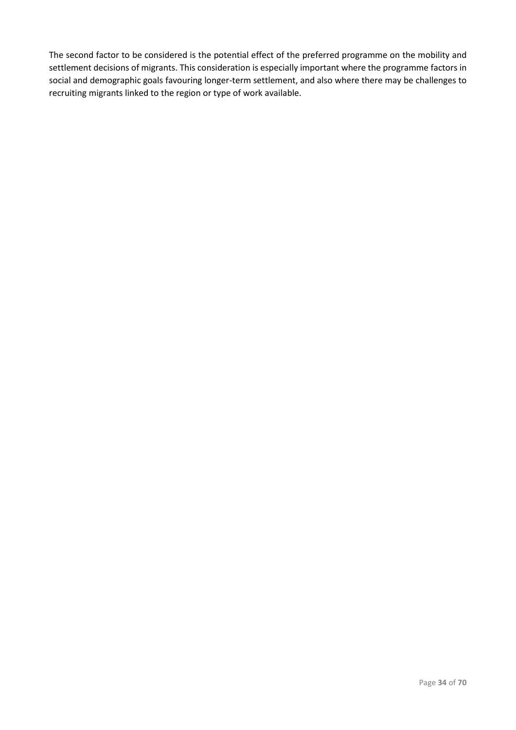The second factor to be considered is the potential effect of the preferred programme on the mobility and settlement decisions of migrants. This consideration is especially important where the programme factors in social and demographic goals favouring longer-term settlement, and also where there may be challenges to recruiting migrants linked to the region or type of work available.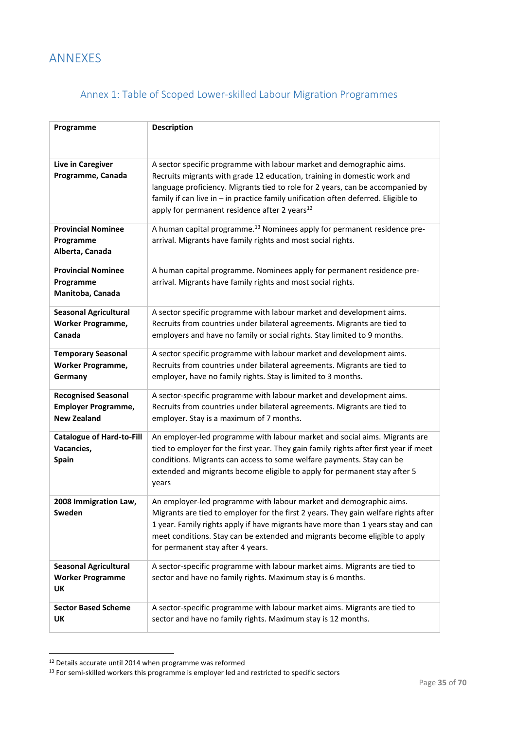# <span id="page-35-0"></span>ANNEXES

# Annex 1: Table of Scoped Lower-skilled Labour Migration Programmes

<span id="page-35-1"></span>

| Programme                                                                      | <b>Description</b>                                                                                                                                                                                                                                                                                                                                                                    |
|--------------------------------------------------------------------------------|---------------------------------------------------------------------------------------------------------------------------------------------------------------------------------------------------------------------------------------------------------------------------------------------------------------------------------------------------------------------------------------|
| Live in Caregiver<br>Programme, Canada                                         | A sector specific programme with labour market and demographic aims.<br>Recruits migrants with grade 12 education, training in domestic work and<br>language proficiency. Migrants tied to role for 2 years, can be accompanied by<br>family if can live in - in practice family unification often deferred. Eligible to<br>apply for permanent residence after 2 years <sup>12</sup> |
| <b>Provincial Nominee</b><br>Programme<br>Alberta, Canada                      | A human capital programme. <sup>13</sup> Nominees apply for permanent residence pre-<br>arrival. Migrants have family rights and most social rights.                                                                                                                                                                                                                                  |
| <b>Provincial Nominee</b><br>Programme<br>Manitoba, Canada                     | A human capital programme. Nominees apply for permanent residence pre-<br>arrival. Migrants have family rights and most social rights.                                                                                                                                                                                                                                                |
| <b>Seasonal Agricultural</b><br><b>Worker Programme,</b><br>Canada             | A sector specific programme with labour market and development aims.<br>Recruits from countries under bilateral agreements. Migrants are tied to<br>employers and have no family or social rights. Stay limited to 9 months.                                                                                                                                                          |
| <b>Temporary Seasonal</b><br><b>Worker Programme,</b><br>Germany               | A sector specific programme with labour market and development aims.<br>Recruits from countries under bilateral agreements. Migrants are tied to<br>employer, have no family rights. Stay is limited to 3 months.                                                                                                                                                                     |
| <b>Recognised Seasonal</b><br><b>Employer Programme,</b><br><b>New Zealand</b> | A sector-specific programme with labour market and development aims.<br>Recruits from countries under bilateral agreements. Migrants are tied to<br>employer. Stay is a maximum of 7 months.                                                                                                                                                                                          |
| <b>Catalogue of Hard-to-Fill</b><br>Vacancies,<br><b>Spain</b>                 | An employer-led programme with labour market and social aims. Migrants are<br>tied to employer for the first year. They gain family rights after first year if meet<br>conditions. Migrants can access to some welfare payments. Stay can be<br>extended and migrants become eligible to apply for permanent stay after 5<br>years                                                    |
| 2008 Immigration Law,<br>Sweden                                                | An employer-led programme with labour market and demographic aims.<br>Migrants are tied to employer for the first 2 years. They gain welfare rights after<br>1 year. Family rights apply if have migrants have more than 1 years stay and can<br>meet conditions. Stay can be extended and migrants become eligible to apply<br>for permanent stay after 4 years.                     |
| <b>Seasonal Agricultural</b><br><b>Worker Programme</b><br>UΚ                  | A sector-specific programme with labour market aims. Migrants are tied to<br>sector and have no family rights. Maximum stay is 6 months.                                                                                                                                                                                                                                              |
| <b>Sector Based Scheme</b><br>UΚ                                               | A sector-specific programme with labour market aims. Migrants are tied to<br>sector and have no family rights. Maximum stay is 12 months.                                                                                                                                                                                                                                             |

<sup>12</sup> Details accurate until 2014 when programme was reformed

1

 $<sup>13</sup>$  For semi-skilled workers this programme is employer led and restricted to specific sectors</sup>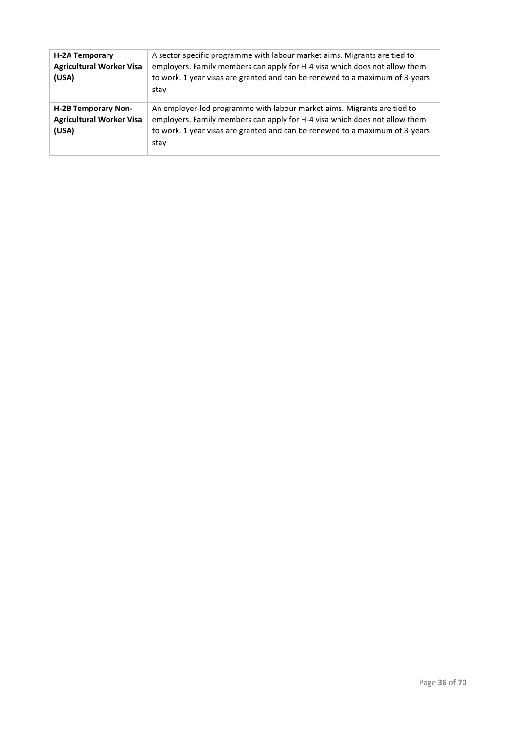| <b>H-2A Temporary</b><br><b>Agricultural Worker Visa</b><br>(USA)      | A sector specific programme with labour market aims. Migrants are tied to<br>employers. Family members can apply for H-4 visa which does not allow them<br>to work. 1 year visas are granted and can be renewed to a maximum of 3-years<br>stay |
|------------------------------------------------------------------------|-------------------------------------------------------------------------------------------------------------------------------------------------------------------------------------------------------------------------------------------------|
| <b>H-2B Temporary Non-</b><br><b>Agricultural Worker Visa</b><br>(USA) | An employer-led programme with labour market aims. Migrants are tied to<br>employers. Family members can apply for H-4 visa which does not allow them<br>to work. 1 year visas are granted and can be renewed to a maximum of 3-years<br>stay   |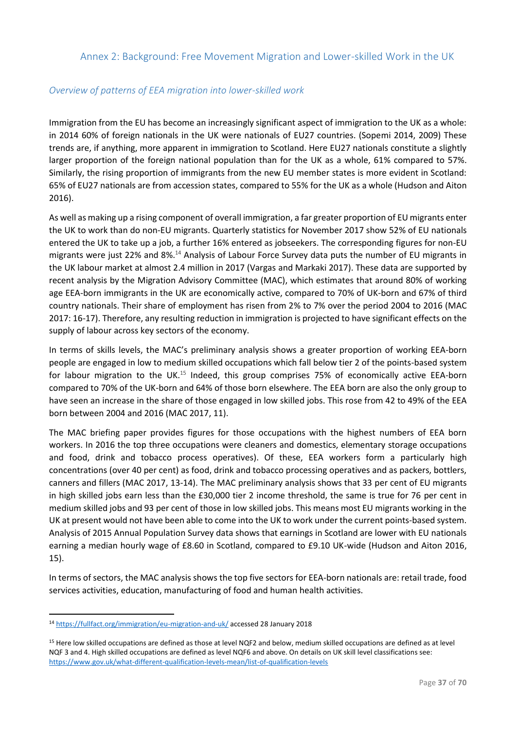# <span id="page-37-0"></span>Annex 2: Background: Free Movement Migration and Lower-skilled Work in the UK

# *Overview of patterns of EEA migration into lower-skilled work*

Immigration from the EU has become an increasingly significant aspect of immigration to the UK as a whole: in 2014 60% of foreign nationals in the UK were nationals of EU27 countries. (Sopemi 2014, 2009) These trends are, if anything, more apparent in immigration to Scotland. Here EU27 nationals constitute a slightly larger proportion of the foreign national population than for the UK as a whole, 61% compared to 57%. Similarly, the rising proportion of immigrants from the new EU member states is more evident in Scotland: 65% of EU27 nationals are from accession states, compared to 55% for the UK as a whole (Hudson and Aiton 2016).

As well as making up a rising component of overall immigration, a far greater proportion of EU migrants enter the UK to work than do non-EU migrants. Quarterly statistics for November 2017 show 52% of EU nationals entered the UK to take up a job, a further 16% entered as jobseekers. The corresponding figures for non-EU migrants were just 22% and 8%.<sup>14</sup> Analysis of Labour Force Survey data puts the number of EU migrants in the UK labour market at almost 2.4 million in 2017 (Vargas and Markaki 2017). These data are supported by recent analysis by the Migration Advisory Committee (MAC), which estimates that around 80% of working age EEA-born immigrants in the UK are economically active, compared to 70% of UK-born and 67% of third country nationals. Their share of employment has risen from 2% to 7% over the period 2004 to 2016 (MAC 2017: 16-17). Therefore, any resulting reduction in immigration is projected to have significant effects on the supply of labour across key sectors of the economy.

In terms of skills levels, the MAC's preliminary analysis shows a greater proportion of working EEA-born people are engaged in low to medium skilled occupations which fall below tier 2 of the points-based system for labour migration to the UK.<sup>15</sup> Indeed, this group comprises 75% of economically active EEA-born compared to 70% of the UK-born and 64% of those born elsewhere. The EEA born are also the only group to have seen an increase in the share of those engaged in low skilled jobs. This rose from 42 to 49% of the EEA born between 2004 and 2016 (MAC 2017, 11).

The MAC briefing paper provides figures for those occupations with the highest numbers of EEA born workers. In 2016 the top three occupations were cleaners and domestics, elementary storage occupations and food, drink and tobacco process operatives). Of these, EEA workers form a particularly high concentrations (over 40 per cent) as food, drink and tobacco processing operatives and as packers, bottlers, canners and fillers (MAC 2017, 13-14). The MAC preliminary analysis shows that 33 per cent of EU migrants in high skilled jobs earn less than the £30,000 tier 2 income threshold, the same is true for 76 per cent in medium skilled jobs and 93 per cent of those in low skilled jobs. This means most EU migrants working in the UK at present would not have been able to come into the UK to work under the current points-based system. Analysis of 2015 Annual Population Survey data shows that earnings in Scotland are lower with EU nationals earning a median hourly wage of £8.60 in Scotland, compared to £9.10 UK-wide (Hudson and Aiton 2016, 15).

In terms of sectors, the MAC analysis shows the top five sectors for EEA-born nationals are: retail trade, food services activities, education, manufacturing of food and human health activities.

 $\overline{a}$ 

<sup>14</sup> <https://fullfact.org/immigration/eu-migration-and-uk/> accessed 28 January 2018

<sup>15</sup> Here low skilled occupations are defined as those at level NQF2 and below, medium skilled occupations are defined as at level NQF 3 and 4. High skilled occupations are defined as level NQF6 and above. On details on UK skill level classifications see: <https://www.gov.uk/what-different-qualification-levels-mean/list-of-qualification-levels>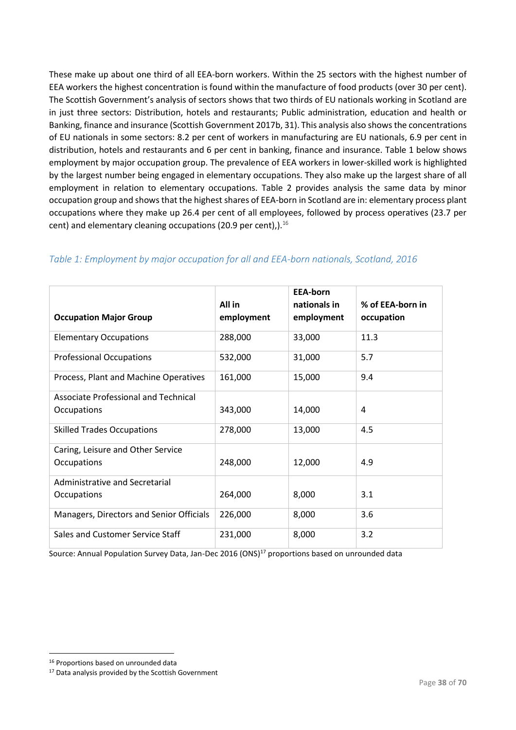These make up about one third of all EEA-born workers. Within the 25 sectors with the highest number of EEA workers the highest concentration is found within the manufacture of food products (over 30 per cent). The Scottish Government's analysis of sectors shows that two thirds of EU nationals working in Scotland are in just three sectors: Distribution, hotels and restaurants; Public administration, education and health or Banking, finance and insurance (Scottish Government 2017b, 31). This analysis also showsthe concentrations of EU nationals in some sectors: 8.2 per cent of workers in manufacturing are EU nationals, 6.9 per cent in distribution, hotels and restaurants and 6 per cent in banking, finance and insurance. Table 1 below shows employment by major occupation group. The prevalence of EEA workers in lower-skilled work is highlighted by the largest number being engaged in elementary occupations. They also make up the largest share of all employment in relation to elementary occupations. Table 2 provides analysis the same data by minor occupation group and shows that the highest shares of EEA-born in Scotland are in: elementary process plant occupations where they make up 26.4 per cent of all employees, followed by process operatives (23.7 per cent) and elementary cleaning occupations (20.9 per cent),).<sup>16</sup>

| <b>Occupation Major Group</b>            | All in<br>employment | <b>EEA-born</b><br>nationals in<br>employment | % of EEA-born in<br>occupation |
|------------------------------------------|----------------------|-----------------------------------------------|--------------------------------|
|                                          |                      |                                               |                                |
| <b>Elementary Occupations</b>            | 288,000              | 33,000                                        | 11.3                           |
| <b>Professional Occupations</b>          | 532,000              | 31,000                                        | 5.7                            |
| Process, Plant and Machine Operatives    | 161,000              | 15,000                                        | 9.4                            |
| Associate Professional and Technical     |                      |                                               |                                |
| Occupations                              | 343,000              | 14,000                                        | 4                              |
| <b>Skilled Trades Occupations</b>        | 278,000              | 13,000                                        | 4.5                            |
| Caring, Leisure and Other Service        |                      |                                               |                                |
| Occupations                              | 248,000              | 12,000                                        | 4.9                            |
| Administrative and Secretarial           |                      |                                               |                                |
| Occupations                              | 264,000              | 8,000                                         | 3.1                            |
| Managers, Directors and Senior Officials | 226,000              | 8,000                                         | 3.6                            |
| Sales and Customer Service Staff         | 231,000              | 8,000                                         | 3.2                            |

# *Table 1: Employment by major occupation for all and EEA-born nationals, Scotland, 2016*

Source: Annual Population Survey Data, Jan-Dec 2016 (ONS)<sup>17</sup> proportions based on unrounded data

1

<sup>16</sup> Proportions based on unrounded data

<sup>&</sup>lt;sup>17</sup> Data analysis provided by the Scottish Government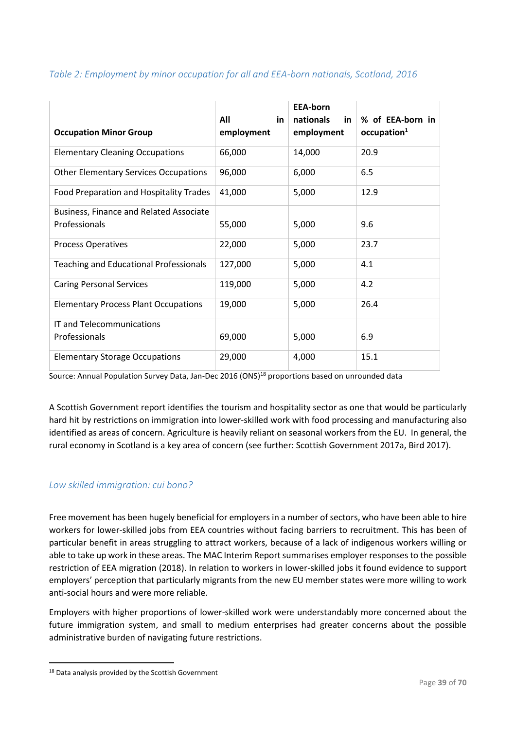| <b>Occupation Minor Group</b>                                   | All<br>in.<br>employment | <b>EEA-born</b><br>nationals<br>in.<br>employment | % of EEA-born in<br>occupation <sup>1</sup> |
|-----------------------------------------------------------------|--------------------------|---------------------------------------------------|---------------------------------------------|
| <b>Elementary Cleaning Occupations</b>                          | 66,000                   | 14,000                                            | 20.9                                        |
| <b>Other Elementary Services Occupations</b>                    | 96,000                   | 6,000                                             | 6.5                                         |
| Food Preparation and Hospitality Trades                         | 41,000                   | 5,000                                             | 12.9                                        |
| <b>Business, Finance and Related Associate</b><br>Professionals | 55,000                   | 5,000                                             | 9.6                                         |
| <b>Process Operatives</b>                                       | 22,000                   | 5,000                                             | 23.7                                        |
| <b>Teaching and Educational Professionals</b>                   | 127,000                  | 5,000                                             | 4.1                                         |
| <b>Caring Personal Services</b>                                 | 119,000                  | 5,000                                             | 4.2                                         |
| <b>Elementary Process Plant Occupations</b>                     | 19,000                   | 5,000                                             | 26.4                                        |
| IT and Telecommunications                                       |                          |                                                   |                                             |
| Professionals                                                   | 69,000                   | 5,000                                             | 6.9                                         |
| <b>Elementary Storage Occupations</b>                           | 29,000                   | 4,000                                             | 15.1                                        |

# *Table 2: Employment by minor occupation for all and EEA-born nationals, Scotland, 2016*

Source: Annual Population Survey Data, Jan-Dec 2016 (ONS)<sup>18</sup> proportions based on unrounded data

A Scottish Government report identifies the tourism and hospitality sector as one that would be particularly hard hit by restrictions on immigration into lower-skilled work with food processing and manufacturing also identified as areas of concern. Agriculture is heavily reliant on seasonal workers from the EU. In general, the rural economy in Scotland is a key area of concern (see further: Scottish Government 2017a, Bird 2017).

# *Low skilled immigration: cui bono?*

Free movement has been hugely beneficial for employers in a number of sectors, who have been able to hire workers for lower-skilled jobs from EEA countries without facing barriers to recruitment. This has been of particular benefit in areas struggling to attract workers, because of a lack of indigenous workers willing or able to take up work in these areas. The MAC Interim Report summarises employer responses to the possible restriction of EEA migration (2018). In relation to workers in lower-skilled jobs it found evidence to support employers' perception that particularly migrants from the new EU member states were more willing to work anti-social hours and were more reliable.

Employers with higher proportions of lower-skilled work were understandably more concerned about the future immigration system, and small to medium enterprises had greater concerns about the possible administrative burden of navigating future restrictions.

1

<sup>&</sup>lt;sup>18</sup> Data analysis provided by the Scottish Government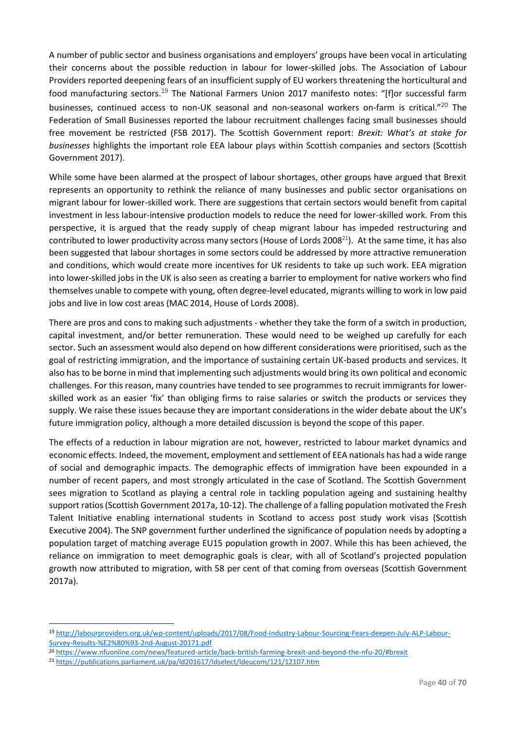A number of public sector and business organisations and employers' groups have been vocal in articulating their concerns about the possible reduction in labour for lower-skilled jobs. The Association of Labour Providers reported deepening fears of an insufficient supply of EU workers threatening the horticultural and food manufacturing sectors.<sup>19</sup> The National Farmers Union 2017 manifesto notes: "[f]or successful farm businesses, continued access to non-UK seasonal and non-seasonal workers on-farm is critical."<sup>20</sup> The Federation of Small Businesses reported the labour recruitment challenges facing small businesses should free movement be restricted (FSB 2017). The Scottish Government report: *Brexit: What's at stake for businesses* highlights the important role EEA labour plays within Scottish companies and sectors (Scottish Government 2017).

While some have been alarmed at the prospect of labour shortages, other groups have argued that Brexit represents an opportunity to rethink the reliance of many businesses and public sector organisations on migrant labour for lower-skilled work. There are suggestions that certain sectors would benefit from capital investment in less labour-intensive production models to reduce the need for lower-skilled work. From this perspective, it is argued that the ready supply of cheap migrant labour has impeded restructuring and contributed to lower productivity across many sectors (House of Lords 2008<sup>21</sup>). At the same time, it has also been suggested that labour shortages in some sectors could be addressed by more attractive remuneration and conditions, which would create more incentives for UK residents to take up such work. EEA migration into lower-skilled jobs in the UK is also seen as creating a barrier to employment for native workers who find themselves unable to compete with young, often degree-level educated, migrants willing to work in low paid jobs and live in low cost areas (MAC 2014, House of Lords 2008).

There are pros and cons to making such adjustments - whether they take the form of a switch in production, capital investment, and/or better remuneration. These would need to be weighed up carefully for each sector. Such an assessment would also depend on how different considerations were prioritised, such as the goal of restricting immigration, and the importance of sustaining certain UK-based products and services. It also has to be borne in mind that implementing such adjustments would bring its own political and economic challenges. For this reason, many countries have tended to see programmes to recruit immigrants for lowerskilled work as an easier 'fix' than obliging firms to raise salaries or switch the products or services they supply. We raise these issues because they are important considerations in the wider debate about the UK's future immigration policy, although a more detailed discussion is beyond the scope of this paper.

The effects of a reduction in labour migration are not, however, restricted to labour market dynamics and economic effects. Indeed, the movement, employment and settlement of EEA nationals has had a wide range of social and demographic impacts. The demographic effects of immigration have been expounded in a number of recent papers, and most strongly articulated in the case of Scotland. The Scottish Government sees migration to Scotland as playing a central role in tackling population ageing and sustaining healthy support ratios (Scottish Government 2017a, 10-12). The challenge of a falling population motivated the Fresh Talent Initiative enabling international students in Scotland to access post study work visas (Scottish Executive 2004). The SNP government further underlined the significance of population needs by adopting a population target of matching average EU15 population growth in 2007. While this has been achieved, the reliance on immigration to meet demographic goals is clear, with all of Scotland's projected population growth now attributed to migration, with 58 per cent of that coming from overseas (Scottish Government 2017a).

**.** 

<sup>19</sup> [http://labourproviders.org.uk/wp-content/uploads/2017/08/Food-Industry-Labour-Sourcing-Fears-deepen-July-ALP-Labour-](http://labourproviders.org.uk/wp-content/uploads/2017/08/Food-Industry-Labour-Sourcing-Fears-deepen-July-ALP-Labour-Survey-Results-%E2%80%93-2nd-August-20171.pdf)[Survey-Results-%E2%80%93-2nd-August-20171.pdf](http://labourproviders.org.uk/wp-content/uploads/2017/08/Food-Industry-Labour-Sourcing-Fears-deepen-July-ALP-Labour-Survey-Results-%E2%80%93-2nd-August-20171.pdf)

<sup>20</sup> <https://www.nfuonline.com/news/featured-article/back-british-farming-brexit-and-beyond-the-nfu-20/#brexit>

<sup>21</sup> <https://publications.parliament.uk/pa/ld201617/ldselect/ldeucom/121/12107.htm>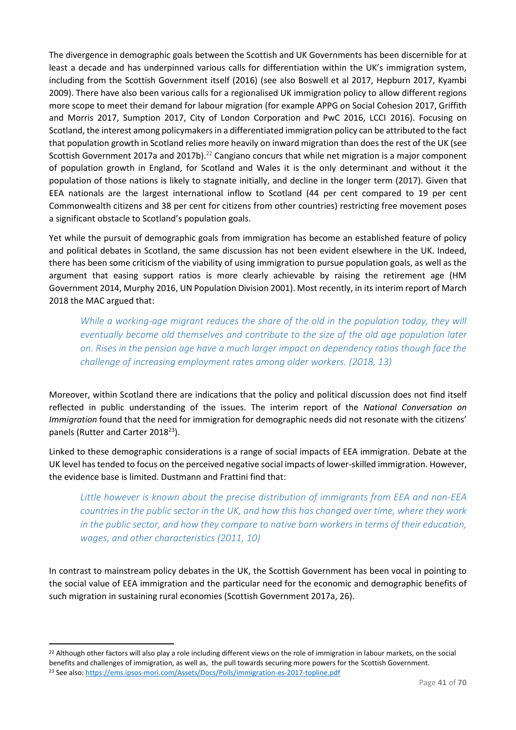The divergence in demographic goals between the Scottish and UK Governments has been discernible for at least a decade and has underpinned various calls for differentiation within the UK's immigration system, including from the Scottish Government itself (2016) (see also Boswell et al 2017, Hepburn 2017, Kyambi 2009). There have also been various calls for a regionalised UK immigration policy to allow different regions more scope to meet their demand for labour migration (for example APPG on Social Cohesion 2017, Griffith and Morris 2017, Sumption 2017, City of London Corporation and PwC 2016, LCCI 2016). Focusing on Scotland, the interest among policymakers in a differentiated immigration policy can be attributed to the fact that population growth in Scotland relies more heavily on inward migration than does the rest of the UK (see Scottish Government 2017a and 2017b).<sup>22</sup> Cangiano concurs that while net migration is a major component of population growth in England, for Scotland and Wales it is the only determinant and without it the population of those nations is likely to stagnate initially, and decline in the longer term (2017). Given that EEA nationals are the largest international inflow to Scotland (44 per cent compared to 19 per cent Commonwealth citizens and 38 per cent for citizens from other countries) restricting free movement poses a significant obstacle to Scotland's population goals.

Yet while the pursuit of demographic goals from immigration has become an established feature of policy and political debates in Scotland, the same discussion has not been evident elsewhere in the UK. Indeed, there has been some criticism of the viability of using immigration to pursue population goals, as well as the argument that easing support ratios is more clearly achievable by raising the retirement age (HM Government 2014, Murphy 2016, UN Population Division 2001). Most recently, in its interim report of March 2018 the MAC argued that:

*While a working-age migrant reduces the share of the old in the population today, they will eventually become old themselves and contribute to the size of the old age population later on. Rises in the pension age have a much larger impact on dependency ratios though face the challenge of increasing employment rates among older workers. (2018, 13)*

Moreover, within Scotland there are indications that the policy and political discussion does not find itself reflected in public understanding of the issues. The interim report of the *National Conversation on Immigration* found that the need for immigration for demographic needs did not resonate with the citizens' panels (Rutter and Carter 2018<sup>23</sup>).

Linked to these demographic considerations is a range of social impacts of EEA immigration. Debate at the UK level has tended to focus on the perceived negative social impacts of lower-skilled immigration. However, the evidence base is limited. Dustmann and Frattini find that:

*Little however is known about the precise distribution of immigrants from EEA and non-EEA countries in the public sector in the UK, and how this has changed over time, where they work in the public sector, and how they compare to native born workers in terms of their education, wages, and other characteristics (2011, 10)*

In contrast to mainstream policy debates in the UK, the Scottish Government has been vocal in pointing to the social value of EEA immigration and the particular need for the economic and demographic benefits of such migration in sustaining rural economies (Scottish Government 2017a, 26).

**.** 

<sup>&</sup>lt;sup>22</sup> Although other factors will also play a role including different views on the role of immigration in labour markets, on the social benefits and challenges of immigration, as well as, the pull towards securing more powers for the Scottish Government. <sup>23</sup> See also:<https://ems.ipsos-mori.com/Assets/Docs/Polls/immigration-es-2017-topline.pdf>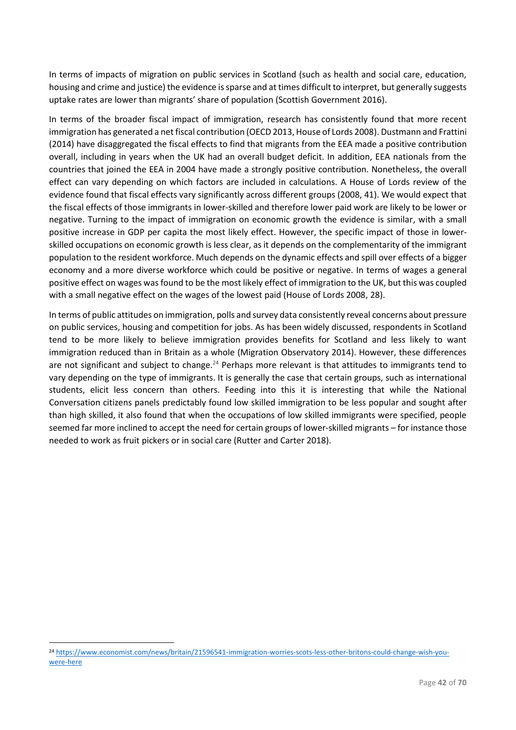In terms of impacts of migration on public services in Scotland (such as health and social care, education, housing and crime and justice) the evidence is sparse and at times difficult to interpret, but generally suggests uptake rates are lower than migrants' share of population (Scottish Government 2016).

In terms of the broader fiscal impact of immigration, research has consistently found that more recent immigration has generated a net fiscal contribution (OECD 2013, House of Lords 2008). Dustmann and Frattini (2014) have disaggregated the fiscal effects to find that migrants from the EEA made a positive contribution overall, including in years when the UK had an overall budget deficit. In addition, EEA nationals from the countries that joined the EEA in 2004 have made a strongly positive contribution. Nonetheless, the overall effect can vary depending on which factors are included in calculations. A House of Lords review of the evidence found that fiscal effects vary significantly across different groups (2008, 41). We would expect that the fiscal effects of those immigrants in lower-skilled and therefore lower paid work are likely to be lower or negative. Turning to the impact of immigration on economic growth the evidence is similar, with a small positive increase in GDP per capita the most likely effect. However, the specific impact of those in lowerskilled occupations on economic growth is less clear, as it depends on the complementarity of the immigrant population to the resident workforce. Much depends on the dynamic effects and spill over effects of a bigger economy and a more diverse workforce which could be positive or negative. In terms of wages a general positive effect on wages was found to be the most likely effect of immigration to the UK, but this was coupled with a small negative effect on the wages of the lowest paid (House of Lords 2008, 28).

In terms of public attitudes on immigration, polls and survey data consistently reveal concerns about pressure on public services, housing and competition for jobs. As has been widely discussed, respondents in Scotland tend to be more likely to believe immigration provides benefits for Scotland and less likely to want immigration reduced than in Britain as a whole (Migration Observatory 2014). However, these differences are not significant and subject to change.<sup>24</sup> Perhaps more relevant is that attitudes to immigrants tend to vary depending on the type of immigrants. It is generally the case that certain groups, such as international students, elicit less concern than others. Feeding into this it is interesting that while the National Conversation citizens panels predictably found low skilled immigration to be less popular and sought after than high skilled, it also found that when the occupations of low skilled immigrants were specified, people seemed far more inclined to accept the need for certain groups of lower-skilled migrants – for instance those needed to work as fruit pickers or in social care (Rutter and Carter 2018).

**.** 

<sup>24</sup> [https://www.economist.com/news/britain/21596541-immigration-worries-scots-less-other-britons-could-change-wish-you](https://www.economist.com/news/britain/21596541-immigration-worries-scots-less-other-britons-could-change-wish-you-were-here)[were-here](https://www.economist.com/news/britain/21596541-immigration-worries-scots-less-other-britons-could-change-wish-you-were-here)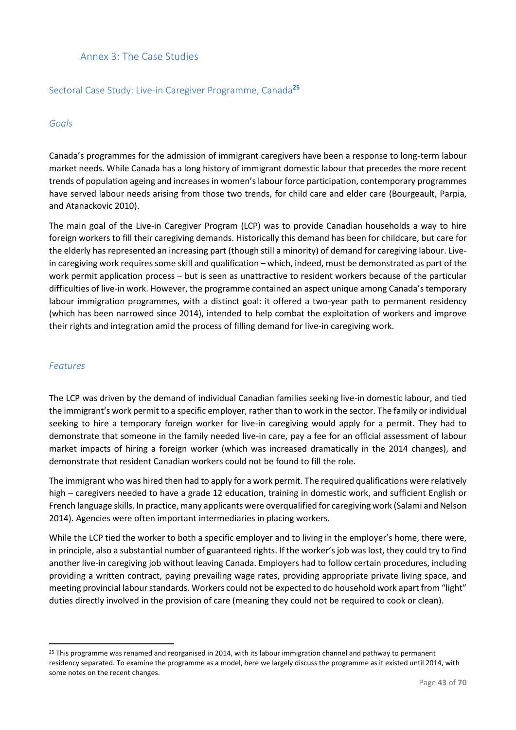# <span id="page-43-0"></span>Annex 3: The Case Studies

# Sectoral Case Study: Live-in Caregiver Programme, Canada**<sup>25</sup>**

### *Goals*

Canada's programmes for the admission of immigrant caregivers have been a response to long-term labour market needs. While Canada has a long history of immigrant domestic labour that precedes the more recent trends of population ageing and increases in women's labour force participation, contemporary programmes have served labour needs arising from those two trends, for child care and elder care (Bourgeault, Parpia, and Atanackovic 2010).

The main goal of the Live-in Caregiver Program (LCP) was to provide Canadian households a way to hire foreign workers to fill their caregiving demands. Historically this demand has been for childcare, but care for the elderly has represented an increasing part (though still a minority) of demand for caregiving labour. Livein caregiving work requires some skill and qualification – which, indeed, must be demonstrated as part of the work permit application process – but is seen as unattractive to resident workers because of the particular difficulties of live-in work. However, the programme contained an aspect unique among Canada's temporary labour immigration programmes, with a distinct goal: it offered a two-year path to permanent residency (which has been narrowed since 2014), intended to help combat the exploitation of workers and improve their rights and integration amid the process of filling demand for live-in caregiving work.

### *Features*

**.** 

The LCP was driven by the demand of individual Canadian families seeking live-in domestic labour, and tied the immigrant's work permit to a specific employer, rather than to work in the sector. The family or individual seeking to hire a temporary foreign worker for live-in caregiving would apply for a permit. They had to demonstrate that someone in the family needed live-in care, pay a fee for an official assessment of labour market impacts of hiring a foreign worker (which was increased dramatically in the 2014 changes), and demonstrate that resident Canadian workers could not be found to fill the role.

The immigrant who was hired then had to apply for a work permit. The required qualifications were relatively high – caregivers needed to have a grade 12 education, training in domestic work, and sufficient English or French language skills. In practice, many applicants were overqualified for caregiving work (Salami and Nelson 2014). Agencies were often important intermediaries in placing workers.

While the LCP tied the worker to both a specific employer and to living in the employer's home, there were, in principle, also a substantial number of guaranteed rights. If the worker's job was lost, they could try to find another live-in caregiving job without leaving Canada. Employers had to follow certain procedures, including providing a written contract, paying prevailing wage rates, providing appropriate private living space, and meeting provincial labour standards. Workers could not be expected to do household work apart from "light" duties directly involved in the provision of care (meaning they could not be required to cook or clean).

<sup>&</sup>lt;sup>25</sup> This programme was renamed and reorganised in 2014, with its labour immigration channel and pathway to permanent residency separated. To examine the programme as a model, here we largely discuss the programme as it existed until 2014, with some notes on the recent changes.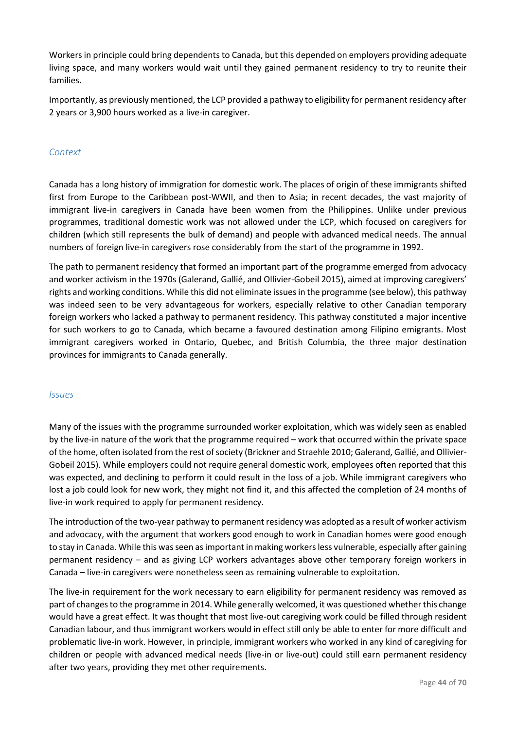Workers in principle could bring dependents to Canada, but this depended on employers providing adequate living space, and many workers would wait until they gained permanent residency to try to reunite their families.

Importantly, as previously mentioned, the LCP provided a pathway to eligibility for permanent residency after 2 years or 3,900 hours worked as a live-in caregiver.

# *Context*

Canada has a long history of immigration for domestic work. The places of origin of these immigrants shifted first from Europe to the Caribbean post-WWII, and then to Asia; in recent decades, the vast majority of immigrant live-in caregivers in Canada have been women from the Philippines. Unlike under previous programmes, traditional domestic work was not allowed under the LCP, which focused on caregivers for children (which still represents the bulk of demand) and people with advanced medical needs. The annual numbers of foreign live-in caregivers rose considerably from the start of the programme in 1992.

The path to permanent residency that formed an important part of the programme emerged from advocacy and worker activism in the 1970s (Galerand, Gallié, and Ollivier-Gobeil 2015), aimed at improving caregivers' rights and working conditions. While this did not eliminate issues in the programme (see below), this pathway was indeed seen to be very advantageous for workers, especially relative to other Canadian temporary foreign workers who lacked a pathway to permanent residency. This pathway constituted a major incentive for such workers to go to Canada, which became a favoured destination among Filipino emigrants. Most immigrant caregivers worked in Ontario, Quebec, and British Columbia, the three major destination provinces for immigrants to Canada generally.

### *Issues*

Many of the issues with the programme surrounded worker exploitation, which was widely seen as enabled by the live-in nature of the work that the programme required – work that occurred within the private space of the home, often isolated from the rest of society (Brickner and Straehle 2010; Galerand, Gallié, and Ollivier-Gobeil 2015). While employers could not require general domestic work, employees often reported that this was expected, and declining to perform it could result in the loss of a job. While immigrant caregivers who lost a job could look for new work, they might not find it, and this affected the completion of 24 months of live-in work required to apply for permanent residency.

The introduction of the two-year pathway to permanent residency was adopted as a result of worker activism and advocacy, with the argument that workers good enough to work in Canadian homes were good enough to stay in Canada. While this was seen as important in making workers less vulnerable, especially after gaining permanent residency – and as giving LCP workers advantages above other temporary foreign workers in Canada – live-in caregivers were nonetheless seen as remaining vulnerable to exploitation.

The live-in requirement for the work necessary to earn eligibility for permanent residency was removed as part of changes to the programme in 2014. While generally welcomed, it was questioned whether this change would have a great effect. It was thought that most live-out caregiving work could be filled through resident Canadian labour, and thus immigrant workers would in effect still only be able to enter for more difficult and problematic live-in work. However, in principle, immigrant workers who worked in any kind of caregiving for children or people with advanced medical needs (live-in or live-out) could still earn permanent residency after two years, providing they met other requirements.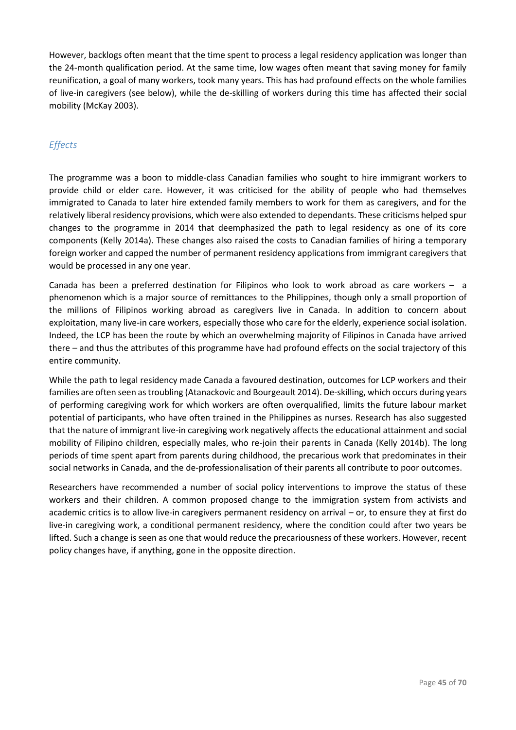However, backlogs often meant that the time spent to process a legal residency application was longer than the 24-month qualification period. At the same time, low wages often meant that saving money for family reunification, a goal of many workers, took many years. This has had profound effects on the whole families of live-in caregivers (see below), while the de-skilling of workers during this time has affected their social mobility (McKay 2003).

# *Effects*

The programme was a boon to middle-class Canadian families who sought to hire immigrant workers to provide child or elder care. However, it was criticised for the ability of people who had themselves immigrated to Canada to later hire extended family members to work for them as caregivers, and for the relatively liberal residency provisions, which were also extended to dependants. These criticisms helped spur changes to the programme in 2014 that deemphasized the path to legal residency as one of its core components (Kelly 2014a). These changes also raised the costs to Canadian families of hiring a temporary foreign worker and capped the number of permanent residency applications from immigrant caregivers that would be processed in any one year.

Canada has been a preferred destination for Filipinos who look to work abroad as care workers – a phenomenon which is a major source of remittances to the Philippines, though only a small proportion of the millions of Filipinos working abroad as caregivers live in Canada. In addition to concern about exploitation, many live-in care workers, especially those who care for the elderly, experience social isolation. Indeed, the LCP has been the route by which an overwhelming majority of Filipinos in Canada have arrived there – and thus the attributes of this programme have had profound effects on the social trajectory of this entire community.

While the path to legal residency made Canada a favoured destination, outcomes for LCP workers and their families are often seen as troubling (Atanackovic and Bourgeault 2014). De-skilling, which occurs during years of performing caregiving work for which workers are often overqualified, limits the future labour market potential of participants, who have often trained in the Philippines as nurses. Research has also suggested that the nature of immigrant live-in caregiving work negatively affects the educational attainment and social mobility of Filipino children, especially males, who re-join their parents in Canada (Kelly 2014b). The long periods of time spent apart from parents during childhood, the precarious work that predominates in their social networks in Canada, and the de-professionalisation of their parents all contribute to poor outcomes.

Researchers have recommended a number of social policy interventions to improve the status of these workers and their children. A common proposed change to the immigration system from activists and academic critics is to allow live-in caregivers permanent residency on arrival – or, to ensure they at first do live-in caregiving work, a conditional permanent residency, where the condition could after two years be lifted. Such a change is seen as one that would reduce the precariousness of these workers. However, recent policy changes have, if anything, gone in the opposite direction.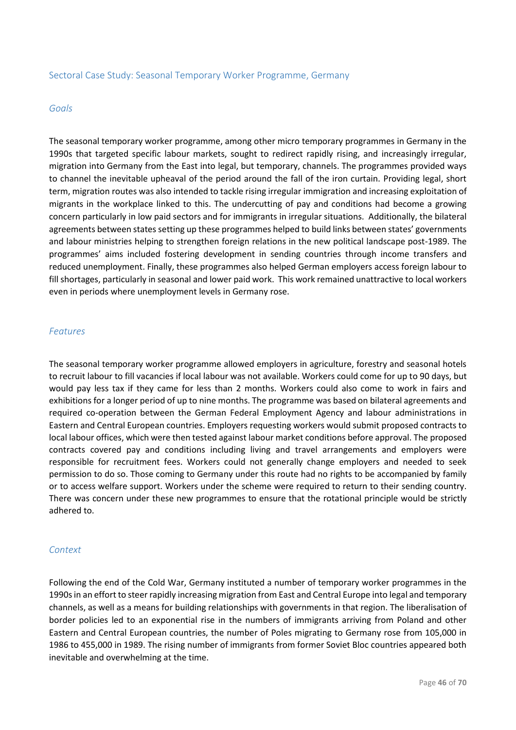### Sectoral Case Study: Seasonal Temporary Worker Programme, Germany

#### *Goals*

The seasonal temporary worker programme, among other micro temporary programmes in Germany in the 1990s that targeted specific labour markets, sought to redirect rapidly rising, and increasingly irregular, migration into Germany from the East into legal, but temporary, channels. The programmes provided ways to channel the inevitable upheaval of the period around the fall of the iron curtain. Providing legal, short term, migration routes was also intended to tackle rising irregular immigration and increasing exploitation of migrants in the workplace linked to this. The undercutting of pay and conditions had become a growing concern particularly in low paid sectors and for immigrants in irregular situations. Additionally, the bilateral agreements between states setting up these programmes helped to build links between states' governments and labour ministries helping to strengthen foreign relations in the new political landscape post-1989. The programmes' aims included fostering development in sending countries through income transfers and reduced unemployment. Finally, these programmes also helped German employers access foreign labour to fill shortages, particularly in seasonal and lower paid work. This work remained unattractive to local workers even in periods where unemployment levels in Germany rose.

#### *Features*

The seasonal temporary worker programme allowed employers in agriculture, forestry and seasonal hotels to recruit labour to fill vacancies if local labour was not available. Workers could come for up to 90 days, but would pay less tax if they came for less than 2 months. Workers could also come to work in fairs and exhibitions for a longer period of up to nine months. The programme was based on bilateral agreements and required co-operation between the German Federal Employment Agency and labour administrations in Eastern and Central European countries. Employers requesting workers would submit proposed contracts to local labour offices, which were then tested against labour market conditions before approval. The proposed contracts covered pay and conditions including living and travel arrangements and employers were responsible for recruitment fees. Workers could not generally change employers and needed to seek permission to do so. Those coming to Germany under this route had no rights to be accompanied by family or to access welfare support. Workers under the scheme were required to return to their sending country. There was concern under these new programmes to ensure that the rotational principle would be strictly adhered to.

### *Context*

Following the end of the Cold War, Germany instituted a number of temporary worker programmes in the 1990s in an effort to steer rapidly increasing migration from East and Central Europe into legal and temporary channels, as well as a means for building relationships with governments in that region. The liberalisation of border policies led to an exponential rise in the numbers of immigrants arriving from Poland and other Eastern and Central European countries, the number of Poles migrating to Germany rose from 105,000 in 1986 to 455,000 in 1989. The rising number of immigrants from former Soviet Bloc countries appeared both inevitable and overwhelming at the time.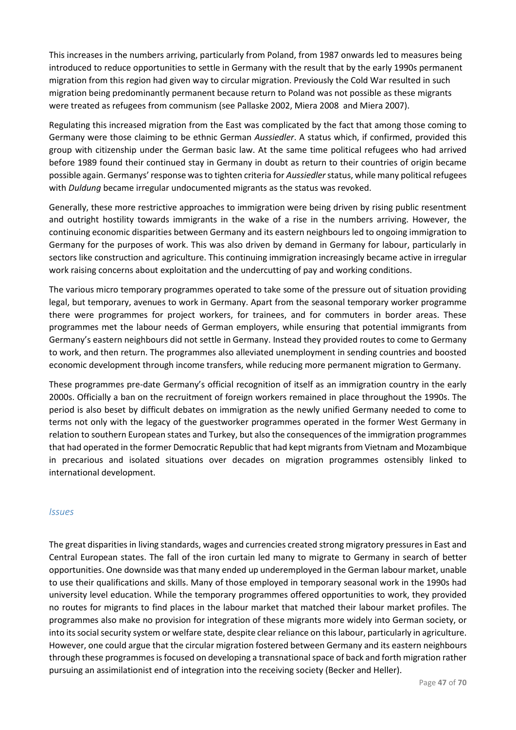This increases in the numbers arriving, particularly from Poland, from 1987 onwards led to measures being introduced to reduce opportunities to settle in Germany with the result that by the early 1990s permanent migration from this region had given way to circular migration. Previously the Cold War resulted in such migration being predominantly permanent because return to Poland was not possible as these migrants were treated as refugees from communism (see Pallaske 2002, Miera 2008 and Miera 2007).

Regulating this increased migration from the East was complicated by the fact that among those coming to Germany were those claiming to be ethnic German *Aussiedler*. A status which, if confirmed, provided this group with citizenship under the German basic law. At the same time political refugees who had arrived before 1989 found their continued stay in Germany in doubt as return to their countries of origin became possible again. Germanys' response was to tighten criteria for *Aussiedler*status, while many political refugees with *Duldung* became irregular undocumented migrants as the status was revoked.

Generally, these more restrictive approaches to immigration were being driven by rising public resentment and outright hostility towards immigrants in the wake of a rise in the numbers arriving. However, the continuing economic disparities between Germany and its eastern neighbours led to ongoing immigration to Germany for the purposes of work. This was also driven by demand in Germany for labour, particularly in sectors like construction and agriculture. This continuing immigration increasingly became active in irregular work raising concerns about exploitation and the undercutting of pay and working conditions.

The various micro temporary programmes operated to take some of the pressure out of situation providing legal, but temporary, avenues to work in Germany. Apart from the seasonal temporary worker programme there were programmes for project workers, for trainees, and for commuters in border areas. These programmes met the labour needs of German employers, while ensuring that potential immigrants from Germany's eastern neighbours did not settle in Germany. Instead they provided routes to come to Germany to work, and then return. The programmes also alleviated unemployment in sending countries and boosted economic development through income transfers, while reducing more permanent migration to Germany.

These programmes pre-date Germany's official recognition of itself as an immigration country in the early 2000s. Officially a ban on the recruitment of foreign workers remained in place throughout the 1990s. The period is also beset by difficult debates on immigration as the newly unified Germany needed to come to terms not only with the legacy of the guestworker programmes operated in the former West Germany in relation to southern European states and Turkey, but also the consequences of the immigration programmes that had operated in the former Democratic Republic that had kept migrants from Vietnam and Mozambique in precarious and isolated situations over decades on migration programmes ostensibly linked to international development.

### *Issues*

The great disparities in living standards, wages and currencies created strong migratory pressures in East and Central European states. The fall of the iron curtain led many to migrate to Germany in search of better opportunities. One downside was that many ended up underemployed in the German labour market, unable to use their qualifications and skills. Many of those employed in temporary seasonal work in the 1990s had university level education. While the temporary programmes offered opportunities to work, they provided no routes for migrants to find places in the labour market that matched their labour market profiles. The programmes also make no provision for integration of these migrants more widely into German society, or into its social security system or welfare state, despite clear reliance on this labour, particularly in agriculture. However, one could argue that the circular migration fostered between Germany and its eastern neighbours through these programmes is focused on developing a transnational space of back and forth migration rather pursuing an assimilationist end of integration into the receiving society (Becker and Heller).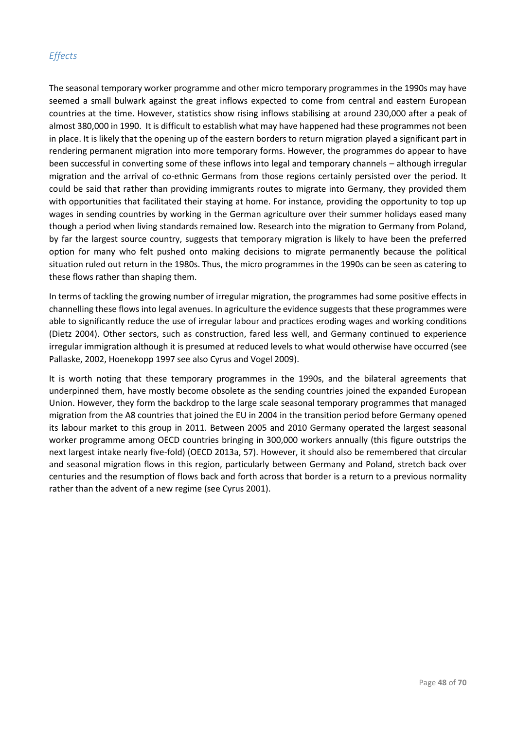# *Effects*

The seasonal temporary worker programme and other micro temporary programmes in the 1990s may have seemed a small bulwark against the great inflows expected to come from central and eastern European countries at the time. However, statistics show rising inflows stabilising at around 230,000 after a peak of almost 380,000 in 1990. It is difficult to establish what may have happened had these programmes not been in place. It is likely that the opening up of the eastern borders to return migration played a significant part in rendering permanent migration into more temporary forms. However, the programmes do appear to have been successful in converting some of these inflows into legal and temporary channels – although irregular migration and the arrival of co-ethnic Germans from those regions certainly persisted over the period. It could be said that rather than providing immigrants routes to migrate into Germany, they provided them with opportunities that facilitated their staying at home. For instance, providing the opportunity to top up wages in sending countries by working in the German agriculture over their summer holidays eased many though a period when living standards remained low. Research into the migration to Germany from Poland, by far the largest source country, suggests that temporary migration is likely to have been the preferred option for many who felt pushed onto making decisions to migrate permanently because the political situation ruled out return in the 1980s. Thus, the micro programmes in the 1990s can be seen as catering to these flows rather than shaping them.

In terms of tackling the growing number of irregular migration, the programmes had some positive effects in channelling these flows into legal avenues. In agriculture the evidence suggests that these programmes were able to significantly reduce the use of irregular labour and practices eroding wages and working conditions (Dietz 2004). Other sectors, such as construction, fared less well, and Germany continued to experience irregular immigration although it is presumed at reduced levels to what would otherwise have occurred (see Pallaske, 2002, Hoenekopp 1997 see also Cyrus and Vogel 2009).

It is worth noting that these temporary programmes in the 1990s, and the bilateral agreements that underpinned them, have mostly become obsolete as the sending countries joined the expanded European Union. However, they form the backdrop to the large scale seasonal temporary programmes that managed migration from the A8 countries that joined the EU in 2004 in the transition period before Germany opened its labour market to this group in 2011. Between 2005 and 2010 Germany operated the largest seasonal worker programme among OECD countries bringing in 300,000 workers annually (this figure outstrips the next largest intake nearly five-fold) (OECD 2013a, 57). However, it should also be remembered that circular and seasonal migration flows in this region, particularly between Germany and Poland, stretch back over centuries and the resumption of flows back and forth across that border is a return to a previous normality rather than the advent of a new regime (see Cyrus 2001).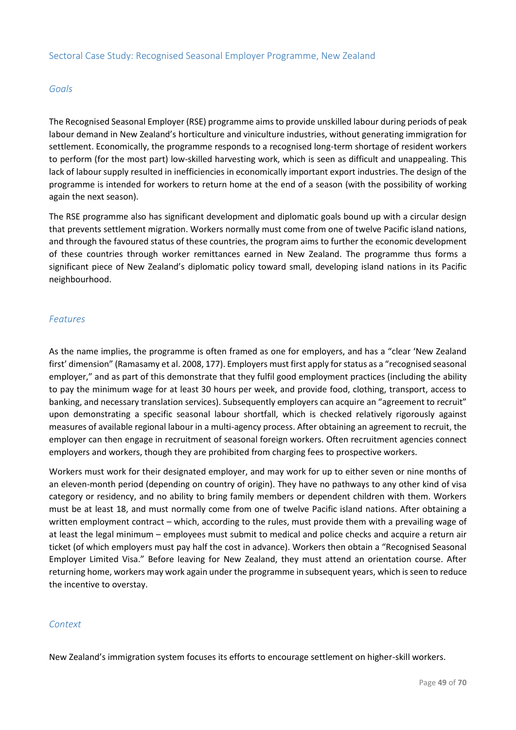### *Goals*

The Recognised Seasonal Employer (RSE) programme aims to provide unskilled labour during periods of peak labour demand in New Zealand's horticulture and viniculture industries, without generating immigration for settlement. Economically, the programme responds to a recognised long-term shortage of resident workers to perform (for the most part) low-skilled harvesting work, which is seen as difficult and unappealing. This lack of labour supply resulted in inefficiencies in economically important export industries. The design of the programme is intended for workers to return home at the end of a season (with the possibility of working again the next season).

The RSE programme also has significant development and diplomatic goals bound up with a circular design that prevents settlement migration. Workers normally must come from one of twelve Pacific island nations, and through the favoured status of these countries, the program aims to further the economic development of these countries through worker remittances earned in New Zealand. The programme thus forms a significant piece of New Zealand's diplomatic policy toward small, developing island nations in its Pacific neighbourhood.

# *Features*

As the name implies, the programme is often framed as one for employers, and has a "clear 'New Zealand first' dimension" (Ramasamy et al. 2008, 177). Employers must first apply for status as a "recognised seasonal employer," and as part of this demonstrate that they fulfil good employment practices (including the ability to pay the minimum wage for at least 30 hours per week, and provide food, clothing, transport, access to banking, and necessary translation services). Subsequently employers can acquire an "agreement to recruit" upon demonstrating a specific seasonal labour shortfall, which is checked relatively rigorously against measures of available regional labour in a multi-agency process. After obtaining an agreement to recruit, the employer can then engage in recruitment of seasonal foreign workers. Often recruitment agencies connect employers and workers, though they are prohibited from charging fees to prospective workers.

Workers must work for their designated employer, and may work for up to either seven or nine months of an eleven-month period (depending on country of origin). They have no pathways to any other kind of visa category or residency, and no ability to bring family members or dependent children with them. Workers must be at least 18, and must normally come from one of twelve Pacific island nations. After obtaining a written employment contract – which, according to the rules, must provide them with a prevailing wage of at least the legal minimum – employees must submit to medical and police checks and acquire a return air ticket (of which employers must pay half the cost in advance). Workers then obtain a "Recognised Seasonal Employer Limited Visa." Before leaving for New Zealand, they must attend an orientation course. After returning home, workers may work again under the programme in subsequent years, which is seen to reduce the incentive to overstay.

### *Context*

New Zealand's immigration system focuses its efforts to encourage settlement on higher-skill workers.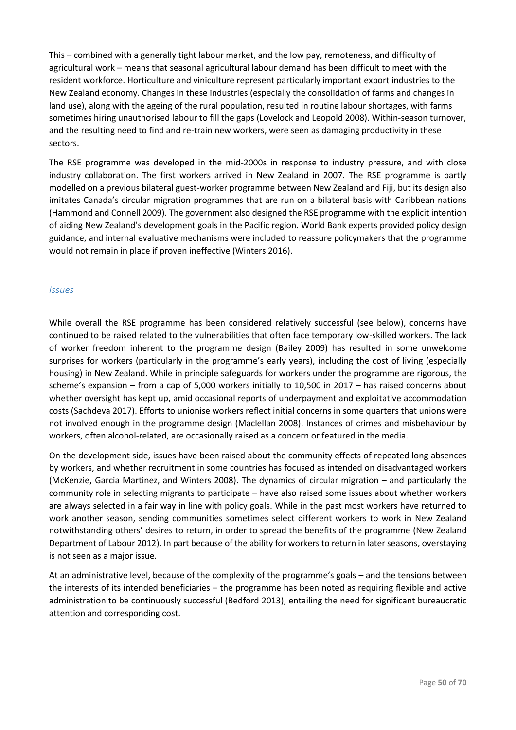This – combined with a generally tight labour market, and the low pay, remoteness, and difficulty of agricultural work – means that seasonal agricultural labour demand has been difficult to meet with the resident workforce. Horticulture and viniculture represent particularly important export industries to the New Zealand economy. Changes in these industries (especially the consolidation of farms and changes in land use), along with the ageing of the rural population, resulted in routine labour shortages, with farms sometimes hiring unauthorised labour to fill the gaps (Lovelock and Leopold 2008). Within-season turnover, and the resulting need to find and re-train new workers, were seen as damaging productivity in these sectors.

The RSE programme was developed in the mid-2000s in response to industry pressure, and with close industry collaboration. The first workers arrived in New Zealand in 2007. The RSE programme is partly modelled on a previous bilateral guest-worker programme between New Zealand and Fiji, but its design also imitates Canada's circular migration programmes that are run on a bilateral basis with Caribbean nations (Hammond and Connell 2009). The government also designed the RSE programme with the explicit intention of aiding New Zealand's development goals in the Pacific region. World Bank experts provided policy design guidance, and internal evaluative mechanisms were included to reassure policymakers that the programme would not remain in place if proven ineffective (Winters 2016).

# *Issues*

While overall the RSE programme has been considered relatively successful (see below), concerns have continued to be raised related to the vulnerabilities that often face temporary low-skilled workers. The lack of worker freedom inherent to the programme design (Bailey 2009) has resulted in some unwelcome surprises for workers (particularly in the programme's early years), including the cost of living (especially housing) in New Zealand. While in principle safeguards for workers under the programme are rigorous, the scheme's expansion – from a cap of 5,000 workers initially to 10,500 in 2017 – has raised concerns about whether oversight has kept up, amid occasional reports of underpayment and exploitative accommodation costs (Sachdeva 2017). Efforts to unionise workers reflect initial concerns in some quarters that unions were not involved enough in the programme design (Maclellan 2008). Instances of crimes and misbehaviour by workers, often alcohol-related, are occasionally raised as a concern or featured in the media.

On the development side, issues have been raised about the community effects of repeated long absences by workers, and whether recruitment in some countries has focused as intended on disadvantaged workers (McKenzie, Garcia Martinez, and Winters 2008). The dynamics of circular migration – and particularly the community role in selecting migrants to participate – have also raised some issues about whether workers are always selected in a fair way in line with policy goals. While in the past most workers have returned to work another season, sending communities sometimes select different workers to work in New Zealand notwithstanding others' desires to return, in order to spread the benefits of the programme (New Zealand Department of Labour 2012). In part because of the ability for workers to return in later seasons, overstaying is not seen as a major issue.

At an administrative level, because of the complexity of the programme's goals – and the tensions between the interests of its intended beneficiaries – the programme has been noted as requiring flexible and active administration to be continuously successful (Bedford 2013), entailing the need for significant bureaucratic attention and corresponding cost.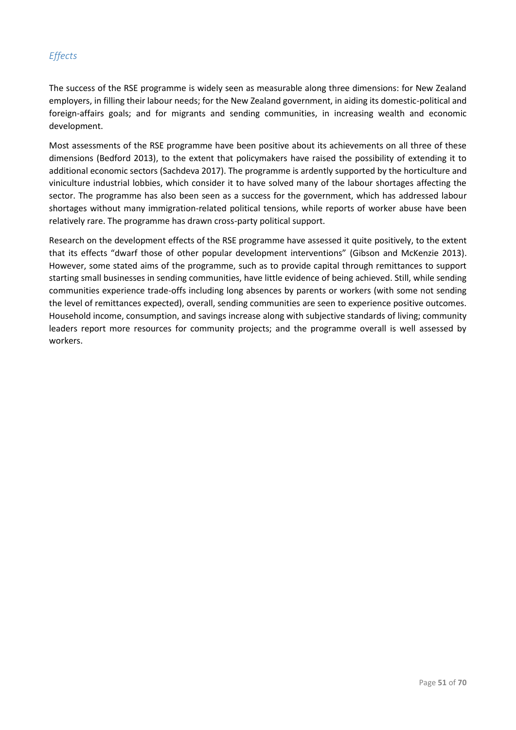# *Effects*

The success of the RSE programme is widely seen as measurable along three dimensions: for New Zealand employers, in filling their labour needs; for the New Zealand government, in aiding its domestic-political and foreign-affairs goals; and for migrants and sending communities, in increasing wealth and economic development.

Most assessments of the RSE programme have been positive about its achievements on all three of these dimensions (Bedford 2013), to the extent that policymakers have raised the possibility of extending it to additional economic sectors (Sachdeva 2017). The programme is ardently supported by the horticulture and viniculture industrial lobbies, which consider it to have solved many of the labour shortages affecting the sector. The programme has also been seen as a success for the government, which has addressed labour shortages without many immigration-related political tensions, while reports of worker abuse have been relatively rare. The programme has drawn cross-party political support.

Research on the development effects of the RSE programme have assessed it quite positively, to the extent that its effects "dwarf those of other popular development interventions" (Gibson and McKenzie 2013). However, some stated aims of the programme, such as to provide capital through remittances to support starting small businesses in sending communities, have little evidence of being achieved. Still, while sending communities experience trade-offs including long absences by parents or workers (with some not sending the level of remittances expected), overall, sending communities are seen to experience positive outcomes. Household income, consumption, and savings increase along with subjective standards of living; community leaders report more resources for community projects; and the programme overall is well assessed by workers.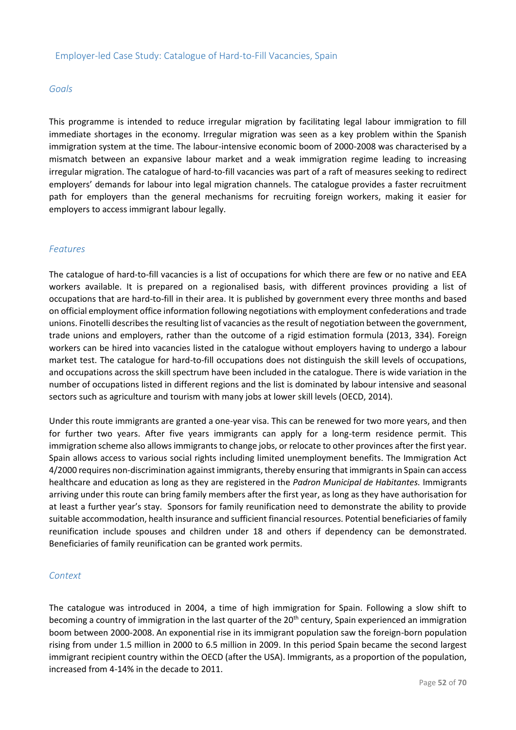### *Goals*

This programme is intended to reduce irregular migration by facilitating legal labour immigration to fill immediate shortages in the economy. Irregular migration was seen as a key problem within the Spanish immigration system at the time. The labour-intensive economic boom of 2000-2008 was characterised by a mismatch between an expansive labour market and a weak immigration regime leading to increasing irregular migration. The catalogue of hard-to-fill vacancies was part of a raft of measures seeking to redirect employers' demands for labour into legal migration channels. The catalogue provides a faster recruitment path for employers than the general mechanisms for recruiting foreign workers, making it easier for employers to access immigrant labour legally.

# *Features*

The catalogue of hard-to-fill vacancies is a list of occupations for which there are few or no native and EEA workers available. It is prepared on a regionalised basis, with different provinces providing a list of occupations that are hard-to-fill in their area. It is published by government every three months and based on official employment office information following negotiations with employment confederations and trade unions. Finotelli describes the resulting list of vacancies as the result of negotiation between the government, trade unions and employers, rather than the outcome of a rigid estimation formula (2013, 334). Foreign workers can be hired into vacancies listed in the catalogue without employers having to undergo a labour market test. The catalogue for hard-to-fill occupations does not distinguish the skill levels of occupations, and occupations across the skill spectrum have been included in the catalogue. There is wide variation in the number of occupations listed in different regions and the list is dominated by labour intensive and seasonal sectors such as agriculture and tourism with many jobs at lower skill levels (OECD, 2014).

Under this route immigrants are granted a one-year visa. This can be renewed for two more years, and then for further two years. After five years immigrants can apply for a long-term residence permit. This immigration scheme also allows immigrants to change jobs, or relocate to other provinces after the first year. Spain allows access to various social rights including limited unemployment benefits. The Immigration Act 4/2000 requires non-discrimination against immigrants, thereby ensuring that immigrants in Spain can access healthcare and education as long as they are registered in the *Padron Municipal de Habitantes.* Immigrants arriving under this route can bring family members after the first year, as long as they have authorisation for at least a further year's stay. Sponsors for family reunification need to demonstrate the ability to provide suitable accommodation, health insurance and sufficient financial resources. Potential beneficiaries of family reunification include spouses and children under 18 and others if dependency can be demonstrated. Beneficiaries of family reunification can be granted work permits.

### *Context*

The catalogue was introduced in 2004, a time of high immigration for Spain. Following a slow shift to becoming a country of immigration in the last quarter of the  $20<sup>th</sup>$  century, Spain experienced an immigration boom between 2000-2008. An exponential rise in its immigrant population saw the foreign-born population rising from under 1.5 million in 2000 to 6.5 million in 2009. In this period Spain became the second largest immigrant recipient country within the OECD (after the USA). Immigrants, as a proportion of the population, increased from 4-14% in the decade to 2011.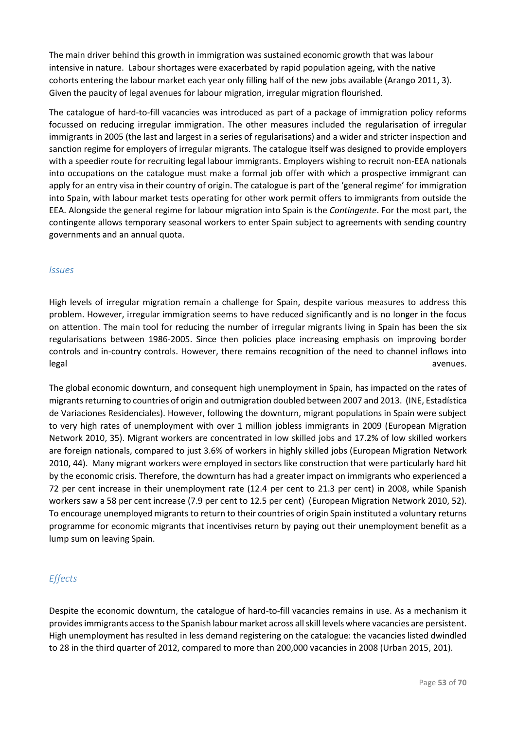The main driver behind this growth in immigration was sustained economic growth that was labour intensive in nature. Labour shortages were exacerbated by rapid population ageing, with the native cohorts entering the labour market each year only filling half of the new jobs available (Arango 2011, 3). Given the paucity of legal avenues for labour migration, irregular migration flourished.

The catalogue of hard-to-fill vacancies was introduced as part of a package of immigration policy reforms focussed on reducing irregular immigration. The other measures included the regularisation of irregular immigrants in 2005 (the last and largest in a series of regularisations) and a wider and stricter inspection and sanction regime for employers of irregular migrants. The catalogue itself was designed to provide employers with a speedier route for recruiting legal labour immigrants. Employers wishing to recruit non-EEA nationals into occupations on the catalogue must make a formal job offer with which a prospective immigrant can apply for an entry visa in their country of origin. The catalogue is part of the 'general regime' for immigration into Spain, with labour market tests operating for other work permit offers to immigrants from outside the EEA. Alongside the general regime for labour migration into Spain is the *Contingente*. For the most part, the contingente allows temporary seasonal workers to enter Spain subject to agreements with sending country governments and an annual quota.

### *Issues*

High levels of irregular migration remain a challenge for Spain, despite various measures to address this problem. However, irregular immigration seems to have reduced significantly and is no longer in the focus on attention. The main tool for reducing the number of irregular migrants living in Spain has been the six regularisations between 1986-2005. Since then policies place increasing emphasis on improving border controls and in-country controls. However, there remains recognition of the need to channel inflows into legal avenues. The set of the set of the set of the set of the set of the set of the set of the set of the set o

The global economic downturn, and consequent high unemployment in Spain, has impacted on the rates of migrants returning to countries of origin and outmigration doubled between 2007 and 2013. (INE, Estadística de Variaciones Residenciales). However, following the downturn, migrant populations in Spain were subject to very high rates of unemployment with over 1 million jobless immigrants in 2009 (European Migration Network 2010, 35). Migrant workers are concentrated in low skilled jobs and 17.2% of low skilled workers are foreign nationals, compared to just 3.6% of workers in highly skilled jobs (European Migration Network 2010, 44). Many migrant workers were employed in sectors like construction that were particularly hard hit by the economic crisis. Therefore, the downturn has had a greater impact on immigrants who experienced a 72 per cent increase in their unemployment rate (12.4 per cent to 21.3 per cent) in 2008, while Spanish workers saw a 58 per cent increase (7.9 per cent to 12.5 per cent) (European Migration Network 2010, 52). To encourage unemployed migrants to return to their countries of origin Spain instituted a voluntary returns programme for economic migrants that incentivises return by paying out their unemployment benefit as a lump sum on leaving Spain.

# *Effects*

Despite the economic downturn, the catalogue of hard-to-fill vacancies remains in use. As a mechanism it provides immigrants access to the Spanish labour market across all skill levels where vacancies are persistent. High unemployment has resulted in less demand registering on the catalogue: the vacancies listed dwindled to 28 in the third quarter of 2012, compared to more than 200,000 vacancies in 2008 (Urban 2015, 201).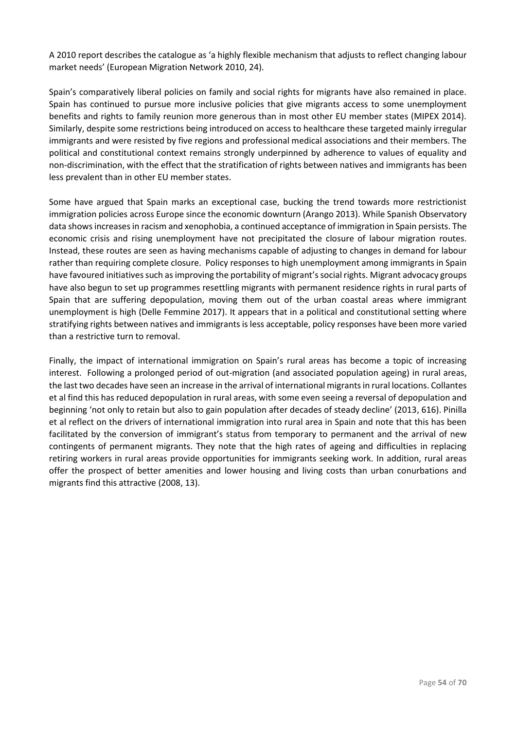A 2010 report describes the catalogue as 'a highly flexible mechanism that adjusts to reflect changing labour market needs' (European Migration Network 2010, 24).

Spain's comparatively liberal policies on family and social rights for migrants have also remained in place. Spain has continued to pursue more inclusive policies that give migrants access to some unemployment benefits and rights to family reunion more generous than in most other EU member states (MIPEX 2014). Similarly, despite some restrictions being introduced on access to healthcare these targeted mainly irregular immigrants and were resisted by five regions and professional medical associations and their members. The political and constitutional context remains strongly underpinned by adherence to values of equality and non-discrimination, with the effect that the stratification of rights between natives and immigrants has been less prevalent than in other EU member states.

Some have argued that Spain marks an exceptional case, bucking the trend towards more restrictionist immigration policies across Europe since the economic downturn (Arango 2013). While Spanish Observatory data shows increases in racism and xenophobia, a continued acceptance of immigration in Spain persists. The economic crisis and rising unemployment have not precipitated the closure of labour migration routes. Instead, these routes are seen as having mechanisms capable of adjusting to changes in demand for labour rather than requiring complete closure. Policy responses to high unemployment among immigrants in Spain have favoured initiatives such as improving the portability of migrant's social rights. Migrant advocacy groups have also begun to set up programmes resettling migrants with permanent residence rights in rural parts of Spain that are suffering depopulation, moving them out of the urban coastal areas where immigrant unemployment is high (Delle Femmine 2017). It appears that in a political and constitutional setting where stratifying rights between natives and immigrants is less acceptable, policy responses have been more varied than a restrictive turn to removal.

Finally, the impact of international immigration on Spain's rural areas has become a topic of increasing interest. Following a prolonged period of out-migration (and associated population ageing) in rural areas, the last two decades have seen an increase in the arrival of international migrants in rural locations. Collantes et al find this has reduced depopulation in rural areas, with some even seeing a reversal of depopulation and beginning 'not only to retain but also to gain population after decades of steady decline' (2013, 616). Pinilla et al reflect on the drivers of international immigration into rural area in Spain and note that this has been facilitated by the conversion of immigrant's status from temporary to permanent and the arrival of new contingents of permanent migrants. They note that the high rates of ageing and difficulties in replacing retiring workers in rural areas provide opportunities for immigrants seeking work. In addition, rural areas offer the prospect of better amenities and lower housing and living costs than urban conurbations and migrants find this attractive (2008, 13).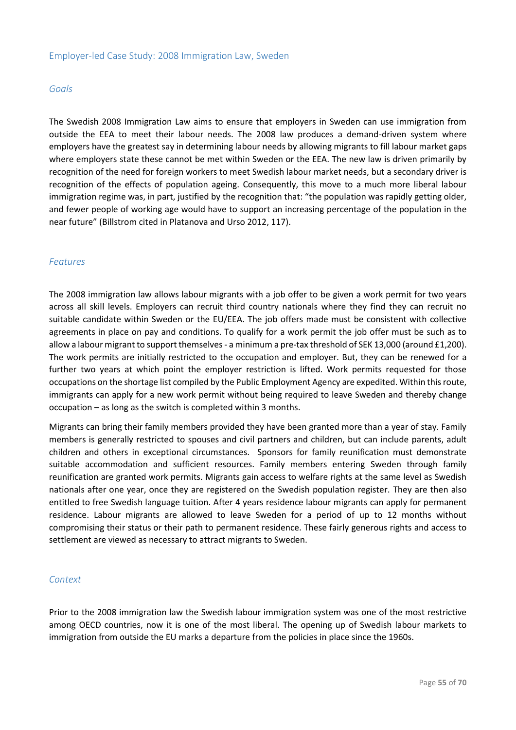### *Goals*

The Swedish 2008 Immigration Law aims to ensure that employers in Sweden can use immigration from outside the EEA to meet their labour needs. The 2008 law produces a demand-driven system where employers have the greatest say in determining labour needs by allowing migrants to fill labour market gaps where employers state these cannot be met within Sweden or the EEA. The new law is driven primarily by recognition of the need for foreign workers to meet Swedish labour market needs, but a secondary driver is recognition of the effects of population ageing. Consequently, this move to a much more liberal labour immigration regime was, in part, justified by the recognition that: "the population was rapidly getting older, and fewer people of working age would have to support an increasing percentage of the population in the near future" (Billstrom cited in Platanova and Urso 2012, 117).

#### *Features*

The 2008 immigration law allows labour migrants with a job offer to be given a work permit for two years across all skill levels. Employers can recruit third country nationals where they find they can recruit no suitable candidate within Sweden or the EU/EEA. The job offers made must be consistent with collective agreements in place on pay and conditions. To qualify for a work permit the job offer must be such as to allow a labour migrant to support themselves - a minimum a pre-tax threshold of SEK 13,000 (around £1,200). The work permits are initially restricted to the occupation and employer. But, they can be renewed for a further two years at which point the employer restriction is lifted. Work permits requested for those occupations on the shortage list compiled by the Public Employment Agency are expedited. Within this route, immigrants can apply for a new work permit without being required to leave Sweden and thereby change occupation – as long as the switch is completed within 3 months.

Migrants can bring their family members provided they have been granted more than a year of stay. Family members is generally restricted to spouses and civil partners and children, but can include parents, adult children and others in exceptional circumstances. Sponsors for family reunification must demonstrate suitable accommodation and sufficient resources. Family members entering Sweden through family reunification are granted work permits. Migrants gain access to welfare rights at the same level as Swedish nationals after one year, once they are registered on the Swedish population register. They are then also entitled to free Swedish language tuition. After 4 years residence labour migrants can apply for permanent residence. Labour migrants are allowed to leave Sweden for a period of up to 12 months without compromising their status or their path to permanent residence. These fairly generous rights and access to settlement are viewed as necessary to attract migrants to Sweden.

### *Context*

Prior to the 2008 immigration law the Swedish labour immigration system was one of the most restrictive among OECD countries, now it is one of the most liberal. The opening up of Swedish labour markets to immigration from outside the EU marks a departure from the policies in place since the 1960s.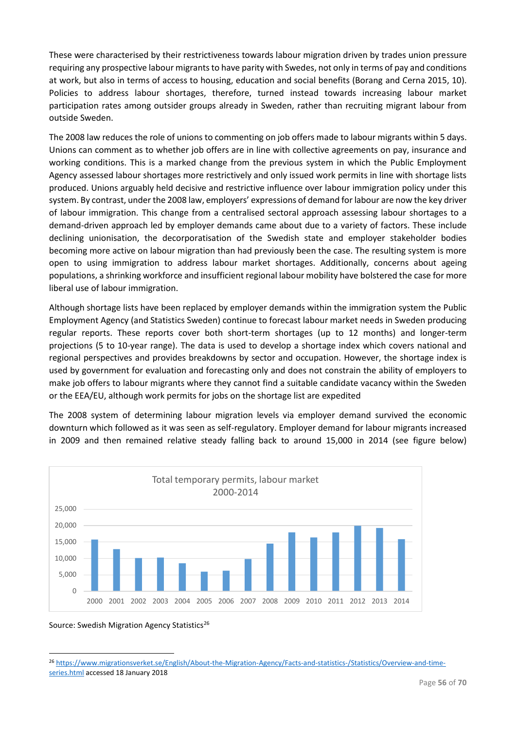These were characterised by their restrictiveness towards labour migration driven by trades union pressure requiring any prospective labour migrants to have parity with Swedes, not only in terms of pay and conditions at work, but also in terms of access to housing, education and social benefits (Borang and Cerna 2015, 10). Policies to address labour shortages, therefore, turned instead towards increasing labour market participation rates among outsider groups already in Sweden, rather than recruiting migrant labour from outside Sweden.

The 2008 law reduces the role of unions to commenting on job offers made to labour migrants within 5 days. Unions can comment as to whether job offers are in line with collective agreements on pay, insurance and working conditions. This is a marked change from the previous system in which the Public Employment Agency assessed labour shortages more restrictively and only issued work permits in line with shortage lists produced. Unions arguably held decisive and restrictive influence over labour immigration policy under this system. By contrast, under the 2008 law, employers' expressions of demand for labour are now the key driver of labour immigration. This change from a centralised sectoral approach assessing labour shortages to a demand-driven approach led by employer demands came about due to a variety of factors. These include declining unionisation, the decorporatisation of the Swedish state and employer stakeholder bodies becoming more active on labour migration than had previously been the case. The resulting system is more open to using immigration to address labour market shortages. Additionally, concerns about ageing populations, a shrinking workforce and insufficient regional labour mobility have bolstered the case for more liberal use of labour immigration.

Although shortage lists have been replaced by employer demands within the immigration system the Public Employment Agency (and Statistics Sweden) continue to forecast labour market needs in Sweden producing regular reports. These reports cover both short-term shortages (up to 12 months) and longer-term projections (5 to 10-year range). The data is used to develop a shortage index which covers national and regional perspectives and provides breakdowns by sector and occupation. However, the shortage index is used by government for evaluation and forecasting only and does not constrain the ability of employers to make job offers to labour migrants where they cannot find a suitable candidate vacancy within the Sweden or the EEA/EU, although work permits for jobs on the shortage list are expedited

The 2008 system of determining labour migration levels via employer demand survived the economic downturn which followed as it was seen as self-regulatory. Employer demand for labour migrants increased in 2009 and then remained relative steady falling back to around 15,000 in 2014 (see figure below)



Source: Swedish Migration Agency Statistics<sup>26</sup>

1

<sup>26</sup> [https://www.migrationsverket.se/English/About-the-Migration-Agency/Facts-and-statistics-/Statistics/Overview-and-time](https://www.migrationsverket.se/English/About-the-Migration-Agency/Facts-and-statistics-/Statistics/Overview-and-time-series.html)[series.html](https://www.migrationsverket.se/English/About-the-Migration-Agency/Facts-and-statistics-/Statistics/Overview-and-time-series.html) accessed 18 January 2018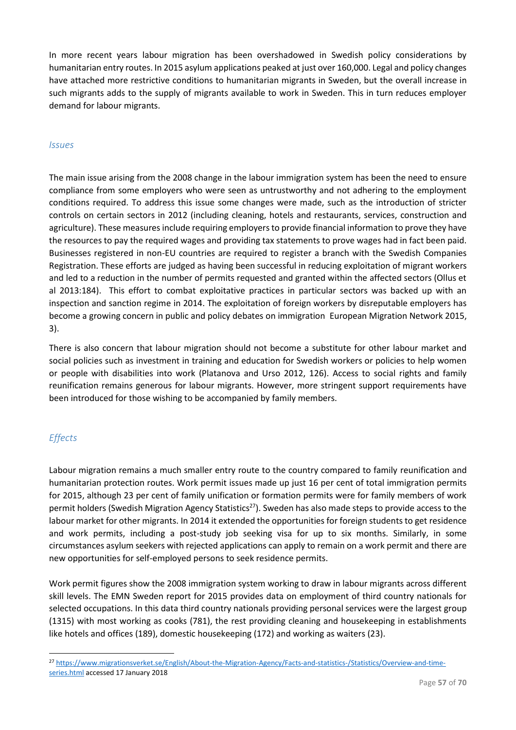In more recent years labour migration has been overshadowed in Swedish policy considerations by humanitarian entry routes. In 2015 asylum applications peaked at just over 160,000. Legal and policy changes have attached more restrictive conditions to humanitarian migrants in Sweden, but the overall increase in such migrants adds to the supply of migrants available to work in Sweden. This in turn reduces employer demand for labour migrants.

### *Issues*

The main issue arising from the 2008 change in the labour immigration system has been the need to ensure compliance from some employers who were seen as untrustworthy and not adhering to the employment conditions required. To address this issue some changes were made, such as the introduction of stricter controls on certain sectors in 2012 (including cleaning, hotels and restaurants, services, construction and agriculture). These measures include requiring employers to provide financial information to prove they have the resources to pay the required wages and providing tax statements to prove wages had in fact been paid. Businesses registered in non-EU countries are required to register a branch with the Swedish Companies Registration. These efforts are judged as having been successful in reducing exploitation of migrant workers and led to a reduction in the number of permits requested and granted within the affected sectors (Ollus et al 2013:184). This effort to combat exploitative practices in particular sectors was backed up with an inspection and sanction regime in 2014. The exploitation of foreign workers by disreputable employers has become a growing concern in public and policy debates on immigration European Migration Network 2015, 3).

There is also concern that labour migration should not become a substitute for other labour market and social policies such as investment in training and education for Swedish workers or policies to help women or people with disabilities into work (Platanova and Urso 2012, 126). Access to social rights and family reunification remains generous for labour migrants. However, more stringent support requirements have been introduced for those wishing to be accompanied by family members.

# *Effects*

1

Labour migration remains a much smaller entry route to the country compared to family reunification and humanitarian protection routes. Work permit issues made up just 16 per cent of total immigration permits for 2015, although 23 per cent of family unification or formation permits were for family members of work permit holders (Swedish Migration Agency Statistics<sup>27</sup>). Sweden has also made steps to provide access to the labour market for other migrants. In 2014 it extended the opportunities for foreign students to get residence and work permits, including a post-study job seeking visa for up to six months. Similarly, in some circumstances asylum seekers with rejected applications can apply to remain on a work permit and there are new opportunities for self-employed persons to seek residence permits.

Work permit figures show the 2008 immigration system working to draw in labour migrants across different skill levels. The EMN Sweden report for 2015 provides data on employment of third country nationals for selected occupations. In this data third country nationals providing personal services were the largest group (1315) with most working as cooks (781), the rest providing cleaning and housekeeping in establishments like hotels and offices (189), domestic housekeeping (172) and working as waiters (23).

<sup>27</sup> [https://www.migrationsverket.se/English/About-the-Migration-Agency/Facts-and-statistics-/Statistics/Overview-and-time](https://www.migrationsverket.se/English/About-the-Migration-Agency/Facts-and-statistics-/Statistics/Overview-and-time-series.html)[series.html](https://www.migrationsverket.se/English/About-the-Migration-Agency/Facts-and-statistics-/Statistics/Overview-and-time-series.html) accessed 17 January 2018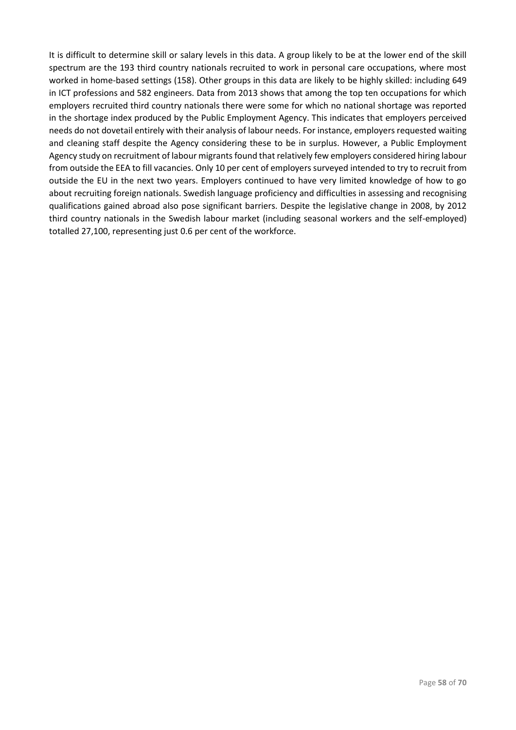It is difficult to determine skill or salary levels in this data. A group likely to be at the lower end of the skill spectrum are the 193 third country nationals recruited to work in personal care occupations, where most worked in home-based settings (158). Other groups in this data are likely to be highly skilled: including 649 in ICT professions and 582 engineers. Data from 2013 shows that among the top ten occupations for which employers recruited third country nationals there were some for which no national shortage was reported in the shortage index produced by the Public Employment Agency. This indicates that employers perceived needs do not dovetail entirely with their analysis of labour needs. For instance, employers requested waiting and cleaning staff despite the Agency considering these to be in surplus. However, a Public Employment Agency study on recruitment of labour migrants found that relatively few employers considered hiring labour from outside the EEA to fill vacancies. Only 10 per cent of employers surveyed intended to try to recruit from outside the EU in the next two years. Employers continued to have very limited knowledge of how to go about recruiting foreign nationals. Swedish language proficiency and difficulties in assessing and recognising qualifications gained abroad also pose significant barriers. Despite the legislative change in 2008, by 2012 third country nationals in the Swedish labour market (including seasonal workers and the self-employed) totalled 27,100, representing just 0.6 per cent of the workforce.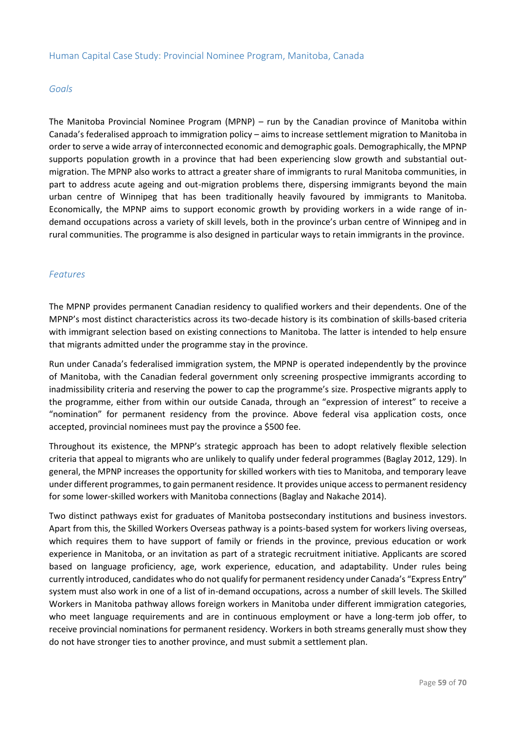### *Goals*

The Manitoba Provincial Nominee Program (MPNP) – run by the Canadian province of Manitoba within Canada's federalised approach to immigration policy – aims to increase settlement migration to Manitoba in order to serve a wide array of interconnected economic and demographic goals. Demographically, the MPNP supports population growth in a province that had been experiencing slow growth and substantial outmigration. The MPNP also works to attract a greater share of immigrants to rural Manitoba communities, in part to address acute ageing and out-migration problems there, dispersing immigrants beyond the main urban centre of Winnipeg that has been traditionally heavily favoured by immigrants to Manitoba. Economically, the MPNP aims to support economic growth by providing workers in a wide range of indemand occupations across a variety of skill levels, both in the province's urban centre of Winnipeg and in rural communities. The programme is also designed in particular ways to retain immigrants in the province.

# *Features*

The MPNP provides permanent Canadian residency to qualified workers and their dependents. One of the MPNP's most distinct characteristics across its two-decade history is its combination of skills-based criteria with immigrant selection based on existing connections to Manitoba. The latter is intended to help ensure that migrants admitted under the programme stay in the province.

Run under Canada's federalised immigration system, the MPNP is operated independently by the province of Manitoba, with the Canadian federal government only screening prospective immigrants according to inadmissibility criteria and reserving the power to cap the programme's size. Prospective migrants apply to the programme, either from within our outside Canada, through an "expression of interest" to receive a "nomination" for permanent residency from the province. Above federal visa application costs, once accepted, provincial nominees must pay the province a \$500 fee.

Throughout its existence, the MPNP's strategic approach has been to adopt relatively flexible selection criteria that appeal to migrants who are unlikely to qualify under federal programmes (Baglay 2012, 129). In general, the MPNP increases the opportunity for skilled workers with ties to Manitoba, and temporary leave under different programmes, to gain permanent residence. It provides unique access to permanent residency for some lower-skilled workers with Manitoba connections (Baglay and Nakache 2014).

Two distinct pathways exist for graduates of Manitoba postsecondary institutions and business investors. Apart from this, the Skilled Workers Overseas pathway is a points-based system for workers living overseas, which requires them to have support of family or friends in the province, previous education or work experience in Manitoba, or an invitation as part of a strategic recruitment initiative. Applicants are scored based on language proficiency, age, work experience, education, and adaptability. Under rules being currently introduced, candidates who do not qualify for permanent residency under Canada's "Express Entry" system must also work in one of a list of in-demand occupations, across a number of skill levels. The Skilled Workers in Manitoba pathway allows foreign workers in Manitoba under different immigration categories, who meet language requirements and are in continuous employment or have a long-term job offer, to receive provincial nominations for permanent residency. Workers in both streams generally must show they do not have stronger ties to another province, and must submit a settlement plan.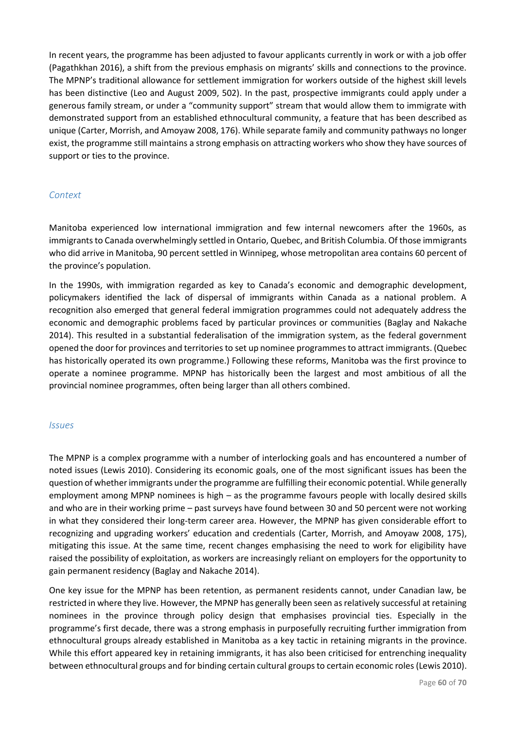In recent years, the programme has been adjusted to favour applicants currently in work or with a job offer (Pagathkhan 2016), a shift from the previous emphasis on migrants' skills and connections to the province. The MPNP's traditional allowance for settlement immigration for workers outside of the highest skill levels has been distinctive (Leo and August 2009, 502). In the past, prospective immigrants could apply under a generous family stream, or under a "community support" stream that would allow them to immigrate with demonstrated support from an established ethnocultural community, a feature that has been described as unique (Carter, Morrish, and Amoyaw 2008, 176). While separate family and community pathways no longer exist, the programme still maintains a strong emphasis on attracting workers who show they have sources of support or ties to the province.

# *Context*

Manitoba experienced low international immigration and few internal newcomers after the 1960s, as immigrants to Canada overwhelmingly settled in Ontario, Quebec, and British Columbia. Of those immigrants who did arrive in Manitoba, 90 percent settled in Winnipeg, whose metropolitan area contains 60 percent of the province's population.

In the 1990s, with immigration regarded as key to Canada's economic and demographic development, policymakers identified the lack of dispersal of immigrants within Canada as a national problem. A recognition also emerged that general federal immigration programmes could not adequately address the economic and demographic problems faced by particular provinces or communities (Baglay and Nakache 2014). This resulted in a substantial federalisation of the immigration system, as the federal government opened the door for provinces and territories to set up nominee programmes to attract immigrants. (Quebec has historically operated its own programme.) Following these reforms, Manitoba was the first province to operate a nominee programme. MPNP has historically been the largest and most ambitious of all the provincial nominee programmes, often being larger than all others combined.

### *Issues*

The MPNP is a complex programme with a number of interlocking goals and has encountered a number of noted issues (Lewis 2010). Considering its economic goals, one of the most significant issues has been the question of whether immigrants under the programme are fulfilling their economic potential. While generally employment among MPNP nominees is high – as the programme favours people with locally desired skills and who are in their working prime – past surveys have found between 30 and 50 percent were not working in what they considered their long-term career area. However, the MPNP has given considerable effort to recognizing and upgrading workers' education and credentials (Carter, Morrish, and Amoyaw 2008, 175), mitigating this issue. At the same time, recent changes emphasising the need to work for eligibility have raised the possibility of exploitation, as workers are increasingly reliant on employers for the opportunity to gain permanent residency (Baglay and Nakache 2014).

One key issue for the MPNP has been retention, as permanent residents cannot, under Canadian law, be restricted in where they live. However, the MPNP has generally been seen as relatively successful at retaining nominees in the province through policy design that emphasises provincial ties. Especially in the programme's first decade, there was a strong emphasis in purposefully recruiting further immigration from ethnocultural groups already established in Manitoba as a key tactic in retaining migrants in the province. While this effort appeared key in retaining immigrants, it has also been criticised for entrenching inequality between ethnocultural groups and for binding certain cultural groups to certain economic roles (Lewis 2010).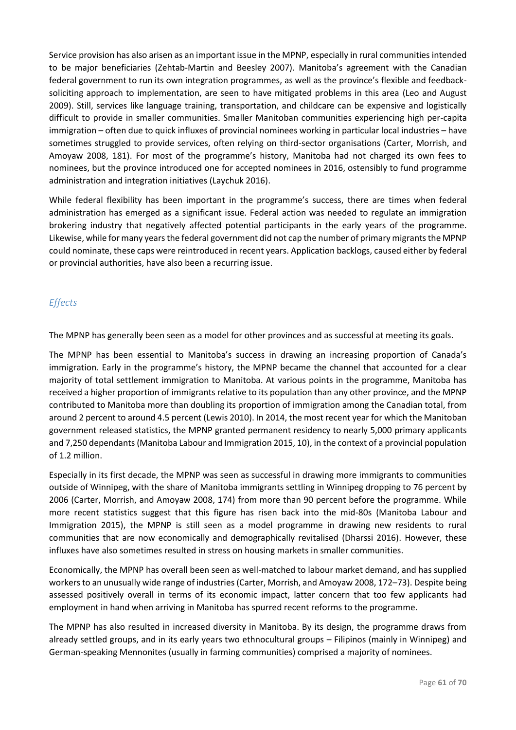Service provision has also arisen as an important issue in the MPNP, especially in rural communities intended to be major beneficiaries (Zehtab-Martin and Beesley 2007). Manitoba's agreement with the Canadian federal government to run its own integration programmes, as well as the province's flexible and feedbacksoliciting approach to implementation, are seen to have mitigated problems in this area (Leo and August 2009). Still, services like language training, transportation, and childcare can be expensive and logistically difficult to provide in smaller communities. Smaller Manitoban communities experiencing high per-capita immigration – often due to quick influxes of provincial nominees working in particular local industries – have sometimes struggled to provide services, often relying on third-sector organisations (Carter, Morrish, and Amoyaw 2008, 181). For most of the programme's history, Manitoba had not charged its own fees to nominees, but the province introduced one for accepted nominees in 2016, ostensibly to fund programme administration and integration initiatives (Laychuk 2016).

While federal flexibility has been important in the programme's success, there are times when federal administration has emerged as a significant issue. Federal action was needed to regulate an immigration brokering industry that negatively affected potential participants in the early years of the programme. Likewise, while for many years the federal government did not cap the number of primary migrants the MPNP could nominate, these caps were reintroduced in recent years. Application backlogs, caused either by federal or provincial authorities, have also been a recurring issue.

# *Effects*

The MPNP has generally been seen as a model for other provinces and as successful at meeting its goals.

The MPNP has been essential to Manitoba's success in drawing an increasing proportion of Canada's immigration. Early in the programme's history, the MPNP became the channel that accounted for a clear majority of total settlement immigration to Manitoba. At various points in the programme, Manitoba has received a higher proportion of immigrants relative to its population than any other province, and the MPNP contributed to Manitoba more than doubling its proportion of immigration among the Canadian total, from around 2 percent to around 4.5 percent (Lewis 2010). In 2014, the most recent year for which the Manitoban government released statistics, the MPNP granted permanent residency to nearly 5,000 primary applicants and 7,250 dependants (Manitoba Labour and Immigration 2015, 10), in the context of a provincial population of 1.2 million.

Especially in its first decade, the MPNP was seen as successful in drawing more immigrants to communities outside of Winnipeg, with the share of Manitoba immigrants settling in Winnipeg dropping to 76 percent by 2006 (Carter, Morrish, and Amoyaw 2008, 174) from more than 90 percent before the programme. While more recent statistics suggest that this figure has risen back into the mid-80s (Manitoba Labour and Immigration 2015), the MPNP is still seen as a model programme in drawing new residents to rural communities that are now economically and demographically revitalised (Dharssi 2016). However, these influxes have also sometimes resulted in stress on housing markets in smaller communities.

Economically, the MPNP has overall been seen as well-matched to labour market demand, and has supplied workers to an unusually wide range of industries (Carter, Morrish, and Amoyaw 2008, 172–73). Despite being assessed positively overall in terms of its economic impact, latter concern that too few applicants had employment in hand when arriving in Manitoba has spurred recent reforms to the programme.

The MPNP has also resulted in increased diversity in Manitoba. By its design, the programme draws from already settled groups, and in its early years two ethnocultural groups – Filipinos (mainly in Winnipeg) and German-speaking Mennonites (usually in farming communities) comprised a majority of nominees.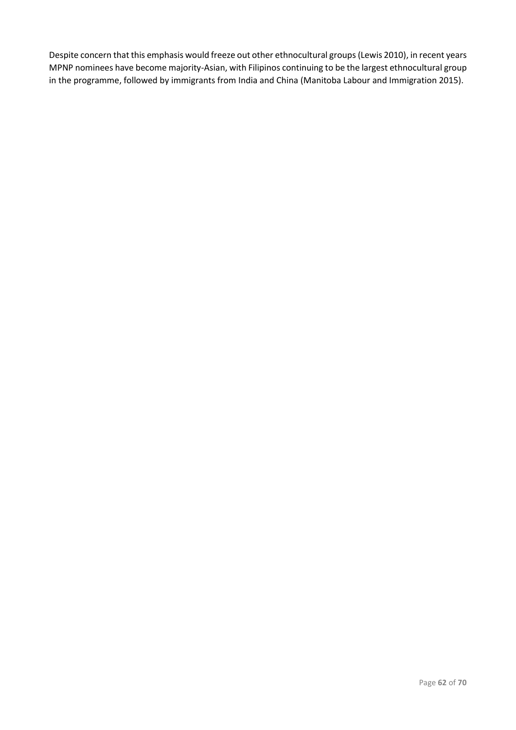Despite concern that this emphasis would freeze out other ethnocultural groups (Lewis 2010), in recent years MPNP nominees have become majority-Asian, with Filipinos continuing to be the largest ethnocultural group in the programme, followed by immigrants from India and China (Manitoba Labour and Immigration 2015).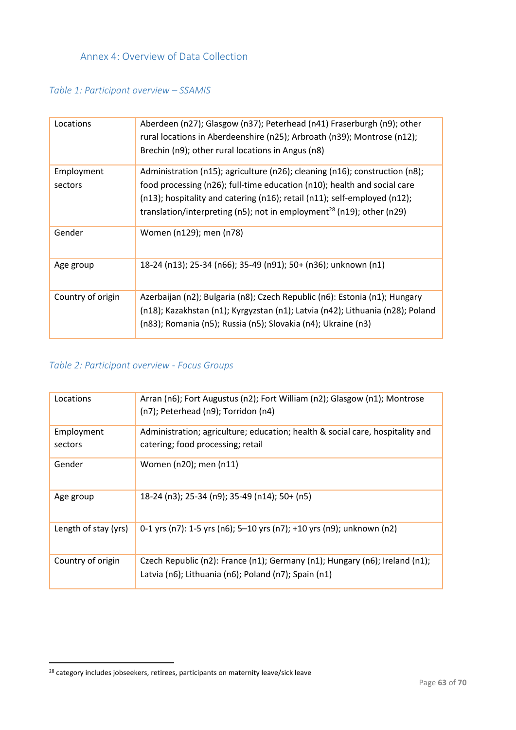<span id="page-63-0"></span>Annex 4: Overview of Data Collection

# *Table 1: Participant overview – SSAMIS*

| Locations         | Aberdeen (n27); Glasgow (n37); Peterhead (n41) Fraserburgh (n9); other<br>rural locations in Aberdeenshire (n25); Arbroath (n39); Montrose (n12);<br>Brechin (n9); other rural locations in Angus (n8)                                     |
|-------------------|--------------------------------------------------------------------------------------------------------------------------------------------------------------------------------------------------------------------------------------------|
| Employment        | Administration (n15); agriculture (n26); cleaning (n16); construction (n8);                                                                                                                                                                |
| sectors           | food processing (n26); full-time education (n10); health and social care<br>(n13); hospitality and catering (n16); retail (n11); self-employed (n12);<br>translation/interpreting (n5); not in employment <sup>28</sup> (n19); other (n29) |
| Gender            | Women (n129); men (n78)                                                                                                                                                                                                                    |
| Age group         | 18-24 (n13); 25-34 (n66); 35-49 (n91); 50+ (n36); unknown (n1)                                                                                                                                                                             |
| Country of origin | Azerbaijan (n2); Bulgaria (n8); Czech Republic (n6): Estonia (n1); Hungary<br>(n18); Kazakhstan (n1); Kyrgyzstan (n1); Latvia (n42); Lithuania (n28); Poland<br>(n83); Romania (n5); Russia (n5); Slovakia (n4); Ukraine (n3)              |

# *Table 2: Participant overview - Focus Groups*

| Locations            | Arran (n6); Fort Augustus (n2); Fort William (n2); Glasgow (n1); Montrose<br>(n7); Peterhead (n9); Torridon (n4)                    |
|----------------------|-------------------------------------------------------------------------------------------------------------------------------------|
|                      |                                                                                                                                     |
| Employment           | Administration; agriculture; education; health & social care, hospitality and                                                       |
| sectors              | catering; food processing; retail                                                                                                   |
| Gender               | Women (n20); men (n11)                                                                                                              |
| Age group            | 18-24 (n3); 25-34 (n9); 35-49 (n14); 50+ (n5)                                                                                       |
| Length of stay (yrs) | 0-1 yrs (n7): 1-5 yrs (n6); 5-10 yrs (n7); +10 yrs (n9); unknown (n2)                                                               |
| Country of origin    | Czech Republic (n2): France (n1); Germany (n1); Hungary (n6); Ireland (n1);<br>Latvia (n6); Lithuania (n6); Poland (n7); Spain (n1) |

1

<sup>&</sup>lt;sup>28</sup> category includes jobseekers, retirees, participants on maternity leave/sick leave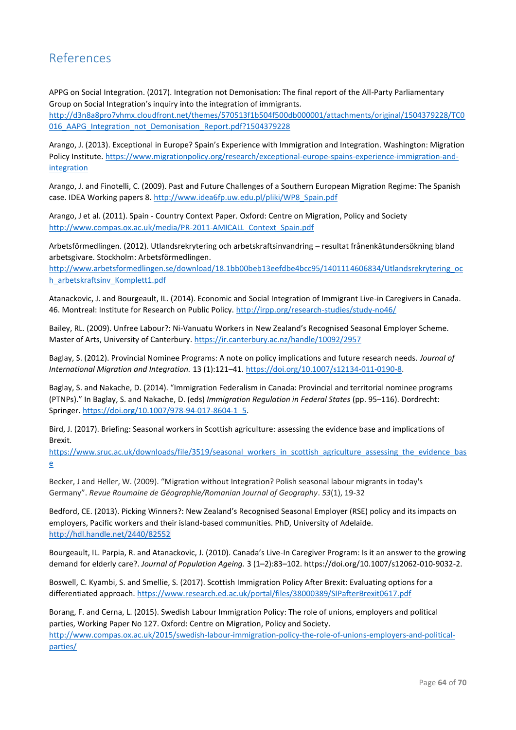# <span id="page-64-0"></span>References

APPG on Social Integration. (2017). Integration not Demonisation: The final report of the All-Party Parliamentary Group on Social Integration's inquiry into the integration of immigrants. [http://d3n8a8pro7vhmx.cloudfront.net/themes/570513f1b504f500db000001/attachments/original/1504379228/TC0](http://d3n8a8pro7vhmx.cloudfront.net/themes/570513f1b504f500db000001/attachments/original/1504379228/TC0016_AAPG_Integration_not_Demonisation_Report.pdf?1504379228) 016 AAPG Integration not Demonisation Report.pdf?1504379228

Arango, J. (2013). Exceptional in Europe? Spain's Experience with Immigration and Integration. Washington: Migration Policy Institute. [https://www.migrationpolicy.org/research/exceptional-europe-spains-experience-immigration-and](https://www.migrationpolicy.org/research/exceptional-europe-spains-experience-immigration-and-integration)**[integration](https://www.migrationpolicy.org/research/exceptional-europe-spains-experience-immigration-and-integration)** 

Arango, J. and Finotelli, C. (2009). Past and Future Challenges of a Southern European Migration Regime: The Spanish case. IDEA Working papers 8[. http://www.idea6fp.uw.edu.pl/pliki/WP8\\_Spain.pdf](http://www.idea6fp.uw.edu.pl/pliki/WP8_Spain.pdf)

Arango, J et al. (2011). Spain - Country Context Paper*.* Oxford: Centre on Migration, Policy and Society [http://www.compas.ox.ac.uk/media/PR-2011-AMICALL\\_Context\\_Spain.pdf](http://www.compas.ox.ac.uk/media/PR-2011-AMICALL_Context_Spain.pdf)

Arbetsförmedlingen. (2012). Utlandsrekrytering och arbetskraftsinvandring – resultat frånenkätundersökning bland arbetsgivare. Stockholm: Arbetsförmedlingen.

[http://www.arbetsformedlingen.se/download/18.1bb00beb13eefdbe4bcc95/1401114606834/Utlandsrekrytering\\_oc](http://www.arbetsformedlingen.se/download/18.1bb00beb13eefdbe4bcc95/1401114606834/Utlandsrekrytering_och_arbetskraftsinv_Komplett1.pdf) h arbetskraftsinv Komplett1.pdf

Atanackovic, J. and Bourgeault, IL. (2014). Economic and Social Integration of Immigrant Live-in Caregivers in Canada. 46. Montreal: Institute for Research on Public Policy[. http://irpp.org/research-studies/study-no46/](http://irpp.org/research-studies/study-no46/)

Bailey, RL. (2009). Unfree Labour?: Ni-Vanuatu Workers in New Zealand's Recognised Seasonal Employer Scheme. Master of Arts, University of Canterbury.<https://ir.canterbury.ac.nz/handle/10092/2957>

Baglay, S. (2012). Provincial Nominee Programs: A note on policy implications and future research needs. *Journal of International Migration and Integration.* 13 (1):121–41. [https://doi.org/10.1007/s12134-011-0190-8.](https://doi.org/10.1007/s12134-011-0190-8)

Baglay, S. and Nakache, D. (2014). "Immigration Federalism in Canada: Provincial and territorial nominee programs (PTNPs)." In Baglay, S. and Nakache, D. (eds) *Immigration Regulation in Federal States* (pp. 95–116). Dordrecht: Springer[. https://doi.org/10.1007/978-94-017-8604-1\\_5.](https://doi.org/10.1007/978-94-017-8604-1_5)

Bird, J. (2017). Briefing: Seasonal workers in Scottish agriculture: assessing the evidence base and implications of Brexit.

[https://www.sruc.ac.uk/downloads/file/3519/seasonal\\_workers\\_in\\_scottish\\_agriculture\\_assessing\\_the\\_evidence\\_bas](https://www.sruc.ac.uk/downloads/file/3519/seasonal_workers_in_scottish_agriculture_assessing_the_evidence_base) [e](https://www.sruc.ac.uk/downloads/file/3519/seasonal_workers_in_scottish_agriculture_assessing_the_evidence_base)

Becker, J and Heller, W. (2009). "Migration without Integration? Polish seasonal labour migrants in today's Germany". *Revue Roumaine de Géographie/Romanian Journal of Geography*. *53*(1), 19-32

Bedford, CE. (2013). Picking Winners?: New Zealand's Recognised Seasonal Employer (RSE) policy and its impacts on employers, Pacific workers and their island-based communities. PhD, University of Adelaide. <http://hdl.handle.net/2440/82552>

Bourgeault, IL. Parpia, R. and Atanackovic, J. (2010). Canada's Live-In Caregiver Program: Is it an answer to the growing demand for elderly care?. *Journal of Population Ageing.* 3 (1–2):83–102. https://doi.org/10.1007/s12062-010-9032-2.

Boswell, C. Kyambi, S. and Smellie, S. (2017). Scottish Immigration Policy After Brexit: Evaluating options for a differentiated approach[. https://www.research.ed.ac.uk/portal/files/38000389/SIPafterBrexit0617.pdf](https://www.research.ed.ac.uk/portal/files/38000389/SIPafterBrexit0617.pdf)

Borang, F. and Cerna, L. (2015). Swedish Labour Immigration Policy: The role of unions, employers and political parties, Working Paper No 127. Oxford: Centre on Migration, Policy and Society. [http://www.compas.ox.ac.uk/2015/swedish-labour-immigration-policy-the-role-of-unions-employers-and-political](http://www.compas.ox.ac.uk/2015/swedish-labour-immigration-policy-the-role-of-unions-employers-and-political-parties/)[parties/](http://www.compas.ox.ac.uk/2015/swedish-labour-immigration-policy-the-role-of-unions-employers-and-political-parties/)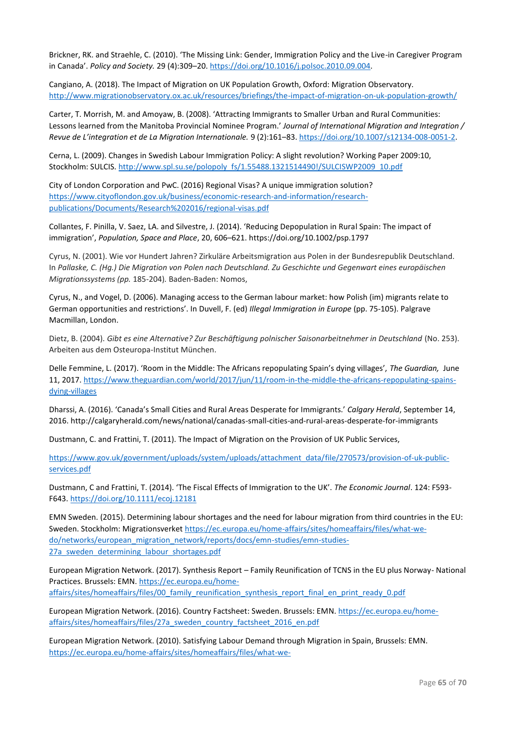Brickner, RK. and Straehle, C. (2010). 'The Missing Link: Gender, Immigration Policy and the Live-in Caregiver Program in Canada'. *Policy and Society.* 29 (4):309–20. [https://doi.org/10.1016/j.polsoc.2010.09.004.](https://doi.org/10.1016/j.polsoc.2010.09.004)

Cangiano, A. (2018). The Impact of Migration on UK Population Growth, Oxford: Migration Observatory. <http://www.migrationobservatory.ox.ac.uk/resources/briefings/the-impact-of-migration-on-uk-population-growth/>

Carter, T. Morrish, M. and Amoyaw, B. (2008). 'Attracting Immigrants to Smaller Urban and Rural Communities: Lessons learned from the Manitoba Provincial Nominee Program.' *Journal of International Migration and Integration / Revue de L'integration et de La Migration Internationale.* 9 (2):161–83[. https://doi.org/10.1007/s12134-008-0051-2.](https://doi.org/10.1007/s12134-008-0051-2)

Cerna, L. (2009). Changes in Swedish Labour Immigration Policy: A slight revolution? Working Paper 2009:10, Stockholm: SULCIS. [http://www.spl.su.se/polopoly\\_fs/1.55488.1321514490!/SULCISWP2009\\_10.pdf](http://www.spl.su.se/polopoly_fs/1.55488.1321514490!/SULCISWP2009_10.pdf)

City of London Corporation and PwC. (2016) Regional Visas? A unique immigration solution? [https://www.cityoflondon.gov.uk/business/economic-research-and-information/research](https://www.cityoflondon.gov.uk/business/economic-research-and-information/research-publications/Documents/Research%202016/regional-visas.pdf)[publications/Documents/Research%202016/regional-visas.pdf](https://www.cityoflondon.gov.uk/business/economic-research-and-information/research-publications/Documents/Research%202016/regional-visas.pdf)

Collantes, F. Pinilla, V. Saez, LA. and Silvestre, J. (2014). 'Reducing Depopulation in Rural Spain: The impact of immigration', *Population, Space and Place*, 20, 606–621. https://doi.org/10.1002/psp.1797

Cyrus, N. (2001). Wie vor Hundert Jahren? Zirkuläre Arbeitsmigration aus Polen in der Bundesrepublik Deutschland. In *Pallaske, C. (Hg.) Die Migration von Polen nach Deutschland. Zu Geschichte und Gegenwart eines europäischen Migrationssystems (pp.* 185-204)*.* Baden-Baden: Nomos,

Cyrus, N., and Vogel, D. (2006). Managing access to the German labour market: how Polish (im) migrants relate to German opportunities and restrictions'. In Duvell, F. (ed) *Illegal Immigration in Europe* (pp. 75-105). Palgrave Macmillan, London.

Dietz, B. (2004). *Gibt es eine Alternative? Zur Beschäftigung polnischer Saisonarbeitnehmer in Deutschland* (No. 253). Arbeiten aus dem Osteuropa-Institut München.

Delle Femmine, L. (2017). 'Room in the Middle: The Africans repopulating Spain's dying villages', *The Guardian,* June 11, 2017[. https://www.theguardian.com/world/2017/jun/11/room-in-the-middle-the-africans-repopulating-spains](https://www.theguardian.com/world/2017/jun/11/room-in-the-middle-the-africans-repopulating-spains-dying-villages)[dying-villages](https://www.theguardian.com/world/2017/jun/11/room-in-the-middle-the-africans-repopulating-spains-dying-villages)

Dharssi, A. (2016). 'Canada's Small Cities and Rural Areas Desperate for Immigrants.' *Calgary Herald*, September 14, 2016. http://calgaryherald.com/news/national/canadas-small-cities-and-rural-areas-desperate-for-immigrants

Dustmann, C. and Frattini, T. (2011). The Impact of Migration on the Provision of UK Public Services,

[https://www.gov.uk/government/uploads/system/uploads/attachment\\_data/file/270573/provision-of-uk-public](https://www.gov.uk/government/uploads/system/uploads/attachment_data/file/270573/provision-of-uk-public-services.pdf)[services.pdf](https://www.gov.uk/government/uploads/system/uploads/attachment_data/file/270573/provision-of-uk-public-services.pdf)

Dustmann, C and Frattini, T. (2014). 'The Fiscal Effects of Immigration to the UK'. *The Economic Journal*. 124: F593- F643.<https://doi.org/10.1111/ecoj.12181>

EMN Sweden. (2015). Determining labour shortages and the need for labour migration from third countries in the EU: Sweden. Stockholm: Migrationsverket [https://ec.europa.eu/home-affairs/sites/homeaffairs/files/what-we](https://ec.europa.eu/home-affairs/sites/homeaffairs/files/what-we-do/networks/european_migration_network/reports/docs/emn-studies/emn-studies-27a_sweden_determining_labour_shortages.pdf)[do/networks/european\\_migration\\_network/reports/docs/emn-studies/emn-studies-](https://ec.europa.eu/home-affairs/sites/homeaffairs/files/what-we-do/networks/european_migration_network/reports/docs/emn-studies/emn-studies-27a_sweden_determining_labour_shortages.pdf)[27a\\_sweden\\_determining\\_labour\\_shortages.pdf](https://ec.europa.eu/home-affairs/sites/homeaffairs/files/what-we-do/networks/european_migration_network/reports/docs/emn-studies/emn-studies-27a_sweden_determining_labour_shortages.pdf)

European Migration Network. (2017). Synthesis Report – Family Reunification of TCNS in the EU plus Norway- National Practices. Brussels: EMN[. https://ec.europa.eu/home](https://ec.europa.eu/home-affairs/sites/homeaffairs/files/00_family_reunification_synthesis_report_final_en_print_ready_0.pdf)[affairs/sites/homeaffairs/files/00\\_family\\_reunification\\_synthesis\\_report\\_final\\_en\\_print\\_ready\\_0.pdf](https://ec.europa.eu/home-affairs/sites/homeaffairs/files/00_family_reunification_synthesis_report_final_en_print_ready_0.pdf)

European Migration Network. (2016). Country Factsheet: Sweden. Brussels: EMN[. https://ec.europa.eu/home](https://ec.europa.eu/home-affairs/sites/homeaffairs/files/27a_sweden_country_factsheet_2016_en.pdf)[affairs/sites/homeaffairs/files/27a\\_sweden\\_country\\_factsheet\\_2016\\_en.pdf](https://ec.europa.eu/home-affairs/sites/homeaffairs/files/27a_sweden_country_factsheet_2016_en.pdf)

European Migration Network. (2010). Satisfying Labour Demand through Migration in Spain, Brussels: EMN. [https://ec.europa.eu/home-affairs/sites/homeaffairs/files/what-we-](https://ec.europa.eu/home-affairs/sites/homeaffairs/files/what-we-do/networks/european_migration_network/reports/docs/emn-studies/labour-demand/satisfying_labour_demand_through_migration_in_spain__english_final_20110920_en.pdf)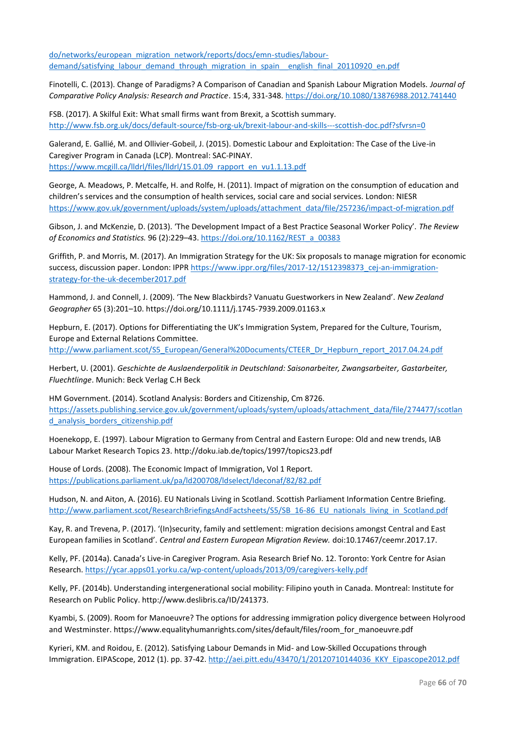[do/networks/european\\_migration\\_network/reports/docs/emn-studies/labour](https://ec.europa.eu/home-affairs/sites/homeaffairs/files/what-we-do/networks/european_migration_network/reports/docs/emn-studies/labour-demand/satisfying_labour_demand_through_migration_in_spain__english_final_20110920_en.pdf)demand/satisfying labour demand through migration in spain english final 20110920 en.pdf

Finotelli, C. (2013). Change of Paradigms? A Comparison of Canadian and Spanish Labour Migration Models. *Journal of Comparative Policy Analysis: Research and Practice*. 15:4, 331-348[. https://doi.org/10.1080/13876988.2012.741440](https://doi.org/10.1080/13876988.2012.741440)

FSB. (2017). A Skilful Exit: What small firms want from Brexit, a Scottish summary. <http://www.fsb.org.uk/docs/default-source/fsb-org-uk/brexit-labour-and-skills---scottish-doc.pdf?sfvrsn=0>

Galerand, E. Gallié, M. and Ollivier-Gobeil, J. (2015). Domestic Labour and Exploitation: The Case of the Live-in Caregiver Program in Canada (LCP). Montreal: SAC-PINAY. [https://www.mcgill.ca/lldrl/files/lldrl/15.01.09\\_rapport\\_en\\_vu1.1.13.pdf](https://www.mcgill.ca/lldrl/files/lldrl/15.01.09_rapport_en_vu1.1.13.pdf)

George, A. Meadows, P. Metcalfe, H. and Rolfe, H. (2011). Impact of migration on the consumption of education and children's services and the consumption of health services, social care and social services. London: NIESR [https://www.gov.uk/government/uploads/system/uploads/attachment\\_data/file/257236/impact-of-migration.pdf](https://www.gov.uk/government/uploads/system/uploads/attachment_data/file/257236/impact-of-migration.pdf)

Gibson, J. and McKenzie, D. (2013). 'The Development Impact of a Best Practice Seasonal Worker Policy'. *The Review of Economics and Statistics.* 96 (2):229–43. [https://doi.org/10.1162/REST\\_a\\_00383](https://doi.org/10.1162/REST_a_00383)

Griffith, P. and Morris, M. (2017). An Immigration Strategy for the UK: Six proposals to manage migration for economic success, discussion paper. London: IPPR [https://www.ippr.org/files/2017-12/1512398373\\_cej-an-immigration](https://www.ippr.org/files/2017-12/1512398373_cej-an-immigration-strategy-for-the-uk-december2017.pdf)[strategy-for-the-uk-december2017.pdf](https://www.ippr.org/files/2017-12/1512398373_cej-an-immigration-strategy-for-the-uk-december2017.pdf)

Hammond, J. and Connell, J. (2009). 'The New Blackbirds? Vanuatu Guestworkers in New Zealand'. *New Zealand Geographer* 65 (3):201–10. https://doi.org/10.1111/j.1745-7939.2009.01163.x

Hepburn, E. (2017). Options for Differentiating the UK's Immigration System, Prepared for the Culture, Tourism, Europe and External Relations Committee. [http://www.parliament.scot/S5\\_European/General%20Documents/CTEER\\_Dr\\_Hepburn\\_report\\_2017.04.24.pdf](http://www.parliament.scot/S5_European/General%20Documents/CTEER_Dr_Hepburn_report_2017.04.24.pdf)

Herbert, U. (2001). *Geschichte de Auslaenderpolitik in Deutschland: Saisonarbeiter, Zwangsarbeiter, Gastarbeiter, Fluechtlinge*. Munich: Beck Verlag C.H Beck

HM Government. (2014). Scotland Analysis: Borders and Citizenship, Cm 8726. [https://assets.publishing.service.gov.uk/government/uploads/system/uploads/attachment\\_data/file/274477/scotlan](https://assets.publishing.service.gov.uk/government/uploads/system/uploads/attachment_data/file/274477/scotland_analysis_borders_citizenship.pdf) d analysis borders citizenship.pdf

Hoenekopp, E. (1997). Labour Migration to Germany from Central and Eastern Europe: Old and new trends, IAB Labour Market Research Topics 23. http://doku.iab.de/topics/1997/topics23.pdf

House of Lords. (2008). The Economic Impact of Immigration, Vol 1 Report. <https://publications.parliament.uk/pa/ld200708/ldselect/ldeconaf/82/82.pdf>

Hudson, N. and Aiton, A. (2016). EU Nationals Living in Scotland. Scottish Parliament Information Centre Briefing. [http://www.parliament.scot/ResearchBriefingsAndFactsheets/S5/SB\\_16-86\\_EU\\_nationals\\_living\\_in\\_Scotland.pdf](http://www.parliament.scot/ResearchBriefingsAndFactsheets/S5/SB_16-86_EU_nationals_living_in_Scotland.pdf)

Kay, R. and Trevena, P. (2017). '(In)security, family and settlement: migration decisions amongst Central and East European families in Scotland'. *Central and Eastern European Migration Review.* doi:10.17467/ceemr.2017.17.

Kelly, PF. (2014a). Canada's Live-in Caregiver Program. Asia Research Brief No. 12. Toronto: York Centre for Asian Research[. https://ycar.apps01.yorku.ca/wp-content/uploads/2013/09/caregivers-kelly.pdf](https://ycar.apps01.yorku.ca/wp-content/uploads/2013/09/caregivers-kelly.pdf)

Kelly, PF. (2014b). Understanding intergenerational social mobility: Filipino youth in Canada. Montreal: Institute for Research on Public Policy. http://www.deslibris.ca/ID/241373.

Kyambi, S. (2009). Room for Manoeuvre? The options for addressing immigration policy divergence between Holyrood and Westminster. https://www.equalityhumanrights.com/sites/default/files/room\_for\_manoeuvre.pdf

Kyrieri, KM. and Roidou, E. (2012). Satisfying Labour Demands in Mid- and Low-Skilled Occupations through Immigration. EIPAScope, 2012 (1). pp. 37-42[. http://aei.pitt.edu/43470/1/20120710144036\\_KKY\\_Eipascope2012.pdf](http://aei.pitt.edu/43470/1/20120710144036_KKY_Eipascope2012.pdf)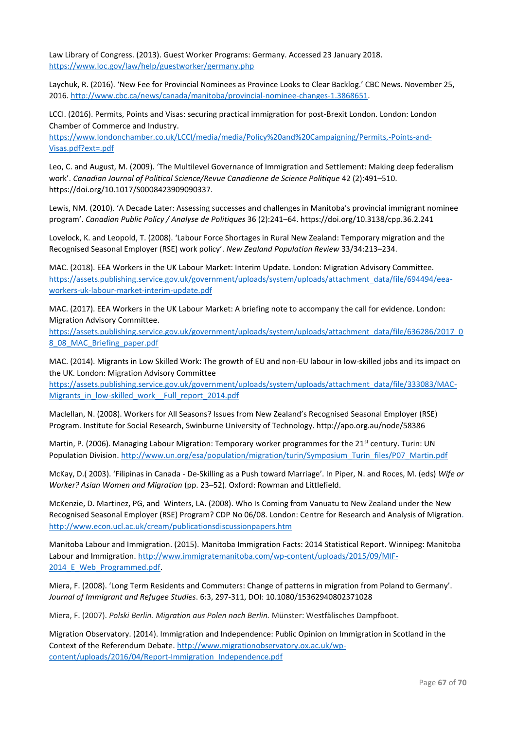Law Library of Congress. (2013). Guest Worker Programs: Germany. Accessed 23 January 2018. <https://www.loc.gov/law/help/guestworker/germany.php>

Laychuk, R. (2016). 'New Fee for Provincial Nominees as Province Looks to Clear Backlog.' CBC News. November 25, 2016. [http://www.cbc.ca/news/canada/manitoba/provincial-nominee-changes-1.3868651.](http://www.cbc.ca/news/canada/manitoba/provincial-nominee-changes-1.3868651)

LCCI. (2016). Permits, Points and Visas: securing practical immigration for post-Brexit London. London: London Chamber of Commerce and Industry.

[https://www.londonchamber.co.uk/LCCI/media/media/Policy%20and%20Campaigning/Permits,-Points-and-](https://www.londonchamber.co.uk/LCCI/media/media/Policy%20and%20Campaigning/Permits,-Points-and-Visas.pdf?ext=.pdf)[Visas.pdf?ext=.pdf](https://www.londonchamber.co.uk/LCCI/media/media/Policy%20and%20Campaigning/Permits,-Points-and-Visas.pdf?ext=.pdf)

Leo, C. and August, M. (2009). 'The Multilevel Governance of Immigration and Settlement: Making deep federalism work'. *Canadian Journal of Political Science/Revue Canadienne de Science Politique* 42 (2):491–510. https://doi.org/10.1017/S0008423909090337.

Lewis, NM. (2010). 'A Decade Later: Assessing successes and challenges in Manitoba's provincial immigrant nominee program'. *Canadian Public Policy / Analyse de Politiques* 36 (2):241–64. https://doi.org/10.3138/cpp.36.2.241

Lovelock, K. and Leopold, T. (2008). 'Labour Force Shortages in Rural New Zealand: Temporary migration and the Recognised Seasonal Employer (RSE) work policy'. *New Zealand Population Review* 33/34:213–234.

MAC. (2018). EEA Workers in the UK Labour Market: Interim Update. London: Migration Advisory Committee. [https://assets.publishing.service.gov.uk/government/uploads/system/uploads/attachment\\_data/file/694494/eea](https://assets.publishing.service.gov.uk/government/uploads/system/uploads/attachment_data/file/694494/eea-workers-uk-labour-market-interim-update.pdf)[workers-uk-labour-market-interim-update.pdf](https://assets.publishing.service.gov.uk/government/uploads/system/uploads/attachment_data/file/694494/eea-workers-uk-labour-market-interim-update.pdf)

MAC. (2017). EEA Workers in the UK Labour Market: A briefing note to accompany the call for evidence. London: Migration Advisory Committee.

[https://assets.publishing.service.gov.uk/government/uploads/system/uploads/attachment\\_data/file/636286/2017\\_0](https://assets.publishing.service.gov.uk/government/uploads/system/uploads/attachment_data/file/636286/2017_08_08_MAC_Briefing_paper.pdf) [8\\_08\\_MAC\\_Briefing\\_paper.pdf](https://assets.publishing.service.gov.uk/government/uploads/system/uploads/attachment_data/file/636286/2017_08_08_MAC_Briefing_paper.pdf)

MAC. (2014). Migrants in Low Skilled Work: The growth of EU and non-EU labour in low-skilled jobs and its impact on the UK. London: Migration Advisory Committee

[https://assets.publishing.service.gov.uk/government/uploads/system/uploads/attachment\\_data/file/333083/MAC-](https://assets.publishing.service.gov.uk/government/uploads/system/uploads/attachment_data/file/333083/MAC-Migrants_in_low-skilled_work__Full_report_2014.pdf)Migrants in low-skilled work Full report 2014.pdf

Maclellan, N. (2008). Workers for All Seasons? Issues from New Zealand's Recognised Seasonal Employer (RSE) Program. Institute for Social Research, Swinburne University of Technology. http://apo.org.au/node/58386

Martin, P. (2006). Managing Labour Migration: Temporary worker programmes for the 21<sup>st</sup> century. Turin: UN Population Division. [http://www.un.org/esa/population/migration/turin/Symposium\\_Turin\\_files/P07\\_Martin.pdf](http://www.un.org/esa/population/migration/turin/Symposium_Turin_files/P07_Martin.pdf)

McKay, D.( 2003). 'Filipinas in Canada - De-Skilling as a Push toward Marriage'. In Piper, N. and Roces, M. (eds) *Wife or Worker? Asian Women and Migration* (pp. 23–52). Oxford: Rowman and Littlefield.

McKenzie, D. Martinez, PG, and Winters, LA. (2008). Who Is Coming from Vanuatu to New Zealand under the New Recognised Seasonal Employer (RSE) Program? CDP No 06/08. London: Centre for Research and Analysis of Migratio[n.](file://///chss.datastore.ed.ac.uk/chss/sps/shared/SPS-CCC/Shared/Web/SPS_cdm/Research/.%20http:/www.econ.ucl.ac.uk/cream/publicationsdiscussionpapers.htm)  [http://www.econ.ucl.ac.uk/cream/publicationsdiscussionpapers.htm](file://///chss.datastore.ed.ac.uk/chss/sps/shared/SPS-CCC/Shared/Web/SPS_cdm/Research/.%20http:/www.econ.ucl.ac.uk/cream/publicationsdiscussionpapers.htm)

Manitoba Labour and Immigration. (2015). Manitoba Immigration Facts: 2014 Statistical Report. Winnipeg: Manitoba Labour and Immigration[. http://www.immigratemanitoba.com/wp-content/uploads/2015/09/MIF-](http://www.immigratemanitoba.com/wp-content/uploads/2015/09/MIF-2014_E_Web_Programmed.pdf)2014 E Web Programmed.pdf.

Miera, F. (2008). 'Long Term Residents and Commuters: Change of patterns in migration from Poland to Germany'. *Journal of Immigrant and Refugee Studies*. 6:3, 297-311, DOI: 10.1080/15362940802371028

Miera, F. (2007). *Polski Berlin. Migration aus Polen nach Berlin.* Münster: Westfälisches Dampfboot.

Migration Observatory. (2014). Immigration and Independence: Public Opinion on Immigration in Scotland in the Context of the Referendum Debate. [http://www.migrationobservatory.ox.ac.uk/wp](http://www.migrationobservatory.ox.ac.uk/wp-content/uploads/2016/04/Report-Immigration_Independence.pdf)[content/uploads/2016/04/Report-Immigration\\_Independence.pdf](http://www.migrationobservatory.ox.ac.uk/wp-content/uploads/2016/04/Report-Immigration_Independence.pdf)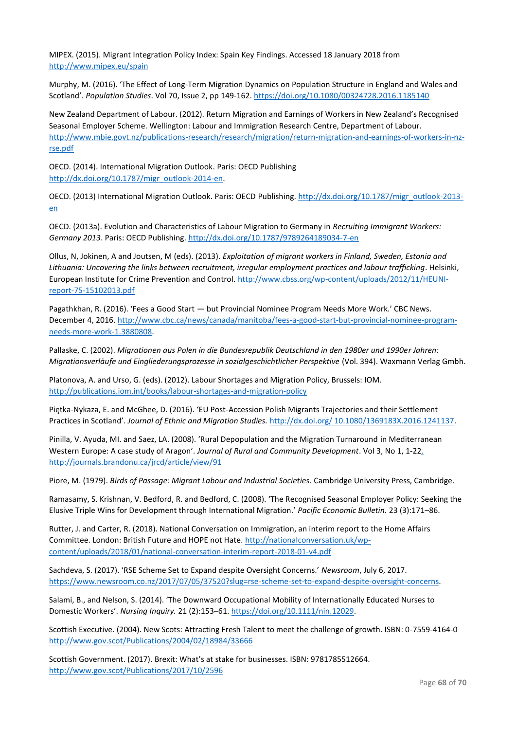MIPEX. (2015). Migrant Integration Policy Index: Spain Key Findings. Accessed 18 January 2018 from <http://www.mipex.eu/spain>

Murphy, M. (2016). 'The Effect of Long-Term Migration Dynamics on Population Structure in England and Wales and Scotland'. *Population Studies*. Vol 70, Issue 2, pp 149-162.<https://doi.org/10.1080/00324728.2016.1185140>

New Zealand Department of Labour. (2012). Return Migration and Earnings of Workers in New Zealand's Recognised Seasonal Employer Scheme. Wellington: Labour and Immigration Research Centre, Department of Labour. [http://www.mbie.govt.nz/publications-research/research/migration/return-migration-and-earnings-of-workers-in-nz](http://www.mbie.govt.nz/publications-research/research/migration/return-migration-and-earnings-of-workers-in-nz-rse.pdf)[rse.pdf](http://www.mbie.govt.nz/publications-research/research/migration/return-migration-and-earnings-of-workers-in-nz-rse.pdf)

OECD. (2014). International Migration Outlook. Paris: OECD Publishing [http://dx.doi.org/10.1787/migr\\_outlook-2014-en.](http://dx.doi.org/10.1787/migr_outlook-2014-en)

OECD. (2013) International Migration Outlook. Paris: OECD Publishing. [http://dx.doi.org/10.1787/migr\\_outlook-2013](http://dx.doi.org/10.1787/migr_outlook-2013-en) [en](http://dx.doi.org/10.1787/migr_outlook-2013-en)

OECD. (2013a). Evolution and Characteristics of Labour Migration to Germany in *Recruiting Immigrant Workers: Germany 2013*. Paris: OECD Publishing[. http://dx.doi.org/10.1787/9789264189034-7-en](http://dx.doi.org/10.1787/9789264189034-7-en)

Ollus, N, Jokinen, A and Joutsen, M (eds). (2013). *Exploitation of migrant workers in Finland, Sweden, Estonia and Lithuania: Uncovering the links between recruitment, irregular employment practices and labour trafficking*. Helsinki, European Institute for Crime Prevention and Control. [http://www.cbss.org/wp-content/uploads/2012/11/HEUNI](http://www.cbss.org/wp-content/uploads/2012/11/HEUNI-report-75-15102013.pdf)[report-75-15102013.pdf](http://www.cbss.org/wp-content/uploads/2012/11/HEUNI-report-75-15102013.pdf)

Pagathkhan, R. (2016). 'Fees a Good Start — but Provincial Nominee Program Needs More Work.' CBC News. December 4, 2016. [http://www.cbc.ca/news/canada/manitoba/fees-a-good-start-but-provincial-nominee-program](http://www.cbc.ca/news/canada/manitoba/fees-a-good-start-but-provincial-nominee-program-needs-more-work-1.3880808)[needs-more-work-1.3880808.](http://www.cbc.ca/news/canada/manitoba/fees-a-good-start-but-provincial-nominee-program-needs-more-work-1.3880808)

Pallaske, C. (2002). *Migrationen aus Polen in die Bundesrepublik Deutschland in den 1980er und 1990er Jahren: Migrationsverläufe und Eingliederungsprozesse in sozialgeschichtlicher Perspektive* (Vol. 394). Waxmann Verlag Gmbh.

Platonova, A. and Urso, G. (eds). (2012). Labour Shortages and Migration Policy, Brussels: IOM. <http://publications.iom.int/books/labour-shortages-and-migration-policy>

Piętka-Nykaza, E. and McGhee, D. (2016). 'EU Post-Accession Polish Migrants Trajectories and their Settlement Practices in Scotland'. *Journal of Ethnic and Migration Studies.* [http://dx.doi.org/ 10.1080/1369183X.2016.1241137.](http://dx.doi.org/%2010.1080/1369183X.2016.1241137)

Pinilla, V. Ayuda, MI. and Saez, LA. (2008). 'Rural Depopulation and the Migration Turnaround in Mediterranean Western Europe: A case study of Aragon'. *Journal of Rural and Community Development*. Vol 3, No 1, 1-2[2.](file://///chss.datastore.ed.ac.uk/chss/sps/shared/SPS-CCC/Shared/Web/SPS_cdm/Research/.%20http:/journals.brandonu.ca/jrcd/article/view/91)  [http://journals.brandonu.ca/jrcd/article/view/91](file://///chss.datastore.ed.ac.uk/chss/sps/shared/SPS-CCC/Shared/Web/SPS_cdm/Research/.%20http:/journals.brandonu.ca/jrcd/article/view/91)

Piore, M. (1979). *Birds of Passage: Migrant Labour and Industrial Societies*. Cambridge University Press, Cambridge.

Ramasamy, S. Krishnan, V. Bedford, R. and Bedford, C. (2008). 'The Recognised Seasonal Employer Policy: Seeking the Elusive Triple Wins for Development through International Migration.' *Pacific Economic Bulletin.* 23 (3):171–86.

Rutter, J. and Carter, R. (2018). National Conversation on Immigration, an interim report to the Home Affairs Committee. London: British Future and HOPE not Hate. [http://nationalconversation.uk/wp](http://nationalconversation.uk/wp-content/uploads/2018/01/national-conversation-interim-report-2018-01-v4.pdf)[content/uploads/2018/01/national-conversation-interim-report-2018-01-v4.pdf](http://nationalconversation.uk/wp-content/uploads/2018/01/national-conversation-interim-report-2018-01-v4.pdf)

Sachdeva, S. (2017). 'RSE Scheme Set to Expand despite Oversight Concerns.' *Newsroom*, July 6, 2017. [https://www.newsroom.co.nz/2017/07/05/37520?slug=rse-scheme-set-to-expand-despite-oversight-concerns.](https://www.newsroom.co.nz/2017/07/05/37520?slug=rse-scheme-set-to-expand-despite-oversight-concerns)

Salami, B., and Nelson, S. (2014). 'The Downward Occupational Mobility of Internationally Educated Nurses to Domestic Workers'. *Nursing Inquiry.* 21 (2):153–61. [https://doi.org/10.1111/nin.12029.](https://doi.org/10.1111/nin.12029)

Scottish Executive. (2004). New Scots: Attracting Fresh Talent to meet the challenge of growth. ISBN: 0-7559-4164-0 <http://www.gov.scot/Publications/2004/02/18984/33666>

Scottish Government. (2017). Brexit: What's at stake for businesses. ISBN: 9781785512664. <http://www.gov.scot/Publications/2017/10/2596>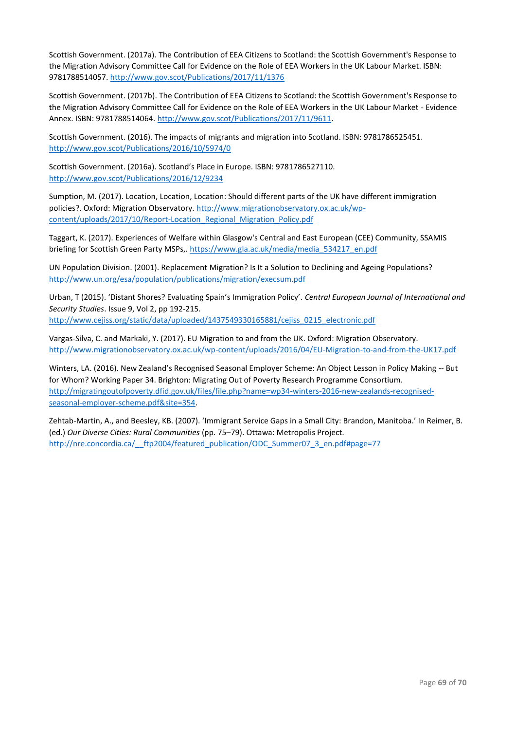Scottish Government. (2017a). The Contribution of EEA Citizens to Scotland: the Scottish Government's Response to the Migration Advisory Committee Call for Evidence on the Role of EEA Workers in the UK Labour Market. ISBN: 9781788514057.<http://www.gov.scot/Publications/2017/11/1376>

Scottish Government. (2017b). The Contribution of EEA Citizens to Scotland: the Scottish Government's Response to the Migration Advisory Committee Call for Evidence on the Role of EEA Workers in the UK Labour Market - Evidence Annex. ISBN: 9781788514064[. http://www.gov.scot/Publications/2017/11/9611.](http://www.gov.scot/Publications/2017/11/9611) 

Scottish Government. (2016). The impacts of migrants and migration into Scotland. ISBN: 9781786525451. <http://www.gov.scot/Publications/2016/10/5974/0>

Scottish Government. (2016a). Scotland's Place in Europe. ISBN: 9781786527110. <http://www.gov.scot/Publications/2016/12/9234>

Sumption, M. (2017). Location, Location, Location: Should different parts of the UK have different immigration policies?. Oxford: Migration Observatory. [http://www.migrationobservatory.ox.ac.uk/wp](http://www.migrationobservatory.ox.ac.uk/wp-content/uploads/2017/10/Report-Location_Regional_Migration_Policy.pdf)[content/uploads/2017/10/Report-Location\\_Regional\\_Migration\\_Policy.pdf](http://www.migrationobservatory.ox.ac.uk/wp-content/uploads/2017/10/Report-Location_Regional_Migration_Policy.pdf)

Taggart, K. (2017). Experiences of Welfare within Glasgow's Central and East European (CEE) Community, SSAMIS briefing for Scottish Green Party MSPs,. [https://www.gla.ac.uk/media/media\\_534217\\_en.pdf](https://www.gla.ac.uk/media/media_534217_en.pdf)

UN Population Division. (2001). Replacement Migration? Is It a Solution to Declining and Ageing Populations? <http://www.un.org/esa/population/publications/migration/execsum.pdf>

Urban, T (2015). 'Distant Shores? Evaluating Spain's Immigration Policy'. *Central European Journal of International and Security Studies*. Issue 9, Vol 2, pp 192-215. [http://www.cejiss.org/static/data/uploaded/1437549330165881/cejiss\\_0215\\_electronic.pdf](http://www.cejiss.org/static/data/uploaded/1437549330165881/cejiss_0215_electronic.pdf)

Vargas-Silva, C. and Markaki, Y. (2017). EU Migration to and from the UK. Oxford: Migration Observatory. <http://www.migrationobservatory.ox.ac.uk/wp-content/uploads/2016/04/EU-Migration-to-and-from-the-UK17.pdf>

Winters, LA. (2016). New Zealand's Recognised Seasonal Employer Scheme: An Object Lesson in Policy Making -- But for Whom? Working Paper 34. Brighton: Migrating Out of Poverty Research Programme Consortium. [http://migratingoutofpoverty.dfid.gov.uk/files/file.php?name=wp34-winters-2016-new-zealands-recognised](http://migratingoutofpoverty.dfid.gov.uk/files/file.php?name=wp34-winters-2016-new-zealands-recognised-seasonal-employer-scheme.pdf&site=354)[seasonal-employer-scheme.pdf&site=354.](http://migratingoutofpoverty.dfid.gov.uk/files/file.php?name=wp34-winters-2016-new-zealands-recognised-seasonal-employer-scheme.pdf&site=354)

Zehtab-Martin, A., and Beesley, KB. (2007). 'Immigrant Service Gaps in a Small City: Brandon, Manitoba.' In Reimer, B. (ed.) *Our Diverse Cities: Rural Communities* (pp. 75–79). Ottawa: Metropolis Project. http://nre.concordia.ca/ ftp2004/featured\_publication/ODC\_Summer07\_3\_en.pdf#page=77